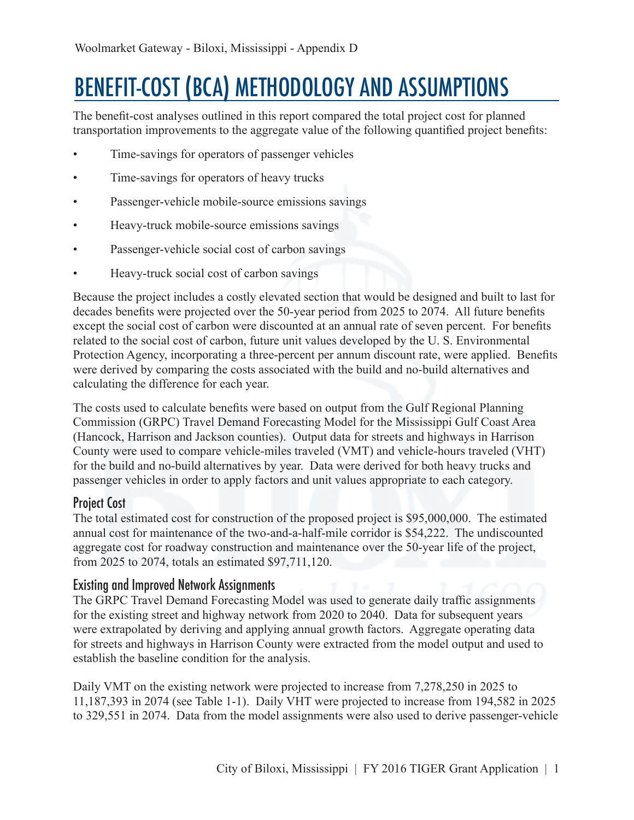# BENEFIT-COST (BCA) METHODOLOGY AND ASSUMPTIONS

The benefit-cost analyses outlined in this report compared the total project cost for planned transportation improvements to the aggregate value of the following quantified project benefits:

- Time-savings for operators of passenger vehicles
- Time-savings for operators of heavy trucks
- Passenger-vehicle mobile-source emissions savings
- Heavy-truck mobile-source emissions savings
- Passenger-vehicle social cost of carbon savings
- Heavy-truck social cost of carbon savings

Because the project includes a costly elevated section that would be designed and built to last for decades benefits were projected over the 50-year period from 2025 to 2074. All future benefits except the social cost of carbon were discounted at an annual rate of seven percent. For benefits related to the social cost of carbon, future unit values developed by the U. S. Environmental Protection Agency, incorporating a three-percent per annum discount rate, were applied. Benefits were derived by comparing the costs associated with the build and no-build alternatives and calculating the difference for each year.

The costs used to calculate benefits were based on output from the Gulf Regional Planning Commission (GRPC) Travel Demand Forecasting Model for the Mississippi Gulf Coast Area (Hancock, Harrison and Jackson counties). Output data for streets and highways in Harrison County were used to compare vehicle-miles traveled (VMT) and vehicle-hours traveled (VHT) for the build and no-build alternatives by year. Data were derived for both heavy trucks and passenger vehicles in order to apply factors and unit values appropriate to each category.

## Project Cost

The total estimated cost for construction of the proposed project is \$95,000,000. The estimated annual cost for maintenance of the two-and-a-half-mile corridor is \$54,222. The undiscounted aggregate cost for roadway construction and maintenance over the 50-year life of the project, from 2025 to 2074, totals an estimated \$97,711,120.

## Existing and Improved Network Assignments

The GRPC Travel Demand Forecasting Model was used to generate daily traffic assignments for the existing street and highway network from 2020 to 2040. Data for subsequent years were extrapolated by deriving and applying annual growth factors. Aggregate operating data for streets and highways in Harrison County were extracted from the model output and used to establish the baseline condition for the analysis.

Daily VMT on the existing network were projected to increase from 7,278,250 in 2025 to 11,187,393 in 2074 (see Table 1-1). Daily VHT were projected to increase from 194,582 in 2025 to 329,551 in 2074. Data from the model assignments were also used to derive passenger-vehicle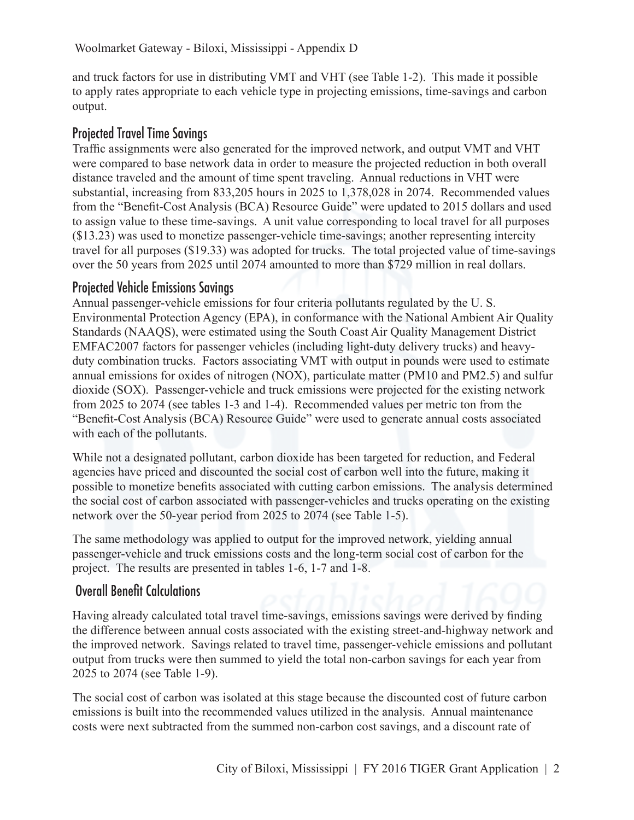and truck factors for use in distributing VMT and VHT (see Table 1-2). This made it possible to apply rates appropriate to each vehicle type in projecting emissions, time-savings and carbon output.

## Projected Travel Time Savings

Traffic assignments were also generated for the improved network, and output VMT and VHT were compared to base network data in order to measure the projected reduction in both overall distance traveled and the amount of time spent traveling. Annual reductions in VHT were substantial, increasing from 833,205 hours in 2025 to 1,378,028 in 2074. Recommended values from the "Benefit-Cost Analysis (BCA) Resource Guide" were updated to 2015 dollars and used to assign value to these time-savings. A unit value corresponding to local travel for all purposes (\$13.23) was used to monetize passenger-vehicle time-savings; another representing intercity travel for all purposes (\$19.33) was adopted for trucks. The total projected value of time-savings over the 50 years from 2025 until 2074 amounted to more than \$729 million in real dollars.

## Projected Vehicle Emissions Savings

Annual passenger-vehicle emissions for four criteria pollutants regulated by the U. S. Environmental Protection Agency (EPA), in conformance with the National Ambient Air Quality Standards (NAAQS), were estimated using the South Coast Air Quality Management District EMFAC2007 factors for passenger vehicles (including light-duty delivery trucks) and heavyduty combination trucks. Factors associating VMT with output in pounds were used to estimate annual emissions for oxides of nitrogen (NOX), particulate matter (PM10 and PM2.5) and sulfur dioxide (SOX). Passenger-vehicle and truck emissions were projected for the existing network from 2025 to 2074 (see tables 1-3 and 1-4). Recommended values per metric ton from the "Benefit-Cost Analysis (BCA) Resource Guide" were used to generate annual costs associated with each of the pollutants.

While not a designated pollutant, carbon dioxide has been targeted for reduction, and Federal agencies have priced and discounted the social cost of carbon well into the future, making it possible to monetize benefits associated with cutting carbon emissions. The analysis determined the social cost of carbon associated with passenger-vehicles and trucks operating on the existing network over the 50-year period from 2025 to 2074 (see Table 1-5).

The same methodology was applied to output for the improved network, yielding annual passenger-vehicle and truck emissions costs and the long-term social cost of carbon for the project. The results are presented in tables 1-6, 1-7 and 1-8.

## Overall Benefit Calculations

Having already calculated total travel time-savings, emissions savings were derived by finding the difference between annual costs associated with the existing street-and-highway network and the improved network. Savings related to travel time, passenger-vehicle emissions and pollutant output from trucks were then summed to yield the total non-carbon savings for each year from 2025 to 2074 (see Table 1-9).

The social cost of carbon was isolated at this stage because the discounted cost of future carbon emissions is built into the recommended values utilized in the analysis. Annual maintenance costs were next subtracted from the summed non-carbon cost savings, and a discount rate of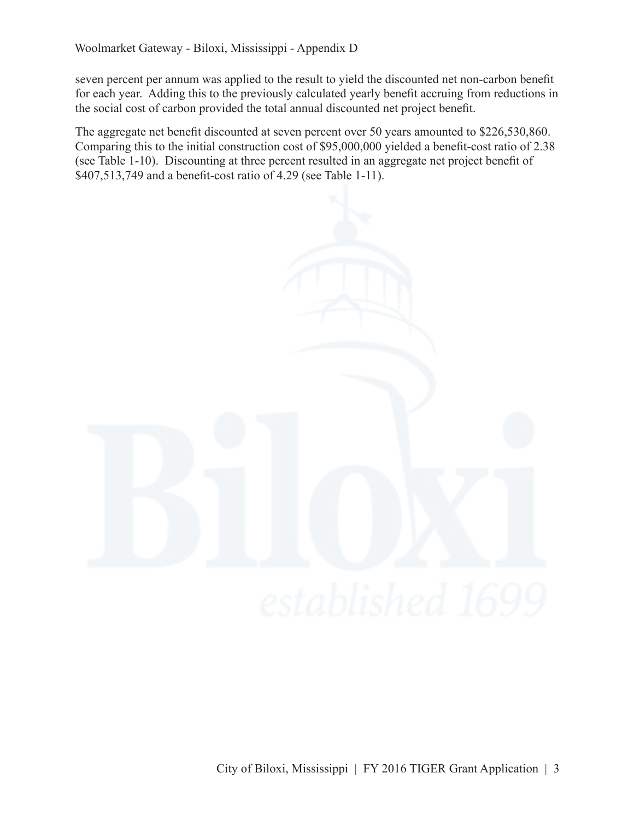seven percent per annum was applied to the result to yield the discounted net non-carbon benefit for each year. Adding this to the previously calculated yearly benefit accruing from reductions in the social cost of carbon provided the total annual discounted net project benefit.

The aggregate net benefit discounted at seven percent over 50 years amounted to \$226,530,860. Comparing this to the initial construction cost of \$95,000,000 yielded a benefit-cost ratio of 2.38 (see Table 1-10). Discounting at three percent resulted in an aggregate net project benefit of \$407,513,749 and a benefit-cost ratio of 4.29 (see Table 1-11).



City of Biloxi, Mississippi | FY 2016 TIGER Grant Application | 3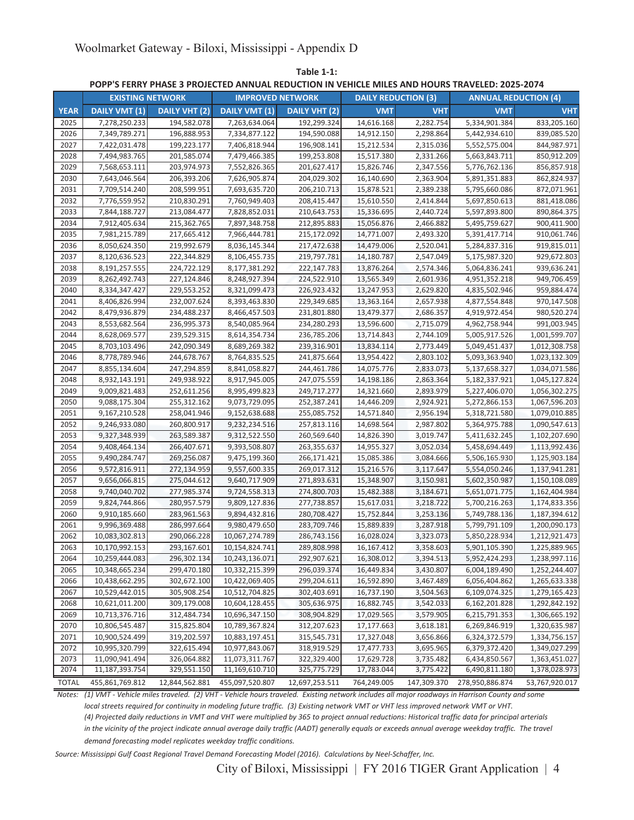|              | <b>EXISTING NETWORK</b> |                      | <b>IMPROVED NETWORK</b> |                | <b>DAILY REDUCTION (3)</b> |             | <b>ANNUAL REDUCTION (4)</b> |                |
|--------------|-------------------------|----------------------|-------------------------|----------------|----------------------------|-------------|-----------------------------|----------------|
| <b>YEAR</b>  | <b>DAILY VMT (1)</b>    | <b>DAILY VHT (2)</b> | DAILY VMT (1)           | DAILY VHT (2)  | <b>VMT</b>                 | <b>VHT</b>  | <b>VMT</b>                  | <b>VHT</b>     |
| 2025         | 7,278,250.233           | 194,582.078          | 7,263,634.064           | 192,299.324    | 14,616.168                 | 2,282.754   | 5,334,901.384               | 833,205.160    |
| 2026         | 7,349,789.271           | 196,888.953          | 7,334,877.122           | 194,590.088    | 14,912.150                 | 2,298.864   | 5,442,934.610               | 839,085.520    |
| 2027         | 7,422,031.478           | 199,223.177          | 7,406,818.944           | 196,908.141    | 15,212.534                 | 2,315.036   | 5,552,575.004               | 844,987.971    |
| 2028         | 7,494,983.765           | 201,585.074          | 7,479,466.385           | 199,253.808    | 15,517.380                 | 2,331.266   | 5,663,843.711               | 850,912.209    |
| 2029         | 7,568,653.111           | 203,974.973          | 7,552,826.365           | 201,627.417    | 15,826.746                 | 2,347.556   | 5,776,762.136               | 856,857.918    |
| 2030         | 7,643,046.564           | 206,393.206          | 7,626,905.874           | 204,029.302    | 16,140.690                 | 2,363.904   | 5,891,351.883               | 862,824.937    |
| 2031         | 7,709,514.240           | 208,599.951          | 7,693,635.720           | 206,210.713    | 15,878.521                 | 2,389.238   | 5,795,660.086               | 872,071.961    |
| 2032         | 7,776,559.952           | 210,830.291          | 7,760,949.403           | 208,415.447    | 15,610.550                 | 2,414.844   | 5,697,850.613               | 881,418.086    |
| 2033         | 7,844,188.727           | 213,084.477          | 7,828,852.031           | 210,643.753    | 15,336.695                 | 2,440.724   | 5,597,893.800               | 890,864.375    |
| 2034         | 7,912,405.634           | 215,362.765          | 7,897,348.758           | 212,895.883    | 15,056.876                 | 2,466.882   | 5,495,759.627               | 900,411.900    |
| 2035         | 7,981,215.789           | 217,665.412          | 7,966,444.781           | 215,172.092    | 14,771.007                 | 2,493.320   | 5,391,417.714               | 910,061.746    |
| 2036         | 8,050,624.350           | 219,992.679          | 8,036,145.344           | 217,472.638    | 14,479.006                 | 2,520.041   | 5,284,837.316               | 919,815.011    |
| 2037         | 8,120,636.523           | 222,344.829          | 8,106,455.735           | 219,797.781    | 14,180.787                 | 2,547.049   | 5,175,987.320               | 929,672.803    |
| 2038         | 8,191,257.555           | 224,722.129          | 8,177,381.292           | 222,147.783    | 13,876.264                 | 2,574.346   | 5,064,836.241               | 939,636.241    |
| 2039         | 8,262,492.743           | 227,124.846          | 8,248,927.394           | 224,522.910    | 13,565.349                 | 2,601.936   | 4,951,352.218               | 949,706.459    |
| 2040         | 8,334,347.427           | 229,553.252          | 8,321,099.473           | 226,923.432    | 13,247.953                 | 2.629.820   | 4,835,502.946               | 959,884.474    |
| 2041         | 8,406,826.994           | 232,007.624          | 8,393,463.830           | 229,349.685    | 13,363.164                 | 2,657.938   | 4,877,554.848               | 970,147.508    |
| 2042         | 8,479,936.879           | 234,488.237          | 8,466,457.503           | 231,801.880    | 13,479.377                 | 2,686.357   | 4,919,972.454               | 980,520.274    |
| 2043         | 8,553,682.564           | 236,995.373          | 8,540,085.964           | 234,280.293    | 13,596.600                 | 2,715.079   | 4,962,758.944               | 991,003.945    |
| 2044         | 8,628,069.577           | 239,529.315          | 8,614,354.734           | 236,785.206    | 13,714.843                 | 2,744.109   | 5,005,917.526               | 1,001,599.707  |
| 2045         | 8,703,103.496           | 242,090.349          | 8,689,269.382           | 239,316.901    | 13,834.114                 | 2,773.449   | 5,049,451.437               | 1,012,308.758  |
| 2046         | 8,778,789.946           | 244,678.767          | 8,764,835.525           | 241,875.664    | 13,954.422                 | 2,803.102   | 5,093,363.940               | 1,023,132.309  |
| 2047         | 8,855,134.604           | 247,294.859          | 8,841,058.827           | 244,461.786    | 14,075.776                 | 2,833.073   | 5,137,658.327               | 1,034,071.586  |
| 2048         | 8,932,143.191           | 249,938.922          | 8,917,945.005           | 247,075.559    | 14,198.186                 | 2,863.364   | 5,182,337.921               | 1,045,127.824  |
| 2049         | 9,009,821.483           | 252,611.256          | 8,995,499.823           | 249,717.277    | 14,321.660                 | 2,893.979   | 5,227,406.070               | 1,056,302.275  |
| 2050         | 9,088,175.304           | 255,312.162          | 9,073,729.095           | 252,387.241    | 14,446.209                 | 2,924.921   | 5,272,866.153               | 1,067,596.203  |
| 2051         | 9,167,210.528           | 258,041.946          | 9,152,638.688           | 255,085.752    | 14,571.840                 | 2,956.194   | 5,318,721.580               | 1,079,010.885  |
| 2052         | 9,246,933.080           | 260,800.917          | 9,232,234.516           | 257,813.116    | 14,698.564                 | 2,987.802   | 5,364,975.788               | 1,090,547.613  |
| 2053         | 9,327,348.939           | 263,589.387          | 9,312,522.550           | 260,569.640    | 14,826.390                 | 3,019.747   | 5,411,632.245               | 1,102,207.690  |
| 2054         | 9,408,464.134           | 266,407.671          | 9,393,508.807           | 263,355.637    | 14,955.327                 | 3,052.034   | 5,458,694.449               | 1,113,992.436  |
| 2055         | 9,490,284.747           | 269,256.087          | 9,475,199.360           | 266,171.421    | 15,085.386                 | 3,084.666   | 5,506,165.930               | 1,125,903.184  |
| 2056         | 9,572,816.911           | 272,134.959          | 9,557,600.335           | 269,017.312    | 15,216.576                 | 3,117.647   | 5,554,050.246               | 1,137,941.281  |
| 2057         | 9,656,066.815           | 275,044.612          | 9,640,717.909           | 271,893.631    | 15,348.907                 | 3,150.981   | 5,602,350.987               | 1,150,108.089  |
| 2058         | 9,740,040.702           | 277,985.374          | 9,724,558.313           | 274,800.703    | 15,482.388                 | 3,184.671   | 5,651,071.775               | 1,162,404.984  |
| 2059         | 9,824,744.866           | 280,957.579          | 9,809,127.836           | 277,738.857    | 15,617.031                 | 3,218.722   | 5,700,216.263               | 1,174,833.356  |
| 2060         | 9,910,185.660           | 283,961.563          | 9,894,432.816           | 280,708.427    | 15,752.844                 | 3,253.136   | 5,749,788.136               | 1,187,394.612  |
| 2061         | 9,996,369.488           | 286,997.664          | 9,980,479.650           | 283,709.746    | 15,889.839                 | 3,287.918   | 5,799,791.109               | 1,200,090.173  |
| 2062         | 10,083,302.813          | 290,066.228          | 10,067,274.789          | 286,743.156    | 16,028.024                 | 3,323.073   | 5,850,228.934               | 1,212,921.473  |
| 2063         | 10,170,992.153          | 293,167.601          | 10,154,824.741          | 289,808.998    | 16,167.412                 | 3,358.603   | 5,901,105.390               | 1,225,889.965  |
| 2064         | 10,259,444.083          | 296,302.134          | 10,243,136.071          | 292,907.621    | 16,308.012                 | 3,394.513   | 5,952,424.293               | 1,238,997.116  |
| 2065         | 10,348,665.234          | 299,470.180          | 10,332,215.399          | 296,039.374    | 16,449.834                 | 3,430.807   | 6,004,189.490               | 1,252,244.407  |
| 2066         | 10,438,662.295          | 302,672.100          | 10,422,069.405          | 299,204.611    | 16,592.890                 | 3,467.489   | 6,056,404.862               | 1,265,633.338  |
| 2067         | 10,529,442.015          | 305,908.254          | 10,512,704.825          | 302,403.691    | 16,737.190                 | 3,504.563   | 6,109,074.325               | 1,279,165.423  |
| 2068         | 10,621,011.200          | 309,179.008          | 10,604,128.455          | 305,636.975    | 16,882.745                 | 3,542.033   | 6,162,201.828               | 1,292,842.192  |
| 2069         | 10,713,376.716          | 312,484.734          | 10,696,347.150          | 308,904.829    | 17,029.565                 | 3,579.905   | 6,215,791.353               | 1,306,665.192  |
| 2070         | 10,806,545.487          | 315,825.804          | 10,789,367.824          | 312,207.623    | 17,177.663                 | 3,618.181   | 6,269,846.919               | 1,320,635.987  |
| 2071         | 10,900,524.499          | 319,202.597          | 10,883,197.451          | 315,545.731    | 17,327.048                 | 3,656.866   | 6,324,372.579               | 1,334,756.157  |
| 2072         | 10,995,320.799          | 322,615.494          | 10,977,843.067          | 318,919.529    | 17,477.733                 | 3,695.965   | 6,379,372.420               | 1,349,027.299  |
| 2073         | 11,090,941.494          | 326,064.882          | 11,073,311.767          | 322,329.400    | 17,629.728                 | 3,735.482   | 6,434,850.567               | 1,363,451.027  |
| 2074         | 11,187,393.754          | 329,551.150          | 11,169,610.710          | 325,775.729    | 17,783.044                 | 3,775.422   | 6,490,811.180               | 1,378,028.973  |
| <b>TOTAL</b> | 455,861,769.812         | 12,844,562.881       | 455,097,520.807         | 12,697,253.511 | 764,249.005                | 147,309.370 | 278,950,886.874             | 53,767,920.017 |

**Table 1-1:**

**POPP'S FERRY PHASE 3 PROJECTED ANNUAL REDUCTION IN VEHICLE MILES AND HOURS TRAVELED: 2025-2074**

*Notes: (1) VMT - Vehicle miles traveled. (2) VHT - Vehicle hours traveled. Existing network includes all major roadways in Harrison County and some*

*local streets required for continuity in modeling future traffic. (3) Existing network VMT or VHT less improved network VMT or VHT. (4) Projected daily reductions in VMT and VHT were multiplied by 365 to project annual reductions: Historical traffic data for principal arterials in the vicinity of the project indicate annual average daily traffic (AADT) generally equals or exceeds annual average weekday traffic. The travel demand forecasting model replicates weekday traffic conditions.*

*Source: Mississippi Gulf Coast Regional Travel Demand Forecasting Model (2016). Calculations by Neel-Schaffer, Inc.*

City of Biloxi, Mississippi | FY 2016 TIGER Grant Application | 4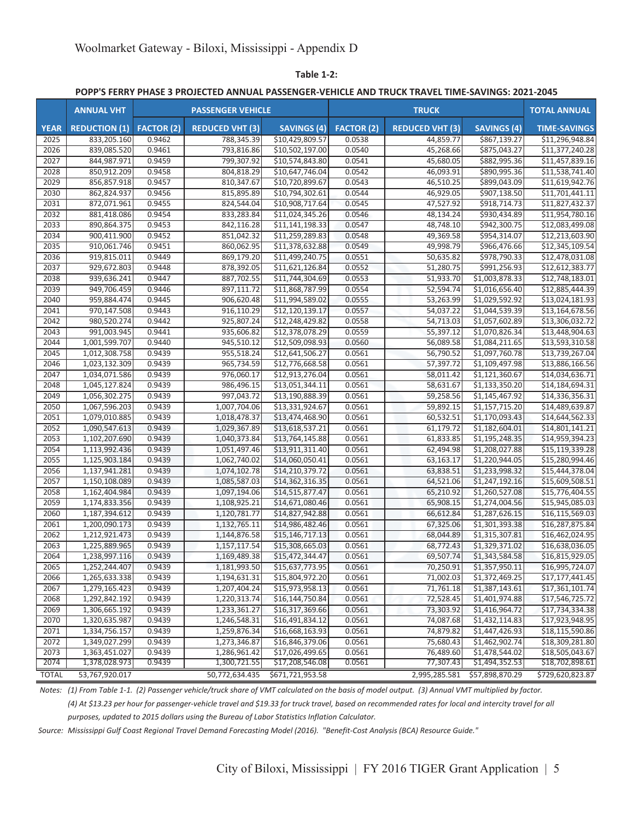**Table 1-2:**

**POPP'S FERRY PHASE 3 PROJECTED ANNUAL PASSENGER-VEHICLE AND TRUCK TRAVEL TIME-SAVINGS: 2021-2045**

|              | <b>ANNUAL VHT</b>    |                   | <b>PASSENGER VEHICLE</b> |                    |                   | <b>TRUCK</b>           |                    | <b>TOTAL ANNUAL</b> |
|--------------|----------------------|-------------------|--------------------------|--------------------|-------------------|------------------------|--------------------|---------------------|
| <b>YEAR</b>  | <b>REDUCTION (1)</b> | <b>FACTOR (2)</b> | <b>REDUCED VHT (3)</b>   | <b>SAVINGS (4)</b> | <b>FACTOR (2)</b> | <b>REDUCED VHT (3)</b> | <b>SAVINGS (4)</b> | <b>TIME-SAVINGS</b> |
| 2025         | 833,205.160          | 0.9462            | 788,345.39               | \$10,429,809.57    | 0.0538            | 44,859.77              | \$867,139.27       | \$11,296,948.84     |
| 2026         | 839,085.520          | 0.9461            | 793,816.86               | \$10,502,197.00    | 0.0540            | 45,268.66              | \$875,043.27       | \$11,377,240.28     |
| 2027         | 844,987.971          | 0.9459            | 799,307.92               | \$10,574,843.80    | 0.0541            | 45,680.05              | \$882,995.36       | \$11,457,839.16     |
| 2028         | 850,912.209          | 0.9458            | 804,818.29               | \$10,647,746.04    | 0.0542            | 46,093.91              | \$890,995.36       | \$11,538,741.40     |
| 2029         | 856,857.918          | 0.9457            | 810,347.67               | \$10,720,899.67    | 0.0543            | 46,510.25              | \$899,043.09       | \$11,619,942.76     |
| 2030         | 862,824.937          | 0.9456            | 815,895.89               | \$10,794,302.61    | 0.0544            | 46,929.05              | \$907,138.50       | \$11,701,441.11     |
| 2031         | 872,071.961          | 0.9455            | 824,544.04               | \$10,908,717.64    | 0.0545            | 47,527.92              | \$918,714.73       | \$11,827,432.37     |
| 2032         | 881,418.086          | 0.9454            | 833,283.84               | \$11,024,345.26    | 0.0546            | 48,134.24              | \$930,434.89       | \$11,954,780.16     |
| 2033         | 890.864.375          | 0.9453            | 842,116.28               | \$11,141,198.33    | 0.0547            | 48.748.10              | \$942,300.75       | \$12,083,499.08     |
| 2034         | 900,411.900          | 0.9452            | 851,042.32               | \$11,259,289.83    | 0.0548            | 49,369.58              | \$954,314.07       | \$12,213,603.90     |
| 2035         | 910,061.746          | 0.9451            | 860,062.95               | \$11,378,632.88    | 0.0549            | 49,998.79              | \$966,476.66       | \$12,345,109.54     |
| 2036         | 919,815.011          | 0.9449            | 869,179.20               | \$11,499,240.75    | 0.0551            | 50,635.82              | \$978,790.33       | \$12,478,031.08     |
| 2037         | 929,672.803          | 0.9448            | 878,392.05               | \$11,621,126.84    | 0.0552            | 51,280.75              | \$991,256.93       | \$12,612,383.77     |
| 2038         | 939,636.241          | 0.9447            | 887,702.55               | \$11,744,304.69    | 0.0553            | 51,933.70              | \$1,003,878.33     | \$12,748,183.01     |
| 2039         | 949,706.459          | 0.9446            | 897,111.72               | \$11,868,787.99    | 0.0554            | 52,594.74              | \$1,016,656.40     | \$12,885,444.39     |
| 2040         | 959,884.474          | 0.9445            | 906,620.48               | \$11,994,589.02    | 0.0555            | 53,263.99              | \$1,029,592.92     | \$13,024,181.93     |
| 2041         | 970,147.508          | 0.9443            | 916,110.29               | \$12,120,139.17    | 0.0557            | 54,037.22              | \$1,044,539.39     | \$13,164,678.56     |
| 2042         | 980,520.274          | 0.9442            | 925,807.24               | \$12,248,429.82    | 0.0558            | 54,713.03              | \$1,057,602.89     | \$13,306,032.72     |
| 2043         | 991,003.945          | 0.9441            | 935,606.82               | \$12,378,078.29    | 0.0559            | 55,397.12              | \$1,070,826.34     | \$13,448,904.63     |
| 2044         | 1,001,599.707        | 0.9440            | 945,510.12               | \$12,509,098.93    | 0.0560            | 56,089.58              | \$1,084,211.65     | \$13,593,310.58     |
| 2045         | 1,012,308.758        | 0.9439            | 955,518.24               | \$12,641,506.27    | 0.0561            | 56,790.52              | \$1,097,760.78     | \$13,739,267.04     |
| 2046         | 1,023,132.309        | 0.9439            | 965,734.59               | \$12,776,668.58    | 0.0561            | 57,397.72              | \$1,109,497.98     | \$13,886,166.56     |
| 2047         | 1,034,071.586        | 0.9439            | 976,060.17               | \$12,913,276.04    | 0.0561            | 58,011.42              | \$1,121,360.67     | \$14,034,636.71     |
| 2048         | 1,045,127.824        | 0.9439            | 986,496.15               | \$13,051,344.11    | 0.0561            | 58,631.67              | \$1,133,350.20     | \$14,184,694.31     |
| 2049         | 1,056,302.275        | 0.9439            | 997,043.72               | \$13,190,888.39    | 0.0561            | 59,258.56              | \$1,145,467.92     | \$14,336,356.31     |
| 2050         | 1,067,596.203        | 0.9439            | 1,007,704.06             | \$13,331,924.67    | 0.0561            | 59,892.15              | \$1,157,715.20     | \$14,489,639.87     |
| 2051         | 1,079,010.885        | 0.9439            | 1,018,478.37             | \$13,474,468.90    | 0.0561            | 60,532.51              | \$1,170,093.43     | \$14,644,562.33     |
| 2052         | 1,090,547.613        | 0.9439            | 1,029,367.89             | \$13,618,537.21    | 0.0561            | 61,179.72              | \$1,182,604.01     | \$14,801,141.21     |
| 2053         | 1,102,207.690        | 0.9439            | 1,040,373.84             | \$13,764,145.88    | 0.0561            | 61,833.85              | \$1,195,248.35     | \$14,959,394.23     |
| 2054         | 1,113,992.436        | 0.9439            | 1,051,497.46             | \$13,911,311.40    | 0.0561            | 62,494.98              | \$1,208,027.88     | \$15,119,339.28     |
| 2055         | 1,125,903.184        | 0.9439            | 1,062,740.02             | \$14,060,050.41    | 0.0561            | 63,163.17              | \$1,220,944.05     | \$15,280,994.46     |
| 2056         | 1,137,941.281        | 0.9439            | 1,074,102.78             | \$14,210,379.72    | 0.0561            | 63,838.51              | \$1,233,998.32     | \$15,444,378.04     |
| 2057         | 1,150,108.089        | 0.9439            | 1,085,587.03             | \$14,362,316.35    | 0.0561            | 64,521.06              | \$1,247,192.16     | \$15,609,508.51     |
| 2058         | 1,162,404.984        | 0.9439            | 1,097,194.06             | \$14,515,877.47    | 0.0561            | 65,210.92              | \$1,260,527.08     | \$15,776,404.55     |
| 2059         | 1,174,833.356        | 0.9439            | 1,108,925.21             | \$14,671,080.46    | 0.0561            | 65,908.15              | \$1,274,004.56     | \$15,945,085.03     |
| 2060         | 1,187,394.612        | 0.9439            | 1,120,781.77             | \$14,827,942.88    | 0.0561            | 66,612.84              | \$1,287,626.15     | \$16,115,569.03     |
| 2061         | 1,200,090.173        | 0.9439            | 1,132,765.11             | \$14,986,482.46    | 0.0561            | 67,325.06              | \$1,301,393.38     | \$16,287,875.84     |
| 2062         | 1,212,921.473        | 0.9439            | 1,144,876.58             | \$15,146,717.13    | 0.0561            | 68,044.89              | \$1,315,307.81     | \$16,462,024.95     |
| 2063         | 1,225,889.965        | 0.9439            | 1,157,117.54             | \$15,308,665.03    | 0.0561            | 68,772.43              | \$1,329,371.02     | \$16,638,036.05     |
| 2064         | 1,238,997.116        | 0.9439            | 1,169,489.38             | \$15,472,344.47    | 0.0561            | 69,507.74              | \$1,343,584.58     | \$16,815,929.05     |
| 2065         | 1,252,244.407        | 0.9439            | 1,181,993.50             | \$15,637,773.95    | 0.0561            | 70,250.91              | \$1,357,950.11     | \$16,995,724.07     |
| 2066         | 1,265,633.338        | 0.9439            | 1,194,631.31             | \$15,804,972.20    | 0.0561            | 71,002.03              | \$1,372,469.25     | \$17,177,441.45     |
| 2067         | 1,279,165.423        | 0.9439            | 1,207,404.24             | \$15,973,958.13    | 0.0561            | 71,761.18              | \$1,387,143.61     | \$17,361,101.74     |
| 2068         | 1,292,842.192        | 0.9439            | 1,220,313.74             | \$16,144,750.84    | 0.0561            | 72,528.45              | \$1,401,974.88     | \$17,546,725.72     |
| 2069         | 1,306,665.192        | 0.9439            | 1,233,361.27             | \$16,317,369.66    | 0.0561            | 73,303.92              | \$1,416,964.72     | \$17,734,334.38     |
| 2070         | 1,320,635.987        | 0.9439            | 1,246,548.31             | \$16,491,834.12    | 0.0561            | 74,087.68              | \$1,432,114.83     | \$17,923,948.95     |
| 2071         | 1,334,756.157        | 0.9439            | 1,259,876.34             | \$16,668,163.93    | 0.0561            | 74,879.82              | \$1,447,426.93     | \$18,115,590.86     |
| 2072         | 1,349,027.299        | 0.9439            | 1,273,346.87             | \$16,846,379.06    | 0.0561            | 75,680.43              | \$1,462,902.74     | \$18,309,281.80     |
| 2073         | 1,363,451.027        | 0.9439            | 1,286,961.42             | \$17,026,499.65    | 0.0561            | 76,489.60              | \$1,478,544.02     | \$18,505,043.67     |
| 2074         | 1,378,028.973        | 0.9439            | 1,300,721.55             | \$17,208,546.08    | 0.0561            | 77,307.43              | \$1,494,352.53     | \$18,702,898.61     |
| <b>TOTAL</b> | 53,767,920.017       |                   | 50,772,634.435           | \$671,721,953.58   |                   | 2,995,285.581          | \$57,898,870.29    | \$729,620,823.87    |

*Notes: (1) From Table 1-1. (2) Passenger vehicle/truck share of VMT calculated on the basis of model output. (3) Annual VMT multiplied by factor.*

*(4) At \$13.23 per hour for passenger-vehicle travel and \$19.33 for truck travel, based on recommended rates for local and intercity travel for all purposes, updated to 2015 dollars using the Bureau of Labor Statistics Inflation Calculator.*

*Source: Mississippi Gulf Coast Regional Travel Demand Forecasting Model (2016). "Benefit-Cost Analysis (BCA) Resource Guide."*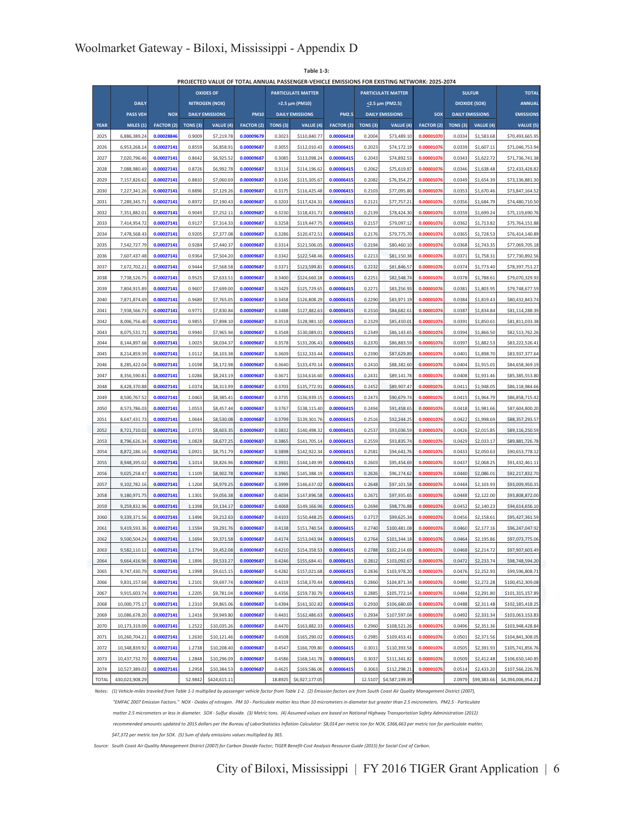**Table 1-3:**

**PROJECTED VALUE OF TOTAL ANNUAL PASSENGER-VEHICLE EMISSIONS FOR EXISTING NETWORK: 2025-2074**

| <b>DAILY</b><br><b>NITROGEN (NOX)</b><br><b>DIOXIDE (SOX)</b><br><b>ANNUAL</b><br>>2.5 µm (PM10)<br><2.5 µm (PM2.5)<br><b>PASS VEH</b><br><b>NOX</b><br><b>DAILY EMISSIONS</b><br><b>PM10</b><br><b>DAILY EMISSIONS</b><br><b>PM2.5</b><br><b>DAILY EMISSIONS</b><br>SOX<br><b>DAILY EMISSIONS</b><br><b>EMISSIONS</b><br><b>YEAR</b><br>MILES (1)<br><b>FACTOR (2)</b><br>TONS <sub>(3)</sub><br>VALUE (4)<br><b>FACTOR (2)</b><br><b>TONS (3)</b><br>VALUE (4)<br><b>FACTOR (2)</b><br>TONS <sub>(3)</sub><br>VALUE (4)<br><b>FACTOR (2)</b><br>TONS <sub>(3)</sub><br>VALUE (4)<br>VALUE (5)<br>0.00009679<br>2025<br>6,886,389.24<br>0.00028846<br>0.9009<br>\$7,219.78<br>0.3023<br>\$110,840.77<br>0.00006418<br>0.2004<br>\$73,489.10<br>0.00001070<br>0.0334<br>\$1,583.68<br>\$70,493,665.95<br>2026<br>0.00027141<br>0.8559<br>\$6,858.91<br>0.00009687<br>0.3055<br>\$112,010.43<br>0.00006415<br>0.2023<br>\$74,172.19<br>0.00001076<br>0.0339<br>\$1,607.11<br>6,953,268.14<br>\$71,046,753.94<br>2027<br>7,020,796.46<br>0.00027141<br>0.8642<br>\$6.925.52<br>0.00009687<br>0.3085<br>\$113,098.24<br>0.00006415<br>0.2043<br>\$74,892.53<br>0.00001076<br>0.0343<br>\$1,622.72<br>\$71,736,741.38<br>2028<br>7,088,980.49<br>0.00027141<br>0.8726<br>\$6,992.78<br>0.00009687<br>0.3114<br>0.2062<br>\$75,619.87<br>0.0346<br>\$1,638.48<br>\$72,433,428.82<br>\$114,196.62<br>0.00006415<br>0.00001076<br>2029<br>7,157,826.62<br>0.00027141<br>0.8810<br>\$7,060.69<br>0.00009687<br>0.3145<br>\$115,305.67<br>0.00006415<br>0.2082<br>\$76,354.27<br>0.00001076<br>0.0349<br>\$1,654.39<br>\$73,136,881.30<br>2030<br>0.00027141<br>0.8896<br>0.00009687<br>0.3175<br>\$116,425.48<br>0.2103<br>\$77,095.80<br>0.00001076<br>0.0353<br>\$1,670.46<br>7,227,341.26<br>\$7,129.26<br>0.00006415<br>\$73,847,164.52<br>2031<br>7,289,345.71<br>0.00027141<br>0.8972<br>\$7,190.43<br>0.00009687<br>0.3203<br>\$117.424.31<br>0.00006415<br>0.2121<br>\$77,757.21<br>0.00001076<br>0.0356<br>\$1,684.79<br>\$74,480,710.50<br>2032<br>7,351,882.01<br>0.00027141<br>0.9049<br>0.00009687<br>0.3230<br>\$118,431.71<br>0.00006415<br>0.2139<br>\$78,424.30<br>0.00001076<br>0.0359<br>\$75,119,690.76<br>\$7,252.11<br>\$1,699.24<br>2033<br>7,414,954.72<br>0.00027141<br>0.9127<br>\$7,314.33<br>0.00009687<br>0.3258<br>\$119,447.75<br>0.00006415<br>0.2157<br>\$79,097.12<br>0.00001076<br>0.0362<br>\$1,713.82<br>\$75,764,151.88<br>2034<br>7,478,568.43<br>0.00027141<br>0.9205<br>0.00009687<br>0.3286<br>\$120,472.51<br>0.00006415<br>0.2176<br>0.00001076<br>0.0365<br>\$1,728.53<br>\$7,377.08<br>\$79,775.70<br>\$76,414,140.89<br>2035<br>7,542,727.79<br>0.00027141<br>0.9284<br>\$7,440.37<br>0.00009687<br>0.3314<br>\$121,506.05<br>0.00006415<br>0.2194<br>\$80,460.10<br>0.00001076<br>0.0368<br>\$1,743.35<br>\$77,069,705.18<br>2036<br>0.00027141<br>0.9364<br>0.00009687<br>0.3342<br>0.2213<br>0.00001076<br>0.0371<br>\$77,730,892.56<br>7,607,437.48<br>\$7,504.20<br>\$122,548.46<br>0.00006415<br>\$81,150.38<br>\$1,758.31<br>2037<br>7,672,702.21<br>0.00027141<br>0.9444<br>\$7,568.58<br>0.00009687<br>0.3371<br>\$123,599.81<br>0.00006415<br>0.2232<br>\$81,846.57<br>0.00001076<br>0.0374<br>\$1,773.40<br>\$78,397,751.27<br>2038<br>0.00027141<br>0.9525<br>0.00009687<br>0.3400<br>\$124,660.18<br>0.2251<br>\$82,548.74<br>0.00001076<br>0.0378<br>\$1,788.61<br>\$79,070,329.93<br>7,738,526.75<br>\$7,633.51<br>0.00006415<br>2039<br>7,804,915.89<br>0.00027141<br>0.9607<br>\$7,699.00<br>0.00009687<br>0.3429<br>\$125,729.65<br>0.00006415<br>0.2271<br>\$83,256.93<br>0.00001076<br>0.0381<br>\$1,803.95<br>\$79,748,677.59<br>2040<br>7,871,874.49<br>0.00027141<br>0.9689<br>\$7,765.05<br>0.00009687<br>0.3458<br>\$126,808.29<br>0.2290<br>\$83,971.19<br>0.00001076<br>0.0384<br>\$1,819.43<br>0.00006415<br>\$80,432,843.74<br>2041<br>7,938,566.73<br>0.00027141<br>0.9771<br>\$7,830.84<br>0.00009687<br>0.3488<br>\$127,882.63<br>0.00006415<br>0.2310<br>\$84,682.61<br>0.00001076<br>0.0387<br>\$1,834.84<br>\$81,114,288.39<br>2042<br>0.00027141<br>0.9855<br>0.00009687<br>0.3518<br>\$128,981.10<br>0.00006415<br>0.2329<br>\$85,410.01<br>0.00001076<br>0.0391<br>\$1,850.61<br>\$81,811,033.38<br>8,006,756.40<br>\$7,898.10<br>2043<br>8,075,531.71<br>0.00027141<br>0.9940<br>\$7,965.94<br>0.00009687<br>0.3548<br>\$130,089.01<br>0.00006415<br>0.2349<br>\$86,143.65<br>0.00001076<br>0.0394<br>\$1,866.50<br>\$82,513,762.26<br>0.00027141<br>1.0025<br>\$8,034.37<br>0.00009687<br>0.3578<br>\$131,206.43<br>0.2370<br>\$86,883.59<br>0.00001076<br>0.0397<br>\$1,882.53<br>\$83,222,526.41<br>2044<br>8,144,897.68<br>0.00006415<br>2045<br>8,214,859.39<br>0.00027141<br>1.0112<br>\$8,103.38<br>0.00009687<br>0.3609<br>\$132,333.44<br>0.00006415<br>0.2390<br>\$87,629.89<br>0.00001076<br>0.0401<br>\$1,898.70<br>\$83,937,377.64<br>2046<br>8,285,422.04<br>0.00027141<br>1.0198<br>\$8,172.98<br>0.00009687<br>0.3640<br>\$133,470.14<br>0.00006415<br>0.2410<br>\$88,382.60<br>0.00001076<br>0.0404<br>\$1,915.01<br>\$84,658,369.19<br>2047<br>8,356,590.81<br>0.00027141<br>1.0286<br>\$8,243.19<br>0.00009687<br>0.3671<br>\$134,616.60<br>0.00006415<br>0.2431<br>\$89,141.78<br>0.00001076<br>0.0408<br>\$1,931.46<br>\$85.385.553.80<br>2048<br>8,428,370.88<br>0.00027141<br>1.0374<br>\$8,313.99<br>0.00009687<br>0.3703<br>\$135,772.91<br>0.00006415<br>0.2452<br>\$89,907.47<br>0.00001076<br>0.0411<br>\$1,948.05<br>\$86,118,984.66<br>2049<br>8,500,767.52<br>0.00027141<br>1.0463<br>\$8,385.41<br>0.00009687<br>0.3735<br>\$136,939.15<br>0.00006415<br>0.2473<br>\$90,679.74<br>0.00001076<br>0.0415<br>\$1,964.79<br>\$86,858,715.42<br>2050<br>8,573,786.03<br>0.00027141<br>1.0553<br>\$8,457.44<br>0.00009687<br>0.3767<br>0.00006415<br>0.2494<br>\$91,458.65<br>0.00001076<br>0.0418<br>\$1,981.66<br>\$138,115.40<br>\$87,604,800,20<br>8,647,431.73<br>0.00027141<br>1.0644<br>\$8,530.08<br>0.00009687<br>0.3799<br>0.0000641<br>0.2516<br>\$92,244.2<br>0.00001076<br>0.0422<br>\$1,998.69<br>2051<br>\$139,301.76<br>\$88,357,293.57<br>2052<br>8,721,710.02<br>0.00027141<br>1.0735<br>\$8,603.35<br>0.00009687<br>0.3832<br>\$140,498.32<br>0.00006415<br>0.2537<br>\$93,036.59<br>0.00001076<br>0.0426<br>\$2,015.85<br>\$89,116,250.59<br>0.00027141<br>1.0828<br>0.00009687<br>0.3865<br>0.00006415<br>0.2559<br>\$93,835.74<br>0.0429<br>2053<br>8,796,626.34<br>\$8,677.25<br>\$141,705.14<br>0.00001076<br>\$2,033.17<br>\$89,881,726.78<br>0.00027141<br>1.0921<br>0.00009687<br>0.3898<br>\$142,922.34<br>0.00001076<br>0.0433<br>\$2,050.63<br>\$90,653,778.12<br>2054<br>8,872,186.16<br>\$8,751.79<br>0.00006415<br>0.2581<br>\$94,641.76<br>0.00009687<br>8,948,395.02<br>0.00027141<br>1.1014<br>\$8,826.96<br>0.3931<br>0.0000641<br>0.2603<br>\$95,454.69<br>0.00001076<br>0.0437<br>\$2,068.25<br>2055<br>\$144,149.99<br>\$91,432,461.11<br>2056<br>9,025,258.47<br>0.00027141<br>1.1109<br>\$8,902.78<br>0.00009687<br>0.3965<br>\$145,388.19<br>0.00006415<br>0.2626<br>\$96,274.62<br>0.00001076<br>0.0440<br>\$2,086.01<br>\$92,217,832.70<br>9,102,782.16<br>0.00027141<br>1.1204<br>\$8,979.25<br>0.00009687<br>0.3999<br>0.00006415<br>0.00001076<br>0.0444<br>2057<br>\$146,637.0<br>0.2648<br>\$97,101.58<br>\$2,103.93<br>\$93,009,950.35<br>0.00027141<br>0.00009687<br>0.00001076<br>0.0448<br>2058<br>9,180,971.75<br>1.1301<br>\$9,056.38<br>0.4034<br>\$147,896.58<br>0.00006415<br>0.2671<br>\$97,935.65<br>\$2,122.00<br>\$93,808,872.00<br>2059<br>9,259,832.96<br>0.00027141<br>1.1398<br>0.00009687<br>0.4068<br>0.00006415<br>0.2694<br>\$98,776.88<br>0.0000107<br>0.0452<br>\$9,134.17<br>\$149,166.96<br>\$2,140.23<br>\$94,614,656.10<br>0.00027141<br>1.1496<br>0.4103<br>0.00006415<br>0.00001076<br>2060<br>9,339,371.56<br>\$9,212.63<br>0.00009687<br>\$150,448.25<br>0.2717<br>\$99,625.34<br>0.0456<br>\$2,158.61<br>\$95,427,361.59<br>0.00027141<br>1.1594<br>\$9,291.76<br>0.00009687<br>0.4138<br>0.2740<br>0.0000107<br>0.0460<br>2061<br>9.419.593.36<br>\$151.740.5<br>0.0000641<br>\$100,481.0<br>\$2,177.16<br>\$96,247,047.92<br>0.00027141<br>1.1694<br>0.00009687<br>0.4174<br>\$153,043.94<br>0.00001076<br>0.0464<br>2062<br>9,500,504.24<br>\$9,371.58<br>0.00006415<br>0.2764<br>\$101,344.18<br>\$2,195.86<br>\$97,073,775.06<br>\$9,452.08<br>0.4210<br>0.0468<br>2009<br>958211012<br>1 1794<br>\$154,358.53<br>0.2788<br>\$102,214.60<br>\$22147<br>\$97,907,603,49<br>0 <sub>0</sub><br>0.00027141<br>0.00009687<br>0.00006415<br>\$103,092.67<br>0.00001076<br>2064<br>9,664,416.96<br>1.1896<br>\$9,533.27<br>0.4246<br>\$155,684.41<br>0.2812<br>0.0472<br>\$2,233.74<br>\$98,748,594.20<br>0.00027141<br>1.1998<br>0.00009687<br>0.4282<br>0.00006415<br>0.2836<br>\$103,978.20<br>0.00001076<br>0.0476<br>2065<br>9,747,430.79<br>\$9,615.15<br>\$157,021.68<br>\$2,252.93<br>\$99,596,808.71<br>0.00027141<br>0.00009687<br>0.00006415<br>0.2860<br>0.00001076<br>0.0480<br>2066<br>9,831,157.68<br>1.2101<br>\$9,697.74<br>0.4319<br>\$158,370.44<br>\$104,871.34<br>\$2,272.28<br>\$100,452,309.08<br>0.00027141<br>0.00009687<br>2067<br>9,915,603.74<br>1.2205<br>0.4356<br>\$159,730.79<br>0.00006415<br>0.2885<br>\$105,772.14<br>0.00001076<br>0.0484<br>\$9,781.04<br>\$2,291.80<br>\$101,315,157.89<br>0.00001076<br>10,000,775.17<br>0.00027141<br>0.00009687<br>0.4394<br>\$161,102.82<br>0.00006415<br>0.2910<br>0.0488<br>2068<br>1.2310<br>\$9,865.06<br>\$106,680.69<br>\$2,311.48<br>\$102,185,418.25<br>0.00027141<br>0.00009687<br>0.4431<br>0.00006415<br>0.2934<br>\$107,597.04<br>0.00001076<br>0.0492<br>2069<br>10,086,678.20<br>1.2416<br>\$9,949.80<br>\$162,486.63<br>\$2,331.34<br>\$103,063,153.83<br>0.00027141<br>0.00009687<br>0.00006415<br>0.2960<br>0.00001076<br>0.0496<br>2070<br>10,173,319.09<br>1.2522<br>\$10,035.26<br>0.4470<br>\$163,882.33<br>\$108,521.26<br>\$2,351.36<br>\$103,948,428.84<br>2071<br>10,260,704.21<br>0.00027141<br>0.00009687<br>0.4508<br>\$165,290.02<br>0.00006415<br>0.2985<br>0.00001076<br>0.0501<br>1.2630<br>\$10,121.46<br>\$109,453.41<br>\$2,371.56<br>\$104,841,308.05<br>2072<br>10,348,839.92<br>0.00027141<br>0.00009687<br>\$166,709.80<br>0.00006415<br>0.3011<br>0.00001076<br>0.0505<br>1.2738<br>\$10,208.40<br>0.4547<br>\$110,393.58<br>\$2,391.93<br>\$105,741,856.76<br>0.00027141<br>1.2848<br>0.00009687<br>0.4586<br>0.00006415<br>0.3037<br>0.00001076<br>0.0509<br>2073<br>10,437,732.70<br>\$10,296.09<br>\$168,141.78<br>\$111,341.82<br>\$2,412.48<br>\$106,650,140.85<br>2074<br>10,527,389.02<br>0.00027141<br>1.2958<br>\$10,384.53<br>0.00009687<br>0.4625<br>\$169,586.06<br>0.00006415<br>0.3063<br>\$112,298.21<br>0.00001076<br>0.0514<br>\$2,433.20<br>\$107,566,226.78<br>52.9842<br>18.8925<br><b>TOTAL</b><br>430,023,908.29<br>\$424,615.11<br>\$6,927,177.05<br>12.5107<br>\$4,587,199.39<br>2.0979<br>\$99,383.66<br>\$4,394,006,954.21 |  |  | <b>OXIDES OF</b> |  | <b>PARTICULATE MATTER</b> |  | <b>PARTICULATE MATTER</b> |  | <b>SULFUR</b> | <b>TOTAL</b> |
|-----------------------------------------------------------------------------------------------------------------------------------------------------------------------------------------------------------------------------------------------------------------------------------------------------------------------------------------------------------------------------------------------------------------------------------------------------------------------------------------------------------------------------------------------------------------------------------------------------------------------------------------------------------------------------------------------------------------------------------------------------------------------------------------------------------------------------------------------------------------------------------------------------------------------------------------------------------------------------------------------------------------------------------------------------------------------------------------------------------------------------------------------------------------------------------------------------------------------------------------------------------------------------------------------------------------------------------------------------------------------------------------------------------------------------------------------------------------------------------------------------------------------------------------------------------------------------------------------------------------------------------------------------------------------------------------------------------------------------------------------------------------------------------------------------------------------------------------------------------------------------------------------------------------------------------------------------------------------------------------------------------------------------------------------------------------------------------------------------------------------------------------------------------------------------------------------------------------------------------------------------------------------------------------------------------------------------------------------------------------------------------------------------------------------------------------------------------------------------------------------------------------------------------------------------------------------------------------------------------------------------------------------------------------------------------------------------------------------------------------------------------------------------------------------------------------------------------------------------------------------------------------------------------------------------------------------------------------------------------------------------------------------------------------------------------------------------------------------------------------------------------------------------------------------------------------------------------------------------------------------------------------------------------------------------------------------------------------------------------------------------------------------------------------------------------------------------------------------------------------------------------------------------------------------------------------------------------------------------------------------------------------------------------------------------------------------------------------------------------------------------------------------------------------------------------------------------------------------------------------------------------------------------------------------------------------------------------------------------------------------------------------------------------------------------------------------------------------------------------------------------------------------------------------------------------------------------------------------------------------------------------------------------------------------------------------------------------------------------------------------------------------------------------------------------------------------------------------------------------------------------------------------------------------------------------------------------------------------------------------------------------------------------------------------------------------------------------------------------------------------------------------------------------------------------------------------------------------------------------------------------------------------------------------------------------------------------------------------------------------------------------------------------------------------------------------------------------------------------------------------------------------------------------------------------------------------------------------------------------------------------------------------------------------------------------------------------------------------------------------------------------------------------------------------------------------------------------------------------------------------------------------------------------------------------------------------------------------------------------------------------------------------------------------------------------------------------------------------------------------------------------------------------------------------------------------------------------------------------------------------------------------------------------------------------------------------------------------------------------------------------------------------------------------------------------------------------------------------------------------------------------------------------------------------------------------------------------------------------------------------------------------------------------------------------------------------------------------------------------------------------------------------------------------------------------------------------------------------------------------------------------------------------------------------------------------------------------------------------------------------------------------------------------------------------------------------------------------------------------------------------------------------------------------------------------------------------------------------------------------------------------------------------------------------------------------------------------------------------------------------------------------------------------------------------------------------------------------------------------------------------------------------------------------------------------------------------------------------------------------------------------------------------------------------------------------------------------------------------------------------------------------------------------------------------------------------------------------------------------------------------------------------------------------------------------------------------------------------------------------------------------------------------------------------------------------------------------------------------------------------------------------------------------------------------------------------------------------------------------------------------------------------------------------------------------------------------------------------------------------------------------------------------------------------------------------------------------------------------------------------------------------------------------------------------------------------------------------------------------------------------------------------------------------------------------------------------------------------------------------------------------------------------------------------------------------------------------------------------------------------------------------------------------------------------------------------------------------------------------------------------------------------------------------------------------------------------------------------------------------------------------------------------------------------------------------------------------------------------------------------------------------------------------------------------------------------------------------------------------------------------------------------------------------------------------------------------------------------------------------------------------------------------------------------------------------------------------------------------------------------------------------------------------------------------------------------------------------------------------------------------------------------------------------------------------------------------------------------------------------------------------------------------------------------------------------------------------------------------------------------------------------------------------------------------------------------------------------------------------------------------------------------------------------------------------------------------------------------------------------------------------------------------------------------------------------------------------------------------------------------------------------------------------------------------------------------------------------------------------------------------------------------------------------------------------------------------------------------------------------------------------------------------------------------------------------------------------------------------------------------------------------------------------------------------------------------------------------------------------------------------------------------------------------------------------------------------------------------------------------------------------------------------------------------------------------------------------------------------------------------------------------------------------------------------------------------------------------------------------------------------------------------------------------------------------------------------------------------------------------------------------------------------------------------------------------|--|--|------------------|--|---------------------------|--|---------------------------|--|---------------|--------------|
|                                                                                                                                                                                                                                                                                                                                                                                                                                                                                                                                                                                                                                                                                                                                                                                                                                                                                                                                                                                                                                                                                                                                                                                                                                                                                                                                                                                                                                                                                                                                                                                                                                                                                                                                                                                                                                                                                                                                                                                                                                                                                                                                                                                                                                                                                                                                                                                                                                                                                                                                                                                                                                                                                                                                                                                                                                                                                                                                                                                                                                                                                                                                                                                                                                                                                                                                                                                                                                                                                                                                                                                                                                                                                                                                                                                                                                                                                                                                                                                                                                                                                                                                                                                                                                                                                                                                                                                                                                                                                                                                                                                                                                                                                                                                                                                                                                                                                                                                                                                                                                                                                                                                                                                                                                                                                                                                                                                                                                                                                                                                                                                                                                                                                                                                                                                                                                                                                                                                                                                                                                                                                                                                                                                                                                                                                                                                                                                                                                                                                                                                                                                                                                                                                                                                                                                                                                                                                                                                                                                                                                                                                                                                                                                                                                                                                                                                                                                                                                                                                                                                                                                                                                                                                                                                                                                                                                                                                                                                                                                                                                                                                                                                                                                                                                                                                                                                                                                                                                                                                                                                                                                                                                                                                                                                                                                                                                                                                                                                                                                                                                                                                                                                                                                                                                                                                                                                                                                                                                                                                                                                                                                                                                                                                                                                                                                                                                                                                                                                                                                                                                                                                                                                                                                                                                                                                                                                                                                                                                                                                                                                                                                                                                                                                                                                                                                                                                                                                                                                                                                                                                                                 |  |  |                  |  |                           |  |                           |  |               |              |
|                                                                                                                                                                                                                                                                                                                                                                                                                                                                                                                                                                                                                                                                                                                                                                                                                                                                                                                                                                                                                                                                                                                                                                                                                                                                                                                                                                                                                                                                                                                                                                                                                                                                                                                                                                                                                                                                                                                                                                                                                                                                                                                                                                                                                                                                                                                                                                                                                                                                                                                                                                                                                                                                                                                                                                                                                                                                                                                                                                                                                                                                                                                                                                                                                                                                                                                                                                                                                                                                                                                                                                                                                                                                                                                                                                                                                                                                                                                                                                                                                                                                                                                                                                                                                                                                                                                                                                                                                                                                                                                                                                                                                                                                                                                                                                                                                                                                                                                                                                                                                                                                                                                                                                                                                                                                                                                                                                                                                                                                                                                                                                                                                                                                                                                                                                                                                                                                                                                                                                                                                                                                                                                                                                                                                                                                                                                                                                                                                                                                                                                                                                                                                                                                                                                                                                                                                                                                                                                                                                                                                                                                                                                                                                                                                                                                                                                                                                                                                                                                                                                                                                                                                                                                                                                                                                                                                                                                                                                                                                                                                                                                                                                                                                                                                                                                                                                                                                                                                                                                                                                                                                                                                                                                                                                                                                                                                                                                                                                                                                                                                                                                                                                                                                                                                                                                                                                                                                                                                                                                                                                                                                                                                                                                                                                                                                                                                                                                                                                                                                                                                                                                                                                                                                                                                                                                                                                                                                                                                                                                                                                                                                                                                                                                                                                                                                                                                                                                                                                                                                                                                                                                 |  |  |                  |  |                           |  |                           |  |               |              |
|                                                                                                                                                                                                                                                                                                                                                                                                                                                                                                                                                                                                                                                                                                                                                                                                                                                                                                                                                                                                                                                                                                                                                                                                                                                                                                                                                                                                                                                                                                                                                                                                                                                                                                                                                                                                                                                                                                                                                                                                                                                                                                                                                                                                                                                                                                                                                                                                                                                                                                                                                                                                                                                                                                                                                                                                                                                                                                                                                                                                                                                                                                                                                                                                                                                                                                                                                                                                                                                                                                                                                                                                                                                                                                                                                                                                                                                                                                                                                                                                                                                                                                                                                                                                                                                                                                                                                                                                                                                                                                                                                                                                                                                                                                                                                                                                                                                                                                                                                                                                                                                                                                                                                                                                                                                                                                                                                                                                                                                                                                                                                                                                                                                                                                                                                                                                                                                                                                                                                                                                                                                                                                                                                                                                                                                                                                                                                                                                                                                                                                                                                                                                                                                                                                                                                                                                                                                                                                                                                                                                                                                                                                                                                                                                                                                                                                                                                                                                                                                                                                                                                                                                                                                                                                                                                                                                                                                                                                                                                                                                                                                                                                                                                                                                                                                                                                                                                                                                                                                                                                                                                                                                                                                                                                                                                                                                                                                                                                                                                                                                                                                                                                                                                                                                                                                                                                                                                                                                                                                                                                                                                                                                                                                                                                                                                                                                                                                                                                                                                                                                                                                                                                                                                                                                                                                                                                                                                                                                                                                                                                                                                                                                                                                                                                                                                                                                                                                                                                                                                                                                                                                                 |  |  |                  |  |                           |  |                           |  |               |              |
|                                                                                                                                                                                                                                                                                                                                                                                                                                                                                                                                                                                                                                                                                                                                                                                                                                                                                                                                                                                                                                                                                                                                                                                                                                                                                                                                                                                                                                                                                                                                                                                                                                                                                                                                                                                                                                                                                                                                                                                                                                                                                                                                                                                                                                                                                                                                                                                                                                                                                                                                                                                                                                                                                                                                                                                                                                                                                                                                                                                                                                                                                                                                                                                                                                                                                                                                                                                                                                                                                                                                                                                                                                                                                                                                                                                                                                                                                                                                                                                                                                                                                                                                                                                                                                                                                                                                                                                                                                                                                                                                                                                                                                                                                                                                                                                                                                                                                                                                                                                                                                                                                                                                                                                                                                                                                                                                                                                                                                                                                                                                                                                                                                                                                                                                                                                                                                                                                                                                                                                                                                                                                                                                                                                                                                                                                                                                                                                                                                                                                                                                                                                                                                                                                                                                                                                                                                                                                                                                                                                                                                                                                                                                                                                                                                                                                                                                                                                                                                                                                                                                                                                                                                                                                                                                                                                                                                                                                                                                                                                                                                                                                                                                                                                                                                                                                                                                                                                                                                                                                                                                                                                                                                                                                                                                                                                                                                                                                                                                                                                                                                                                                                                                                                                                                                                                                                                                                                                                                                                                                                                                                                                                                                                                                                                                                                                                                                                                                                                                                                                                                                                                                                                                                                                                                                                                                                                                                                                                                                                                                                                                                                                                                                                                                                                                                                                                                                                                                                                                                                                                                                                                 |  |  |                  |  |                           |  |                           |  |               |              |
|                                                                                                                                                                                                                                                                                                                                                                                                                                                                                                                                                                                                                                                                                                                                                                                                                                                                                                                                                                                                                                                                                                                                                                                                                                                                                                                                                                                                                                                                                                                                                                                                                                                                                                                                                                                                                                                                                                                                                                                                                                                                                                                                                                                                                                                                                                                                                                                                                                                                                                                                                                                                                                                                                                                                                                                                                                                                                                                                                                                                                                                                                                                                                                                                                                                                                                                                                                                                                                                                                                                                                                                                                                                                                                                                                                                                                                                                                                                                                                                                                                                                                                                                                                                                                                                                                                                                                                                                                                                                                                                                                                                                                                                                                                                                                                                                                                                                                                                                                                                                                                                                                                                                                                                                                                                                                                                                                                                                                                                                                                                                                                                                                                                                                                                                                                                                                                                                                                                                                                                                                                                                                                                                                                                                                                                                                                                                                                                                                                                                                                                                                                                                                                                                                                                                                                                                                                                                                                                                                                                                                                                                                                                                                                                                                                                                                                                                                                                                                                                                                                                                                                                                                                                                                                                                                                                                                                                                                                                                                                                                                                                                                                                                                                                                                                                                                                                                                                                                                                                                                                                                                                                                                                                                                                                                                                                                                                                                                                                                                                                                                                                                                                                                                                                                                                                                                                                                                                                                                                                                                                                                                                                                                                                                                                                                                                                                                                                                                                                                                                                                                                                                                                                                                                                                                                                                                                                                                                                                                                                                                                                                                                                                                                                                                                                                                                                                                                                                                                                                                                                                                                                                 |  |  |                  |  |                           |  |                           |  |               |              |
|                                                                                                                                                                                                                                                                                                                                                                                                                                                                                                                                                                                                                                                                                                                                                                                                                                                                                                                                                                                                                                                                                                                                                                                                                                                                                                                                                                                                                                                                                                                                                                                                                                                                                                                                                                                                                                                                                                                                                                                                                                                                                                                                                                                                                                                                                                                                                                                                                                                                                                                                                                                                                                                                                                                                                                                                                                                                                                                                                                                                                                                                                                                                                                                                                                                                                                                                                                                                                                                                                                                                                                                                                                                                                                                                                                                                                                                                                                                                                                                                                                                                                                                                                                                                                                                                                                                                                                                                                                                                                                                                                                                                                                                                                                                                                                                                                                                                                                                                                                                                                                                                                                                                                                                                                                                                                                                                                                                                                                                                                                                                                                                                                                                                                                                                                                                                                                                                                                                                                                                                                                                                                                                                                                                                                                                                                                                                                                                                                                                                                                                                                                                                                                                                                                                                                                                                                                                                                                                                                                                                                                                                                                                                                                                                                                                                                                                                                                                                                                                                                                                                                                                                                                                                                                                                                                                                                                                                                                                                                                                                                                                                                                                                                                                                                                                                                                                                                                                                                                                                                                                                                                                                                                                                                                                                                                                                                                                                                                                                                                                                                                                                                                                                                                                                                                                                                                                                                                                                                                                                                                                                                                                                                                                                                                                                                                                                                                                                                                                                                                                                                                                                                                                                                                                                                                                                                                                                                                                                                                                                                                                                                                                                                                                                                                                                                                                                                                                                                                                                                                                                                                                                 |  |  |                  |  |                           |  |                           |  |               |              |
|                                                                                                                                                                                                                                                                                                                                                                                                                                                                                                                                                                                                                                                                                                                                                                                                                                                                                                                                                                                                                                                                                                                                                                                                                                                                                                                                                                                                                                                                                                                                                                                                                                                                                                                                                                                                                                                                                                                                                                                                                                                                                                                                                                                                                                                                                                                                                                                                                                                                                                                                                                                                                                                                                                                                                                                                                                                                                                                                                                                                                                                                                                                                                                                                                                                                                                                                                                                                                                                                                                                                                                                                                                                                                                                                                                                                                                                                                                                                                                                                                                                                                                                                                                                                                                                                                                                                                                                                                                                                                                                                                                                                                                                                                                                                                                                                                                                                                                                                                                                                                                                                                                                                                                                                                                                                                                                                                                                                                                                                                                                                                                                                                                                                                                                                                                                                                                                                                                                                                                                                                                                                                                                                                                                                                                                                                                                                                                                                                                                                                                                                                                                                                                                                                                                                                                                                                                                                                                                                                                                                                                                                                                                                                                                                                                                                                                                                                                                                                                                                                                                                                                                                                                                                                                                                                                                                                                                                                                                                                                                                                                                                                                                                                                                                                                                                                                                                                                                                                                                                                                                                                                                                                                                                                                                                                                                                                                                                                                                                                                                                                                                                                                                                                                                                                                                                                                                                                                                                                                                                                                                                                                                                                                                                                                                                                                                                                                                                                                                                                                                                                                                                                                                                                                                                                                                                                                                                                                                                                                                                                                                                                                                                                                                                                                                                                                                                                                                                                                                                                                                                                                                                 |  |  |                  |  |                           |  |                           |  |               |              |
|                                                                                                                                                                                                                                                                                                                                                                                                                                                                                                                                                                                                                                                                                                                                                                                                                                                                                                                                                                                                                                                                                                                                                                                                                                                                                                                                                                                                                                                                                                                                                                                                                                                                                                                                                                                                                                                                                                                                                                                                                                                                                                                                                                                                                                                                                                                                                                                                                                                                                                                                                                                                                                                                                                                                                                                                                                                                                                                                                                                                                                                                                                                                                                                                                                                                                                                                                                                                                                                                                                                                                                                                                                                                                                                                                                                                                                                                                                                                                                                                                                                                                                                                                                                                                                                                                                                                                                                                                                                                                                                                                                                                                                                                                                                                                                                                                                                                                                                                                                                                                                                                                                                                                                                                                                                                                                                                                                                                                                                                                                                                                                                                                                                                                                                                                                                                                                                                                                                                                                                                                                                                                                                                                                                                                                                                                                                                                                                                                                                                                                                                                                                                                                                                                                                                                                                                                                                                                                                                                                                                                                                                                                                                                                                                                                                                                                                                                                                                                                                                                                                                                                                                                                                                                                                                                                                                                                                                                                                                                                                                                                                                                                                                                                                                                                                                                                                                                                                                                                                                                                                                                                                                                                                                                                                                                                                                                                                                                                                                                                                                                                                                                                                                                                                                                                                                                                                                                                                                                                                                                                                                                                                                                                                                                                                                                                                                                                                                                                                                                                                                                                                                                                                                                                                                                                                                                                                                                                                                                                                                                                                                                                                                                                                                                                                                                                                                                                                                                                                                                                                                                                                                 |  |  |                  |  |                           |  |                           |  |               |              |
|                                                                                                                                                                                                                                                                                                                                                                                                                                                                                                                                                                                                                                                                                                                                                                                                                                                                                                                                                                                                                                                                                                                                                                                                                                                                                                                                                                                                                                                                                                                                                                                                                                                                                                                                                                                                                                                                                                                                                                                                                                                                                                                                                                                                                                                                                                                                                                                                                                                                                                                                                                                                                                                                                                                                                                                                                                                                                                                                                                                                                                                                                                                                                                                                                                                                                                                                                                                                                                                                                                                                                                                                                                                                                                                                                                                                                                                                                                                                                                                                                                                                                                                                                                                                                                                                                                                                                                                                                                                                                                                                                                                                                                                                                                                                                                                                                                                                                                                                                                                                                                                                                                                                                                                                                                                                                                                                                                                                                                                                                                                                                                                                                                                                                                                                                                                                                                                                                                                                                                                                                                                                                                                                                                                                                                                                                                                                                                                                                                                                                                                                                                                                                                                                                                                                                                                                                                                                                                                                                                                                                                                                                                                                                                                                                                                                                                                                                                                                                                                                                                                                                                                                                                                                                                                                                                                                                                                                                                                                                                                                                                                                                                                                                                                                                                                                                                                                                                                                                                                                                                                                                                                                                                                                                                                                                                                                                                                                                                                                                                                                                                                                                                                                                                                                                                                                                                                                                                                                                                                                                                                                                                                                                                                                                                                                                                                                                                                                                                                                                                                                                                                                                                                                                                                                                                                                                                                                                                                                                                                                                                                                                                                                                                                                                                                                                                                                                                                                                                                                                                                                                                                                 |  |  |                  |  |                           |  |                           |  |               |              |
|                                                                                                                                                                                                                                                                                                                                                                                                                                                                                                                                                                                                                                                                                                                                                                                                                                                                                                                                                                                                                                                                                                                                                                                                                                                                                                                                                                                                                                                                                                                                                                                                                                                                                                                                                                                                                                                                                                                                                                                                                                                                                                                                                                                                                                                                                                                                                                                                                                                                                                                                                                                                                                                                                                                                                                                                                                                                                                                                                                                                                                                                                                                                                                                                                                                                                                                                                                                                                                                                                                                                                                                                                                                                                                                                                                                                                                                                                                                                                                                                                                                                                                                                                                                                                                                                                                                                                                                                                                                                                                                                                                                                                                                                                                                                                                                                                                                                                                                                                                                                                                                                                                                                                                                                                                                                                                                                                                                                                                                                                                                                                                                                                                                                                                                                                                                                                                                                                                                                                                                                                                                                                                                                                                                                                                                                                                                                                                                                                                                                                                                                                                                                                                                                                                                                                                                                                                                                                                                                                                                                                                                                                                                                                                                                                                                                                                                                                                                                                                                                                                                                                                                                                                                                                                                                                                                                                                                                                                                                                                                                                                                                                                                                                                                                                                                                                                                                                                                                                                                                                                                                                                                                                                                                                                                                                                                                                                                                                                                                                                                                                                                                                                                                                                                                                                                                                                                                                                                                                                                                                                                                                                                                                                                                                                                                                                                                                                                                                                                                                                                                                                                                                                                                                                                                                                                                                                                                                                                                                                                                                                                                                                                                                                                                                                                                                                                                                                                                                                                                                                                                                                                                 |  |  |                  |  |                           |  |                           |  |               |              |
|                                                                                                                                                                                                                                                                                                                                                                                                                                                                                                                                                                                                                                                                                                                                                                                                                                                                                                                                                                                                                                                                                                                                                                                                                                                                                                                                                                                                                                                                                                                                                                                                                                                                                                                                                                                                                                                                                                                                                                                                                                                                                                                                                                                                                                                                                                                                                                                                                                                                                                                                                                                                                                                                                                                                                                                                                                                                                                                                                                                                                                                                                                                                                                                                                                                                                                                                                                                                                                                                                                                                                                                                                                                                                                                                                                                                                                                                                                                                                                                                                                                                                                                                                                                                                                                                                                                                                                                                                                                                                                                                                                                                                                                                                                                                                                                                                                                                                                                                                                                                                                                                                                                                                                                                                                                                                                                                                                                                                                                                                                                                                                                                                                                                                                                                                                                                                                                                                                                                                                                                                                                                                                                                                                                                                                                                                                                                                                                                                                                                                                                                                                                                                                                                                                                                                                                                                                                                                                                                                                                                                                                                                                                                                                                                                                                                                                                                                                                                                                                                                                                                                                                                                                                                                                                                                                                                                                                                                                                                                                                                                                                                                                                                                                                                                                                                                                                                                                                                                                                                                                                                                                                                                                                                                                                                                                                                                                                                                                                                                                                                                                                                                                                                                                                                                                                                                                                                                                                                                                                                                                                                                                                                                                                                                                                                                                                                                                                                                                                                                                                                                                                                                                                                                                                                                                                                                                                                                                                                                                                                                                                                                                                                                                                                                                                                                                                                                                                                                                                                                                                                                                                                 |  |  |                  |  |                           |  |                           |  |               |              |
|                                                                                                                                                                                                                                                                                                                                                                                                                                                                                                                                                                                                                                                                                                                                                                                                                                                                                                                                                                                                                                                                                                                                                                                                                                                                                                                                                                                                                                                                                                                                                                                                                                                                                                                                                                                                                                                                                                                                                                                                                                                                                                                                                                                                                                                                                                                                                                                                                                                                                                                                                                                                                                                                                                                                                                                                                                                                                                                                                                                                                                                                                                                                                                                                                                                                                                                                                                                                                                                                                                                                                                                                                                                                                                                                                                                                                                                                                                                                                                                                                                                                                                                                                                                                                                                                                                                                                                                                                                                                                                                                                                                                                                                                                                                                                                                                                                                                                                                                                                                                                                                                                                                                                                                                                                                                                                                                                                                                                                                                                                                                                                                                                                                                                                                                                                                                                                                                                                                                                                                                                                                                                                                                                                                                                                                                                                                                                                                                                                                                                                                                                                                                                                                                                                                                                                                                                                                                                                                                                                                                                                                                                                                                                                                                                                                                                                                                                                                                                                                                                                                                                                                                                                                                                                                                                                                                                                                                                                                                                                                                                                                                                                                                                                                                                                                                                                                                                                                                                                                                                                                                                                                                                                                                                                                                                                                                                                                                                                                                                                                                                                                                                                                                                                                                                                                                                                                                                                                                                                                                                                                                                                                                                                                                                                                                                                                                                                                                                                                                                                                                                                                                                                                                                                                                                                                                                                                                                                                                                                                                                                                                                                                                                                                                                                                                                                                                                                                                                                                                                                                                                                                                 |  |  |                  |  |                           |  |                           |  |               |              |
|                                                                                                                                                                                                                                                                                                                                                                                                                                                                                                                                                                                                                                                                                                                                                                                                                                                                                                                                                                                                                                                                                                                                                                                                                                                                                                                                                                                                                                                                                                                                                                                                                                                                                                                                                                                                                                                                                                                                                                                                                                                                                                                                                                                                                                                                                                                                                                                                                                                                                                                                                                                                                                                                                                                                                                                                                                                                                                                                                                                                                                                                                                                                                                                                                                                                                                                                                                                                                                                                                                                                                                                                                                                                                                                                                                                                                                                                                                                                                                                                                                                                                                                                                                                                                                                                                                                                                                                                                                                                                                                                                                                                                                                                                                                                                                                                                                                                                                                                                                                                                                                                                                                                                                                                                                                                                                                                                                                                                                                                                                                                                                                                                                                                                                                                                                                                                                                                                                                                                                                                                                                                                                                                                                                                                                                                                                                                                                                                                                                                                                                                                                                                                                                                                                                                                                                                                                                                                                                                                                                                                                                                                                                                                                                                                                                                                                                                                                                                                                                                                                                                                                                                                                                                                                                                                                                                                                                                                                                                                                                                                                                                                                                                                                                                                                                                                                                                                                                                                                                                                                                                                                                                                                                                                                                                                                                                                                                                                                                                                                                                                                                                                                                                                                                                                                                                                                                                                                                                                                                                                                                                                                                                                                                                                                                                                                                                                                                                                                                                                                                                                                                                                                                                                                                                                                                                                                                                                                                                                                                                                                                                                                                                                                                                                                                                                                                                                                                                                                                                                                                                                                                                 |  |  |                  |  |                           |  |                           |  |               |              |
|                                                                                                                                                                                                                                                                                                                                                                                                                                                                                                                                                                                                                                                                                                                                                                                                                                                                                                                                                                                                                                                                                                                                                                                                                                                                                                                                                                                                                                                                                                                                                                                                                                                                                                                                                                                                                                                                                                                                                                                                                                                                                                                                                                                                                                                                                                                                                                                                                                                                                                                                                                                                                                                                                                                                                                                                                                                                                                                                                                                                                                                                                                                                                                                                                                                                                                                                                                                                                                                                                                                                                                                                                                                                                                                                                                                                                                                                                                                                                                                                                                                                                                                                                                                                                                                                                                                                                                                                                                                                                                                                                                                                                                                                                                                                                                                                                                                                                                                                                                                                                                                                                                                                                                                                                                                                                                                                                                                                                                                                                                                                                                                                                                                                                                                                                                                                                                                                                                                                                                                                                                                                                                                                                                                                                                                                                                                                                                                                                                                                                                                                                                                                                                                                                                                                                                                                                                                                                                                                                                                                                                                                                                                                                                                                                                                                                                                                                                                                                                                                                                                                                                                                                                                                                                                                                                                                                                                                                                                                                                                                                                                                                                                                                                                                                                                                                                                                                                                                                                                                                                                                                                                                                                                                                                                                                                                                                                                                                                                                                                                                                                                                                                                                                                                                                                                                                                                                                                                                                                                                                                                                                                                                                                                                                                                                                                                                                                                                                                                                                                                                                                                                                                                                                                                                                                                                                                                                                                                                                                                                                                                                                                                                                                                                                                                                                                                                                                                                                                                                                                                                                                                                 |  |  |                  |  |                           |  |                           |  |               |              |
|                                                                                                                                                                                                                                                                                                                                                                                                                                                                                                                                                                                                                                                                                                                                                                                                                                                                                                                                                                                                                                                                                                                                                                                                                                                                                                                                                                                                                                                                                                                                                                                                                                                                                                                                                                                                                                                                                                                                                                                                                                                                                                                                                                                                                                                                                                                                                                                                                                                                                                                                                                                                                                                                                                                                                                                                                                                                                                                                                                                                                                                                                                                                                                                                                                                                                                                                                                                                                                                                                                                                                                                                                                                                                                                                                                                                                                                                                                                                                                                                                                                                                                                                                                                                                                                                                                                                                                                                                                                                                                                                                                                                                                                                                                                                                                                                                                                                                                                                                                                                                                                                                                                                                                                                                                                                                                                                                                                                                                                                                                                                                                                                                                                                                                                                                                                                                                                                                                                                                                                                                                                                                                                                                                                                                                                                                                                                                                                                                                                                                                                                                                                                                                                                                                                                                                                                                                                                                                                                                                                                                                                                                                                                                                                                                                                                                                                                                                                                                                                                                                                                                                                                                                                                                                                                                                                                                                                                                                                                                                                                                                                                                                                                                                                                                                                                                                                                                                                                                                                                                                                                                                                                                                                                                                                                                                                                                                                                                                                                                                                                                                                                                                                                                                                                                                                                                                                                                                                                                                                                                                                                                                                                                                                                                                                                                                                                                                                                                                                                                                                                                                                                                                                                                                                                                                                                                                                                                                                                                                                                                                                                                                                                                                                                                                                                                                                                                                                                                                                                                                                                                                                                 |  |  |                  |  |                           |  |                           |  |               |              |
|                                                                                                                                                                                                                                                                                                                                                                                                                                                                                                                                                                                                                                                                                                                                                                                                                                                                                                                                                                                                                                                                                                                                                                                                                                                                                                                                                                                                                                                                                                                                                                                                                                                                                                                                                                                                                                                                                                                                                                                                                                                                                                                                                                                                                                                                                                                                                                                                                                                                                                                                                                                                                                                                                                                                                                                                                                                                                                                                                                                                                                                                                                                                                                                                                                                                                                                                                                                                                                                                                                                                                                                                                                                                                                                                                                                                                                                                                                                                                                                                                                                                                                                                                                                                                                                                                                                                                                                                                                                                                                                                                                                                                                                                                                                                                                                                                                                                                                                                                                                                                                                                                                                                                                                                                                                                                                                                                                                                                                                                                                                                                                                                                                                                                                                                                                                                                                                                                                                                                                                                                                                                                                                                                                                                                                                                                                                                                                                                                                                                                                                                                                                                                                                                                                                                                                                                                                                                                                                                                                                                                                                                                                                                                                                                                                                                                                                                                                                                                                                                                                                                                                                                                                                                                                                                                                                                                                                                                                                                                                                                                                                                                                                                                                                                                                                                                                                                                                                                                                                                                                                                                                                                                                                                                                                                                                                                                                                                                                                                                                                                                                                                                                                                                                                                                                                                                                                                                                                                                                                                                                                                                                                                                                                                                                                                                                                                                                                                                                                                                                                                                                                                                                                                                                                                                                                                                                                                                                                                                                                                                                                                                                                                                                                                                                                                                                                                                                                                                                                                                                                                                                                                 |  |  |                  |  |                           |  |                           |  |               |              |
|                                                                                                                                                                                                                                                                                                                                                                                                                                                                                                                                                                                                                                                                                                                                                                                                                                                                                                                                                                                                                                                                                                                                                                                                                                                                                                                                                                                                                                                                                                                                                                                                                                                                                                                                                                                                                                                                                                                                                                                                                                                                                                                                                                                                                                                                                                                                                                                                                                                                                                                                                                                                                                                                                                                                                                                                                                                                                                                                                                                                                                                                                                                                                                                                                                                                                                                                                                                                                                                                                                                                                                                                                                                                                                                                                                                                                                                                                                                                                                                                                                                                                                                                                                                                                                                                                                                                                                                                                                                                                                                                                                                                                                                                                                                                                                                                                                                                                                                                                                                                                                                                                                                                                                                                                                                                                                                                                                                                                                                                                                                                                                                                                                                                                                                                                                                                                                                                                                                                                                                                                                                                                                                                                                                                                                                                                                                                                                                                                                                                                                                                                                                                                                                                                                                                                                                                                                                                                                                                                                                                                                                                                                                                                                                                                                                                                                                                                                                                                                                                                                                                                                                                                                                                                                                                                                                                                                                                                                                                                                                                                                                                                                                                                                                                                                                                                                                                                                                                                                                                                                                                                                                                                                                                                                                                                                                                                                                                                                                                                                                                                                                                                                                                                                                                                                                                                                                                                                                                                                                                                                                                                                                                                                                                                                                                                                                                                                                                                                                                                                                                                                                                                                                                                                                                                                                                                                                                                                                                                                                                                                                                                                                                                                                                                                                                                                                                                                                                                                                                                                                                                                                                 |  |  |                  |  |                           |  |                           |  |               |              |
|                                                                                                                                                                                                                                                                                                                                                                                                                                                                                                                                                                                                                                                                                                                                                                                                                                                                                                                                                                                                                                                                                                                                                                                                                                                                                                                                                                                                                                                                                                                                                                                                                                                                                                                                                                                                                                                                                                                                                                                                                                                                                                                                                                                                                                                                                                                                                                                                                                                                                                                                                                                                                                                                                                                                                                                                                                                                                                                                                                                                                                                                                                                                                                                                                                                                                                                                                                                                                                                                                                                                                                                                                                                                                                                                                                                                                                                                                                                                                                                                                                                                                                                                                                                                                                                                                                                                                                                                                                                                                                                                                                                                                                                                                                                                                                                                                                                                                                                                                                                                                                                                                                                                                                                                                                                                                                                                                                                                                                                                                                                                                                                                                                                                                                                                                                                                                                                                                                                                                                                                                                                                                                                                                                                                                                                                                                                                                                                                                                                                                                                                                                                                                                                                                                                                                                                                                                                                                                                                                                                                                                                                                                                                                                                                                                                                                                                                                                                                                                                                                                                                                                                                                                                                                                                                                                                                                                                                                                                                                                                                                                                                                                                                                                                                                                                                                                                                                                                                                                                                                                                                                                                                                                                                                                                                                                                                                                                                                                                                                                                                                                                                                                                                                                                                                                                                                                                                                                                                                                                                                                                                                                                                                                                                                                                                                                                                                                                                                                                                                                                                                                                                                                                                                                                                                                                                                                                                                                                                                                                                                                                                                                                                                                                                                                                                                                                                                                                                                                                                                                                                                                                                 |  |  |                  |  |                           |  |                           |  |               |              |
|                                                                                                                                                                                                                                                                                                                                                                                                                                                                                                                                                                                                                                                                                                                                                                                                                                                                                                                                                                                                                                                                                                                                                                                                                                                                                                                                                                                                                                                                                                                                                                                                                                                                                                                                                                                                                                                                                                                                                                                                                                                                                                                                                                                                                                                                                                                                                                                                                                                                                                                                                                                                                                                                                                                                                                                                                                                                                                                                                                                                                                                                                                                                                                                                                                                                                                                                                                                                                                                                                                                                                                                                                                                                                                                                                                                                                                                                                                                                                                                                                                                                                                                                                                                                                                                                                                                                                                                                                                                                                                                                                                                                                                                                                                                                                                                                                                                                                                                                                                                                                                                                                                                                                                                                                                                                                                                                                                                                                                                                                                                                                                                                                                                                                                                                                                                                                                                                                                                                                                                                                                                                                                                                                                                                                                                                                                                                                                                                                                                                                                                                                                                                                                                                                                                                                                                                                                                                                                                                                                                                                                                                                                                                                                                                                                                                                                                                                                                                                                                                                                                                                                                                                                                                                                                                                                                                                                                                                                                                                                                                                                                                                                                                                                                                                                                                                                                                                                                                                                                                                                                                                                                                                                                                                                                                                                                                                                                                                                                                                                                                                                                                                                                                                                                                                                                                                                                                                                                                                                                                                                                                                                                                                                                                                                                                                                                                                                                                                                                                                                                                                                                                                                                                                                                                                                                                                                                                                                                                                                                                                                                                                                                                                                                                                                                                                                                                                                                                                                                                                                                                                                                                 |  |  |                  |  |                           |  |                           |  |               |              |
|                                                                                                                                                                                                                                                                                                                                                                                                                                                                                                                                                                                                                                                                                                                                                                                                                                                                                                                                                                                                                                                                                                                                                                                                                                                                                                                                                                                                                                                                                                                                                                                                                                                                                                                                                                                                                                                                                                                                                                                                                                                                                                                                                                                                                                                                                                                                                                                                                                                                                                                                                                                                                                                                                                                                                                                                                                                                                                                                                                                                                                                                                                                                                                                                                                                                                                                                                                                                                                                                                                                                                                                                                                                                                                                                                                                                                                                                                                                                                                                                                                                                                                                                                                                                                                                                                                                                                                                                                                                                                                                                                                                                                                                                                                                                                                                                                                                                                                                                                                                                                                                                                                                                                                                                                                                                                                                                                                                                                                                                                                                                                                                                                                                                                                                                                                                                                                                                                                                                                                                                                                                                                                                                                                                                                                                                                                                                                                                                                                                                                                                                                                                                                                                                                                                                                                                                                                                                                                                                                                                                                                                                                                                                                                                                                                                                                                                                                                                                                                                                                                                                                                                                                                                                                                                                                                                                                                                                                                                                                                                                                                                                                                                                                                                                                                                                                                                                                                                                                                                                                                                                                                                                                                                                                                                                                                                                                                                                                                                                                                                                                                                                                                                                                                                                                                                                                                                                                                                                                                                                                                                                                                                                                                                                                                                                                                                                                                                                                                                                                                                                                                                                                                                                                                                                                                                                                                                                                                                                                                                                                                                                                                                                                                                                                                                                                                                                                                                                                                                                                                                                                                                                 |  |  |                  |  |                           |  |                           |  |               |              |
|                                                                                                                                                                                                                                                                                                                                                                                                                                                                                                                                                                                                                                                                                                                                                                                                                                                                                                                                                                                                                                                                                                                                                                                                                                                                                                                                                                                                                                                                                                                                                                                                                                                                                                                                                                                                                                                                                                                                                                                                                                                                                                                                                                                                                                                                                                                                                                                                                                                                                                                                                                                                                                                                                                                                                                                                                                                                                                                                                                                                                                                                                                                                                                                                                                                                                                                                                                                                                                                                                                                                                                                                                                                                                                                                                                                                                                                                                                                                                                                                                                                                                                                                                                                                                                                                                                                                                                                                                                                                                                                                                                                                                                                                                                                                                                                                                                                                                                                                                                                                                                                                                                                                                                                                                                                                                                                                                                                                                                                                                                                                                                                                                                                                                                                                                                                                                                                                                                                                                                                                                                                                                                                                                                                                                                                                                                                                                                                                                                                                                                                                                                                                                                                                                                                                                                                                                                                                                                                                                                                                                                                                                                                                                                                                                                                                                                                                                                                                                                                                                                                                                                                                                                                                                                                                                                                                                                                                                                                                                                                                                                                                                                                                                                                                                                                                                                                                                                                                                                                                                                                                                                                                                                                                                                                                                                                                                                                                                                                                                                                                                                                                                                                                                                                                                                                                                                                                                                                                                                                                                                                                                                                                                                                                                                                                                                                                                                                                                                                                                                                                                                                                                                                                                                                                                                                                                                                                                                                                                                                                                                                                                                                                                                                                                                                                                                                                                                                                                                                                                                                                                                                                 |  |  |                  |  |                           |  |                           |  |               |              |
|                                                                                                                                                                                                                                                                                                                                                                                                                                                                                                                                                                                                                                                                                                                                                                                                                                                                                                                                                                                                                                                                                                                                                                                                                                                                                                                                                                                                                                                                                                                                                                                                                                                                                                                                                                                                                                                                                                                                                                                                                                                                                                                                                                                                                                                                                                                                                                                                                                                                                                                                                                                                                                                                                                                                                                                                                                                                                                                                                                                                                                                                                                                                                                                                                                                                                                                                                                                                                                                                                                                                                                                                                                                                                                                                                                                                                                                                                                                                                                                                                                                                                                                                                                                                                                                                                                                                                                                                                                                                                                                                                                                                                                                                                                                                                                                                                                                                                                                                                                                                                                                                                                                                                                                                                                                                                                                                                                                                                                                                                                                                                                                                                                                                                                                                                                                                                                                                                                                                                                                                                                                                                                                                                                                                                                                                                                                                                                                                                                                                                                                                                                                                                                                                                                                                                                                                                                                                                                                                                                                                                                                                                                                                                                                                                                                                                                                                                                                                                                                                                                                                                                                                                                                                                                                                                                                                                                                                                                                                                                                                                                                                                                                                                                                                                                                                                                                                                                                                                                                                                                                                                                                                                                                                                                                                                                                                                                                                                                                                                                                                                                                                                                                                                                                                                                                                                                                                                                                                                                                                                                                                                                                                                                                                                                                                                                                                                                                                                                                                                                                                                                                                                                                                                                                                                                                                                                                                                                                                                                                                                                                                                                                                                                                                                                                                                                                                                                                                                                                                                                                                                                                                 |  |  |                  |  |                           |  |                           |  |               |              |
|                                                                                                                                                                                                                                                                                                                                                                                                                                                                                                                                                                                                                                                                                                                                                                                                                                                                                                                                                                                                                                                                                                                                                                                                                                                                                                                                                                                                                                                                                                                                                                                                                                                                                                                                                                                                                                                                                                                                                                                                                                                                                                                                                                                                                                                                                                                                                                                                                                                                                                                                                                                                                                                                                                                                                                                                                                                                                                                                                                                                                                                                                                                                                                                                                                                                                                                                                                                                                                                                                                                                                                                                                                                                                                                                                                                                                                                                                                                                                                                                                                                                                                                                                                                                                                                                                                                                                                                                                                                                                                                                                                                                                                                                                                                                                                                                                                                                                                                                                                                                                                                                                                                                                                                                                                                                                                                                                                                                                                                                                                                                                                                                                                                                                                                                                                                                                                                                                                                                                                                                                                                                                                                                                                                                                                                                                                                                                                                                                                                                                                                                                                                                                                                                                                                                                                                                                                                                                                                                                                                                                                                                                                                                                                                                                                                                                                                                                                                                                                                                                                                                                                                                                                                                                                                                                                                                                                                                                                                                                                                                                                                                                                                                                                                                                                                                                                                                                                                                                                                                                                                                                                                                                                                                                                                                                                                                                                                                                                                                                                                                                                                                                                                                                                                                                                                                                                                                                                                                                                                                                                                                                                                                                                                                                                                                                                                                                                                                                                                                                                                                                                                                                                                                                                                                                                                                                                                                                                                                                                                                                                                                                                                                                                                                                                                                                                                                                                                                                                                                                                                                                                                                 |  |  |                  |  |                           |  |                           |  |               |              |
|                                                                                                                                                                                                                                                                                                                                                                                                                                                                                                                                                                                                                                                                                                                                                                                                                                                                                                                                                                                                                                                                                                                                                                                                                                                                                                                                                                                                                                                                                                                                                                                                                                                                                                                                                                                                                                                                                                                                                                                                                                                                                                                                                                                                                                                                                                                                                                                                                                                                                                                                                                                                                                                                                                                                                                                                                                                                                                                                                                                                                                                                                                                                                                                                                                                                                                                                                                                                                                                                                                                                                                                                                                                                                                                                                                                                                                                                                                                                                                                                                                                                                                                                                                                                                                                                                                                                                                                                                                                                                                                                                                                                                                                                                                                                                                                                                                                                                                                                                                                                                                                                                                                                                                                                                                                                                                                                                                                                                                                                                                                                                                                                                                                                                                                                                                                                                                                                                                                                                                                                                                                                                                                                                                                                                                                                                                                                                                                                                                                                                                                                                                                                                                                                                                                                                                                                                                                                                                                                                                                                                                                                                                                                                                                                                                                                                                                                                                                                                                                                                                                                                                                                                                                                                                                                                                                                                                                                                                                                                                                                                                                                                                                                                                                                                                                                                                                                                                                                                                                                                                                                                                                                                                                                                                                                                                                                                                                                                                                                                                                                                                                                                                                                                                                                                                                                                                                                                                                                                                                                                                                                                                                                                                                                                                                                                                                                                                                                                                                                                                                                                                                                                                                                                                                                                                                                                                                                                                                                                                                                                                                                                                                                                                                                                                                                                                                                                                                                                                                                                                                                                                                                 |  |  |                  |  |                           |  |                           |  |               |              |
|                                                                                                                                                                                                                                                                                                                                                                                                                                                                                                                                                                                                                                                                                                                                                                                                                                                                                                                                                                                                                                                                                                                                                                                                                                                                                                                                                                                                                                                                                                                                                                                                                                                                                                                                                                                                                                                                                                                                                                                                                                                                                                                                                                                                                                                                                                                                                                                                                                                                                                                                                                                                                                                                                                                                                                                                                                                                                                                                                                                                                                                                                                                                                                                                                                                                                                                                                                                                                                                                                                                                                                                                                                                                                                                                                                                                                                                                                                                                                                                                                                                                                                                                                                                                                                                                                                                                                                                                                                                                                                                                                                                                                                                                                                                                                                                                                                                                                                                                                                                                                                                                                                                                                                                                                                                                                                                                                                                                                                                                                                                                                                                                                                                                                                                                                                                                                                                                                                                                                                                                                                                                                                                                                                                                                                                                                                                                                                                                                                                                                                                                                                                                                                                                                                                                                                                                                                                                                                                                                                                                                                                                                                                                                                                                                                                                                                                                                                                                                                                                                                                                                                                                                                                                                                                                                                                                                                                                                                                                                                                                                                                                                                                                                                                                                                                                                                                                                                                                                                                                                                                                                                                                                                                                                                                                                                                                                                                                                                                                                                                                                                                                                                                                                                                                                                                                                                                                                                                                                                                                                                                                                                                                                                                                                                                                                                                                                                                                                                                                                                                                                                                                                                                                                                                                                                                                                                                                                                                                                                                                                                                                                                                                                                                                                                                                                                                                                                                                                                                                                                                                                                                                 |  |  |                  |  |                           |  |                           |  |               |              |
|                                                                                                                                                                                                                                                                                                                                                                                                                                                                                                                                                                                                                                                                                                                                                                                                                                                                                                                                                                                                                                                                                                                                                                                                                                                                                                                                                                                                                                                                                                                                                                                                                                                                                                                                                                                                                                                                                                                                                                                                                                                                                                                                                                                                                                                                                                                                                                                                                                                                                                                                                                                                                                                                                                                                                                                                                                                                                                                                                                                                                                                                                                                                                                                                                                                                                                                                                                                                                                                                                                                                                                                                                                                                                                                                                                                                                                                                                                                                                                                                                                                                                                                                                                                                                                                                                                                                                                                                                                                                                                                                                                                                                                                                                                                                                                                                                                                                                                                                                                                                                                                                                                                                                                                                                                                                                                                                                                                                                                                                                                                                                                                                                                                                                                                                                                                                                                                                                                                                                                                                                                                                                                                                                                                                                                                                                                                                                                                                                                                                                                                                                                                                                                                                                                                                                                                                                                                                                                                                                                                                                                                                                                                                                                                                                                                                                                                                                                                                                                                                                                                                                                                                                                                                                                                                                                                                                                                                                                                                                                                                                                                                                                                                                                                                                                                                                                                                                                                                                                                                                                                                                                                                                                                                                                                                                                                                                                                                                                                                                                                                                                                                                                                                                                                                                                                                                                                                                                                                                                                                                                                                                                                                                                                                                                                                                                                                                                                                                                                                                                                                                                                                                                                                                                                                                                                                                                                                                                                                                                                                                                                                                                                                                                                                                                                                                                                                                                                                                                                                                                                                                                                                 |  |  |                  |  |                           |  |                           |  |               |              |
|                                                                                                                                                                                                                                                                                                                                                                                                                                                                                                                                                                                                                                                                                                                                                                                                                                                                                                                                                                                                                                                                                                                                                                                                                                                                                                                                                                                                                                                                                                                                                                                                                                                                                                                                                                                                                                                                                                                                                                                                                                                                                                                                                                                                                                                                                                                                                                                                                                                                                                                                                                                                                                                                                                                                                                                                                                                                                                                                                                                                                                                                                                                                                                                                                                                                                                                                                                                                                                                                                                                                                                                                                                                                                                                                                                                                                                                                                                                                                                                                                                                                                                                                                                                                                                                                                                                                                                                                                                                                                                                                                                                                                                                                                                                                                                                                                                                                                                                                                                                                                                                                                                                                                                                                                                                                                                                                                                                                                                                                                                                                                                                                                                                                                                                                                                                                                                                                                                                                                                                                                                                                                                                                                                                                                                                                                                                                                                                                                                                                                                                                                                                                                                                                                                                                                                                                                                                                                                                                                                                                                                                                                                                                                                                                                                                                                                                                                                                                                                                                                                                                                                                                                                                                                                                                                                                                                                                                                                                                                                                                                                                                                                                                                                                                                                                                                                                                                                                                                                                                                                                                                                                                                                                                                                                                                                                                                                                                                                                                                                                                                                                                                                                                                                                                                                                                                                                                                                                                                                                                                                                                                                                                                                                                                                                                                                                                                                                                                                                                                                                                                                                                                                                                                                                                                                                                                                                                                                                                                                                                                                                                                                                                                                                                                                                                                                                                                                                                                                                                                                                                                                                                 |  |  |                  |  |                           |  |                           |  |               |              |
|                                                                                                                                                                                                                                                                                                                                                                                                                                                                                                                                                                                                                                                                                                                                                                                                                                                                                                                                                                                                                                                                                                                                                                                                                                                                                                                                                                                                                                                                                                                                                                                                                                                                                                                                                                                                                                                                                                                                                                                                                                                                                                                                                                                                                                                                                                                                                                                                                                                                                                                                                                                                                                                                                                                                                                                                                                                                                                                                                                                                                                                                                                                                                                                                                                                                                                                                                                                                                                                                                                                                                                                                                                                                                                                                                                                                                                                                                                                                                                                                                                                                                                                                                                                                                                                                                                                                                                                                                                                                                                                                                                                                                                                                                                                                                                                                                                                                                                                                                                                                                                                                                                                                                                                                                                                                                                                                                                                                                                                                                                                                                                                                                                                                                                                                                                                                                                                                                                                                                                                                                                                                                                                                                                                                                                                                                                                                                                                                                                                                                                                                                                                                                                                                                                                                                                                                                                                                                                                                                                                                                                                                                                                                                                                                                                                                                                                                                                                                                                                                                                                                                                                                                                                                                                                                                                                                                                                                                                                                                                                                                                                                                                                                                                                                                                                                                                                                                                                                                                                                                                                                                                                                                                                                                                                                                                                                                                                                                                                                                                                                                                                                                                                                                                                                                                                                                                                                                                                                                                                                                                                                                                                                                                                                                                                                                                                                                                                                                                                                                                                                                                                                                                                                                                                                                                                                                                                                                                                                                                                                                                                                                                                                                                                                                                                                                                                                                                                                                                                                                                                                                                                                 |  |  |                  |  |                           |  |                           |  |               |              |
|                                                                                                                                                                                                                                                                                                                                                                                                                                                                                                                                                                                                                                                                                                                                                                                                                                                                                                                                                                                                                                                                                                                                                                                                                                                                                                                                                                                                                                                                                                                                                                                                                                                                                                                                                                                                                                                                                                                                                                                                                                                                                                                                                                                                                                                                                                                                                                                                                                                                                                                                                                                                                                                                                                                                                                                                                                                                                                                                                                                                                                                                                                                                                                                                                                                                                                                                                                                                                                                                                                                                                                                                                                                                                                                                                                                                                                                                                                                                                                                                                                                                                                                                                                                                                                                                                                                                                                                                                                                                                                                                                                                                                                                                                                                                                                                                                                                                                                                                                                                                                                                                                                                                                                                                                                                                                                                                                                                                                                                                                                                                                                                                                                                                                                                                                                                                                                                                                                                                                                                                                                                                                                                                                                                                                                                                                                                                                                                                                                                                                                                                                                                                                                                                                                                                                                                                                                                                                                                                                                                                                                                                                                                                                                                                                                                                                                                                                                                                                                                                                                                                                                                                                                                                                                                                                                                                                                                                                                                                                                                                                                                                                                                                                                                                                                                                                                                                                                                                                                                                                                                                                                                                                                                                                                                                                                                                                                                                                                                                                                                                                                                                                                                                                                                                                                                                                                                                                                                                                                                                                                                                                                                                                                                                                                                                                                                                                                                                                                                                                                                                                                                                                                                                                                                                                                                                                                                                                                                                                                                                                                                                                                                                                                                                                                                                                                                                                                                                                                                                                                                                                                                                 |  |  |                  |  |                           |  |                           |  |               |              |
|                                                                                                                                                                                                                                                                                                                                                                                                                                                                                                                                                                                                                                                                                                                                                                                                                                                                                                                                                                                                                                                                                                                                                                                                                                                                                                                                                                                                                                                                                                                                                                                                                                                                                                                                                                                                                                                                                                                                                                                                                                                                                                                                                                                                                                                                                                                                                                                                                                                                                                                                                                                                                                                                                                                                                                                                                                                                                                                                                                                                                                                                                                                                                                                                                                                                                                                                                                                                                                                                                                                                                                                                                                                                                                                                                                                                                                                                                                                                                                                                                                                                                                                                                                                                                                                                                                                                                                                                                                                                                                                                                                                                                                                                                                                                                                                                                                                                                                                                                                                                                                                                                                                                                                                                                                                                                                                                                                                                                                                                                                                                                                                                                                                                                                                                                                                                                                                                                                                                                                                                                                                                                                                                                                                                                                                                                                                                                                                                                                                                                                                                                                                                                                                                                                                                                                                                                                                                                                                                                                                                                                                                                                                                                                                                                                                                                                                                                                                                                                                                                                                                                                                                                                                                                                                                                                                                                                                                                                                                                                                                                                                                                                                                                                                                                                                                                                                                                                                                                                                                                                                                                                                                                                                                                                                                                                                                                                                                                                                                                                                                                                                                                                                                                                                                                                                                                                                                                                                                                                                                                                                                                                                                                                                                                                                                                                                                                                                                                                                                                                                                                                                                                                                                                                                                                                                                                                                                                                                                                                                                                                                                                                                                                                                                                                                                                                                                                                                                                                                                                                                                                                                                 |  |  |                  |  |                           |  |                           |  |               |              |
|                                                                                                                                                                                                                                                                                                                                                                                                                                                                                                                                                                                                                                                                                                                                                                                                                                                                                                                                                                                                                                                                                                                                                                                                                                                                                                                                                                                                                                                                                                                                                                                                                                                                                                                                                                                                                                                                                                                                                                                                                                                                                                                                                                                                                                                                                                                                                                                                                                                                                                                                                                                                                                                                                                                                                                                                                                                                                                                                                                                                                                                                                                                                                                                                                                                                                                                                                                                                                                                                                                                                                                                                                                                                                                                                                                                                                                                                                                                                                                                                                                                                                                                                                                                                                                                                                                                                                                                                                                                                                                                                                                                                                                                                                                                                                                                                                                                                                                                                                                                                                                                                                                                                                                                                                                                                                                                                                                                                                                                                                                                                                                                                                                                                                                                                                                                                                                                                                                                                                                                                                                                                                                                                                                                                                                                                                                                                                                                                                                                                                                                                                                                                                                                                                                                                                                                                                                                                                                                                                                                                                                                                                                                                                                                                                                                                                                                                                                                                                                                                                                                                                                                                                                                                                                                                                                                                                                                                                                                                                                                                                                                                                                                                                                                                                                                                                                                                                                                                                                                                                                                                                                                                                                                                                                                                                                                                                                                                                                                                                                                                                                                                                                                                                                                                                                                                                                                                                                                                                                                                                                                                                                                                                                                                                                                                                                                                                                                                                                                                                                                                                                                                                                                                                                                                                                                                                                                                                                                                                                                                                                                                                                                                                                                                                                                                                                                                                                                                                                                                                                                                                                                                 |  |  |                  |  |                           |  |                           |  |               |              |
|                                                                                                                                                                                                                                                                                                                                                                                                                                                                                                                                                                                                                                                                                                                                                                                                                                                                                                                                                                                                                                                                                                                                                                                                                                                                                                                                                                                                                                                                                                                                                                                                                                                                                                                                                                                                                                                                                                                                                                                                                                                                                                                                                                                                                                                                                                                                                                                                                                                                                                                                                                                                                                                                                                                                                                                                                                                                                                                                                                                                                                                                                                                                                                                                                                                                                                                                                                                                                                                                                                                                                                                                                                                                                                                                                                                                                                                                                                                                                                                                                                                                                                                                                                                                                                                                                                                                                                                                                                                                                                                                                                                                                                                                                                                                                                                                                                                                                                                                                                                                                                                                                                                                                                                                                                                                                                                                                                                                                                                                                                                                                                                                                                                                                                                                                                                                                                                                                                                                                                                                                                                                                                                                                                                                                                                                                                                                                                                                                                                                                                                                                                                                                                                                                                                                                                                                                                                                                                                                                                                                                                                                                                                                                                                                                                                                                                                                                                                                                                                                                                                                                                                                                                                                                                                                                                                                                                                                                                                                                                                                                                                                                                                                                                                                                                                                                                                                                                                                                                                                                                                                                                                                                                                                                                                                                                                                                                                                                                                                                                                                                                                                                                                                                                                                                                                                                                                                                                                                                                                                                                                                                                                                                                                                                                                                                                                                                                                                                                                                                                                                                                                                                                                                                                                                                                                                                                                                                                                                                                                                                                                                                                                                                                                                                                                                                                                                                                                                                                                                                                                                                                                                 |  |  |                  |  |                           |  |                           |  |               |              |
|                                                                                                                                                                                                                                                                                                                                                                                                                                                                                                                                                                                                                                                                                                                                                                                                                                                                                                                                                                                                                                                                                                                                                                                                                                                                                                                                                                                                                                                                                                                                                                                                                                                                                                                                                                                                                                                                                                                                                                                                                                                                                                                                                                                                                                                                                                                                                                                                                                                                                                                                                                                                                                                                                                                                                                                                                                                                                                                                                                                                                                                                                                                                                                                                                                                                                                                                                                                                                                                                                                                                                                                                                                                                                                                                                                                                                                                                                                                                                                                                                                                                                                                                                                                                                                                                                                                                                                                                                                                                                                                                                                                                                                                                                                                                                                                                                                                                                                                                                                                                                                                                                                                                                                                                                                                                                                                                                                                                                                                                                                                                                                                                                                                                                                                                                                                                                                                                                                                                                                                                                                                                                                                                                                                                                                                                                                                                                                                                                                                                                                                                                                                                                                                                                                                                                                                                                                                                                                                                                                                                                                                                                                                                                                                                                                                                                                                                                                                                                                                                                                                                                                                                                                                                                                                                                                                                                                                                                                                                                                                                                                                                                                                                                                                                                                                                                                                                                                                                                                                                                                                                                                                                                                                                                                                                                                                                                                                                                                                                                                                                                                                                                                                                                                                                                                                                                                                                                                                                                                                                                                                                                                                                                                                                                                                                                                                                                                                                                                                                                                                                                                                                                                                                                                                                                                                                                                                                                                                                                                                                                                                                                                                                                                                                                                                                                                                                                                                                                                                                                                                                                                                                 |  |  |                  |  |                           |  |                           |  |               |              |
|                                                                                                                                                                                                                                                                                                                                                                                                                                                                                                                                                                                                                                                                                                                                                                                                                                                                                                                                                                                                                                                                                                                                                                                                                                                                                                                                                                                                                                                                                                                                                                                                                                                                                                                                                                                                                                                                                                                                                                                                                                                                                                                                                                                                                                                                                                                                                                                                                                                                                                                                                                                                                                                                                                                                                                                                                                                                                                                                                                                                                                                                                                                                                                                                                                                                                                                                                                                                                                                                                                                                                                                                                                                                                                                                                                                                                                                                                                                                                                                                                                                                                                                                                                                                                                                                                                                                                                                                                                                                                                                                                                                                                                                                                                                                                                                                                                                                                                                                                                                                                                                                                                                                                                                                                                                                                                                                                                                                                                                                                                                                                                                                                                                                                                                                                                                                                                                                                                                                                                                                                                                                                                                                                                                                                                                                                                                                                                                                                                                                                                                                                                                                                                                                                                                                                                                                                                                                                                                                                                                                                                                                                                                                                                                                                                                                                                                                                                                                                                                                                                                                                                                                                                                                                                                                                                                                                                                                                                                                                                                                                                                                                                                                                                                                                                                                                                                                                                                                                                                                                                                                                                                                                                                                                                                                                                                                                                                                                                                                                                                                                                                                                                                                                                                                                                                                                                                                                                                                                                                                                                                                                                                                                                                                                                                                                                                                                                                                                                                                                                                                                                                                                                                                                                                                                                                                                                                                                                                                                                                                                                                                                                                                                                                                                                                                                                                                                                                                                                                                                                                                                                                                 |  |  |                  |  |                           |  |                           |  |               |              |
|                                                                                                                                                                                                                                                                                                                                                                                                                                                                                                                                                                                                                                                                                                                                                                                                                                                                                                                                                                                                                                                                                                                                                                                                                                                                                                                                                                                                                                                                                                                                                                                                                                                                                                                                                                                                                                                                                                                                                                                                                                                                                                                                                                                                                                                                                                                                                                                                                                                                                                                                                                                                                                                                                                                                                                                                                                                                                                                                                                                                                                                                                                                                                                                                                                                                                                                                                                                                                                                                                                                                                                                                                                                                                                                                                                                                                                                                                                                                                                                                                                                                                                                                                                                                                                                                                                                                                                                                                                                                                                                                                                                                                                                                                                                                                                                                                                                                                                                                                                                                                                                                                                                                                                                                                                                                                                                                                                                                                                                                                                                                                                                                                                                                                                                                                                                                                                                                                                                                                                                                                                                                                                                                                                                                                                                                                                                                                                                                                                                                                                                                                                                                                                                                                                                                                                                                                                                                                                                                                                                                                                                                                                                                                                                                                                                                                                                                                                                                                                                                                                                                                                                                                                                                                                                                                                                                                                                                                                                                                                                                                                                                                                                                                                                                                                                                                                                                                                                                                                                                                                                                                                                                                                                                                                                                                                                                                                                                                                                                                                                                                                                                                                                                                                                                                                                                                                                                                                                                                                                                                                                                                                                                                                                                                                                                                                                                                                                                                                                                                                                                                                                                                                                                                                                                                                                                                                                                                                                                                                                                                                                                                                                                                                                                                                                                                                                                                                                                                                                                                                                                                                                                 |  |  |                  |  |                           |  |                           |  |               |              |
|                                                                                                                                                                                                                                                                                                                                                                                                                                                                                                                                                                                                                                                                                                                                                                                                                                                                                                                                                                                                                                                                                                                                                                                                                                                                                                                                                                                                                                                                                                                                                                                                                                                                                                                                                                                                                                                                                                                                                                                                                                                                                                                                                                                                                                                                                                                                                                                                                                                                                                                                                                                                                                                                                                                                                                                                                                                                                                                                                                                                                                                                                                                                                                                                                                                                                                                                                                                                                                                                                                                                                                                                                                                                                                                                                                                                                                                                                                                                                                                                                                                                                                                                                                                                                                                                                                                                                                                                                                                                                                                                                                                                                                                                                                                                                                                                                                                                                                                                                                                                                                                                                                                                                                                                                                                                                                                                                                                                                                                                                                                                                                                                                                                                                                                                                                                                                                                                                                                                                                                                                                                                                                                                                                                                                                                                                                                                                                                                                                                                                                                                                                                                                                                                                                                                                                                                                                                                                                                                                                                                                                                                                                                                                                                                                                                                                                                                                                                                                                                                                                                                                                                                                                                                                                                                                                                                                                                                                                                                                                                                                                                                                                                                                                                                                                                                                                                                                                                                                                                                                                                                                                                                                                                                                                                                                                                                                                                                                                                                                                                                                                                                                                                                                                                                                                                                                                                                                                                                                                                                                                                                                                                                                                                                                                                                                                                                                                                                                                                                                                                                                                                                                                                                                                                                                                                                                                                                                                                                                                                                                                                                                                                                                                                                                                                                                                                                                                                                                                                                                                                                                                                                 |  |  |                  |  |                           |  |                           |  |               |              |
|                                                                                                                                                                                                                                                                                                                                                                                                                                                                                                                                                                                                                                                                                                                                                                                                                                                                                                                                                                                                                                                                                                                                                                                                                                                                                                                                                                                                                                                                                                                                                                                                                                                                                                                                                                                                                                                                                                                                                                                                                                                                                                                                                                                                                                                                                                                                                                                                                                                                                                                                                                                                                                                                                                                                                                                                                                                                                                                                                                                                                                                                                                                                                                                                                                                                                                                                                                                                                                                                                                                                                                                                                                                                                                                                                                                                                                                                                                                                                                                                                                                                                                                                                                                                                                                                                                                                                                                                                                                                                                                                                                                                                                                                                                                                                                                                                                                                                                                                                                                                                                                                                                                                                                                                                                                                                                                                                                                                                                                                                                                                                                                                                                                                                                                                                                                                                                                                                                                                                                                                                                                                                                                                                                                                                                                                                                                                                                                                                                                                                                                                                                                                                                                                                                                                                                                                                                                                                                                                                                                                                                                                                                                                                                                                                                                                                                                                                                                                                                                                                                                                                                                                                                                                                                                                                                                                                                                                                                                                                                                                                                                                                                                                                                                                                                                                                                                                                                                                                                                                                                                                                                                                                                                                                                                                                                                                                                                                                                                                                                                                                                                                                                                                                                                                                                                                                                                                                                                                                                                                                                                                                                                                                                                                                                                                                                                                                                                                                                                                                                                                                                                                                                                                                                                                                                                                                                                                                                                                                                                                                                                                                                                                                                                                                                                                                                                                                                                                                                                                                                                                                                                                 |  |  |                  |  |                           |  |                           |  |               |              |
|                                                                                                                                                                                                                                                                                                                                                                                                                                                                                                                                                                                                                                                                                                                                                                                                                                                                                                                                                                                                                                                                                                                                                                                                                                                                                                                                                                                                                                                                                                                                                                                                                                                                                                                                                                                                                                                                                                                                                                                                                                                                                                                                                                                                                                                                                                                                                                                                                                                                                                                                                                                                                                                                                                                                                                                                                                                                                                                                                                                                                                                                                                                                                                                                                                                                                                                                                                                                                                                                                                                                                                                                                                                                                                                                                                                                                                                                                                                                                                                                                                                                                                                                                                                                                                                                                                                                                                                                                                                                                                                                                                                                                                                                                                                                                                                                                                                                                                                                                                                                                                                                                                                                                                                                                                                                                                                                                                                                                                                                                                                                                                                                                                                                                                                                                                                                                                                                                                                                                                                                                                                                                                                                                                                                                                                                                                                                                                                                                                                                                                                                                                                                                                                                                                                                                                                                                                                                                                                                                                                                                                                                                                                                                                                                                                                                                                                                                                                                                                                                                                                                                                                                                                                                                                                                                                                                                                                                                                                                                                                                                                                                                                                                                                                                                                                                                                                                                                                                                                                                                                                                                                                                                                                                                                                                                                                                                                                                                                                                                                                                                                                                                                                                                                                                                                                                                                                                                                                                                                                                                                                                                                                                                                                                                                                                                                                                                                                                                                                                                                                                                                                                                                                                                                                                                                                                                                                                                                                                                                                                                                                                                                                                                                                                                                                                                                                                                                                                                                                                                                                                                                                                 |  |  |                  |  |                           |  |                           |  |               |              |
|                                                                                                                                                                                                                                                                                                                                                                                                                                                                                                                                                                                                                                                                                                                                                                                                                                                                                                                                                                                                                                                                                                                                                                                                                                                                                                                                                                                                                                                                                                                                                                                                                                                                                                                                                                                                                                                                                                                                                                                                                                                                                                                                                                                                                                                                                                                                                                                                                                                                                                                                                                                                                                                                                                                                                                                                                                                                                                                                                                                                                                                                                                                                                                                                                                                                                                                                                                                                                                                                                                                                                                                                                                                                                                                                                                                                                                                                                                                                                                                                                                                                                                                                                                                                                                                                                                                                                                                                                                                                                                                                                                                                                                                                                                                                                                                                                                                                                                                                                                                                                                                                                                                                                                                                                                                                                                                                                                                                                                                                                                                                                                                                                                                                                                                                                                                                                                                                                                                                                                                                                                                                                                                                                                                                                                                                                                                                                                                                                                                                                                                                                                                                                                                                                                                                                                                                                                                                                                                                                                                                                                                                                                                                                                                                                                                                                                                                                                                                                                                                                                                                                                                                                                                                                                                                                                                                                                                                                                                                                                                                                                                                                                                                                                                                                                                                                                                                                                                                                                                                                                                                                                                                                                                                                                                                                                                                                                                                                                                                                                                                                                                                                                                                                                                                                                                                                                                                                                                                                                                                                                                                                                                                                                                                                                                                                                                                                                                                                                                                                                                                                                                                                                                                                                                                                                                                                                                                                                                                                                                                                                                                                                                                                                                                                                                                                                                                                                                                                                                                                                                                                                                                 |  |  |                  |  |                           |  |                           |  |               |              |
|                                                                                                                                                                                                                                                                                                                                                                                                                                                                                                                                                                                                                                                                                                                                                                                                                                                                                                                                                                                                                                                                                                                                                                                                                                                                                                                                                                                                                                                                                                                                                                                                                                                                                                                                                                                                                                                                                                                                                                                                                                                                                                                                                                                                                                                                                                                                                                                                                                                                                                                                                                                                                                                                                                                                                                                                                                                                                                                                                                                                                                                                                                                                                                                                                                                                                                                                                                                                                                                                                                                                                                                                                                                                                                                                                                                                                                                                                                                                                                                                                                                                                                                                                                                                                                                                                                                                                                                                                                                                                                                                                                                                                                                                                                                                                                                                                                                                                                                                                                                                                                                                                                                                                                                                                                                                                                                                                                                                                                                                                                                                                                                                                                                                                                                                                                                                                                                                                                                                                                                                                                                                                                                                                                                                                                                                                                                                                                                                                                                                                                                                                                                                                                                                                                                                                                                                                                                                                                                                                                                                                                                                                                                                                                                                                                                                                                                                                                                                                                                                                                                                                                                                                                                                                                                                                                                                                                                                                                                                                                                                                                                                                                                                                                                                                                                                                                                                                                                                                                                                                                                                                                                                                                                                                                                                                                                                                                                                                                                                                                                                                                                                                                                                                                                                                                                                                                                                                                                                                                                                                                                                                                                                                                                                                                                                                                                                                                                                                                                                                                                                                                                                                                                                                                                                                                                                                                                                                                                                                                                                                                                                                                                                                                                                                                                                                                                                                                                                                                                                                                                                                                                                 |  |  |                  |  |                           |  |                           |  |               |              |
|                                                                                                                                                                                                                                                                                                                                                                                                                                                                                                                                                                                                                                                                                                                                                                                                                                                                                                                                                                                                                                                                                                                                                                                                                                                                                                                                                                                                                                                                                                                                                                                                                                                                                                                                                                                                                                                                                                                                                                                                                                                                                                                                                                                                                                                                                                                                                                                                                                                                                                                                                                                                                                                                                                                                                                                                                                                                                                                                                                                                                                                                                                                                                                                                                                                                                                                                                                                                                                                                                                                                                                                                                                                                                                                                                                                                                                                                                                                                                                                                                                                                                                                                                                                                                                                                                                                                                                                                                                                                                                                                                                                                                                                                                                                                                                                                                                                                                                                                                                                                                                                                                                                                                                                                                                                                                                                                                                                                                                                                                                                                                                                                                                                                                                                                                                                                                                                                                                                                                                                                                                                                                                                                                                                                                                                                                                                                                                                                                                                                                                                                                                                                                                                                                                                                                                                                                                                                                                                                                                                                                                                                                                                                                                                                                                                                                                                                                                                                                                                                                                                                                                                                                                                                                                                                                                                                                                                                                                                                                                                                                                                                                                                                                                                                                                                                                                                                                                                                                                                                                                                                                                                                                                                                                                                                                                                                                                                                                                                                                                                                                                                                                                                                                                                                                                                                                                                                                                                                                                                                                                                                                                                                                                                                                                                                                                                                                                                                                                                                                                                                                                                                                                                                                                                                                                                                                                                                                                                                                                                                                                                                                                                                                                                                                                                                                                                                                                                                                                                                                                                                                                                                 |  |  |                  |  |                           |  |                           |  |               |              |
|                                                                                                                                                                                                                                                                                                                                                                                                                                                                                                                                                                                                                                                                                                                                                                                                                                                                                                                                                                                                                                                                                                                                                                                                                                                                                                                                                                                                                                                                                                                                                                                                                                                                                                                                                                                                                                                                                                                                                                                                                                                                                                                                                                                                                                                                                                                                                                                                                                                                                                                                                                                                                                                                                                                                                                                                                                                                                                                                                                                                                                                                                                                                                                                                                                                                                                                                                                                                                                                                                                                                                                                                                                                                                                                                                                                                                                                                                                                                                                                                                                                                                                                                                                                                                                                                                                                                                                                                                                                                                                                                                                                                                                                                                                                                                                                                                                                                                                                                                                                                                                                                                                                                                                                                                                                                                                                                                                                                                                                                                                                                                                                                                                                                                                                                                                                                                                                                                                                                                                                                                                                                                                                                                                                                                                                                                                                                                                                                                                                                                                                                                                                                                                                                                                                                                                                                                                                                                                                                                                                                                                                                                                                                                                                                                                                                                                                                                                                                                                                                                                                                                                                                                                                                                                                                                                                                                                                                                                                                                                                                                                                                                                                                                                                                                                                                                                                                                                                                                                                                                                                                                                                                                                                                                                                                                                                                                                                                                                                                                                                                                                                                                                                                                                                                                                                                                                                                                                                                                                                                                                                                                                                                                                                                                                                                                                                                                                                                                                                                                                                                                                                                                                                                                                                                                                                                                                                                                                                                                                                                                                                                                                                                                                                                                                                                                                                                                                                                                                                                                                                                                                                                 |  |  |                  |  |                           |  |                           |  |               |              |
|                                                                                                                                                                                                                                                                                                                                                                                                                                                                                                                                                                                                                                                                                                                                                                                                                                                                                                                                                                                                                                                                                                                                                                                                                                                                                                                                                                                                                                                                                                                                                                                                                                                                                                                                                                                                                                                                                                                                                                                                                                                                                                                                                                                                                                                                                                                                                                                                                                                                                                                                                                                                                                                                                                                                                                                                                                                                                                                                                                                                                                                                                                                                                                                                                                                                                                                                                                                                                                                                                                                                                                                                                                                                                                                                                                                                                                                                                                                                                                                                                                                                                                                                                                                                                                                                                                                                                                                                                                                                                                                                                                                                                                                                                                                                                                                                                                                                                                                                                                                                                                                                                                                                                                                                                                                                                                                                                                                                                                                                                                                                                                                                                                                                                                                                                                                                                                                                                                                                                                                                                                                                                                                                                                                                                                                                                                                                                                                                                                                                                                                                                                                                                                                                                                                                                                                                                                                                                                                                                                                                                                                                                                                                                                                                                                                                                                                                                                                                                                                                                                                                                                                                                                                                                                                                                                                                                                                                                                                                                                                                                                                                                                                                                                                                                                                                                                                                                                                                                                                                                                                                                                                                                                                                                                                                                                                                                                                                                                                                                                                                                                                                                                                                                                                                                                                                                                                                                                                                                                                                                                                                                                                                                                                                                                                                                                                                                                                                                                                                                                                                                                                                                                                                                                                                                                                                                                                                                                                                                                                                                                                                                                                                                                                                                                                                                                                                                                                                                                                                                                                                                                                                 |  |  |                  |  |                           |  |                           |  |               |              |
|                                                                                                                                                                                                                                                                                                                                                                                                                                                                                                                                                                                                                                                                                                                                                                                                                                                                                                                                                                                                                                                                                                                                                                                                                                                                                                                                                                                                                                                                                                                                                                                                                                                                                                                                                                                                                                                                                                                                                                                                                                                                                                                                                                                                                                                                                                                                                                                                                                                                                                                                                                                                                                                                                                                                                                                                                                                                                                                                                                                                                                                                                                                                                                                                                                                                                                                                                                                                                                                                                                                                                                                                                                                                                                                                                                                                                                                                                                                                                                                                                                                                                                                                                                                                                                                                                                                                                                                                                                                                                                                                                                                                                                                                                                                                                                                                                                                                                                                                                                                                                                                                                                                                                                                                                                                                                                                                                                                                                                                                                                                                                                                                                                                                                                                                                                                                                                                                                                                                                                                                                                                                                                                                                                                                                                                                                                                                                                                                                                                                                                                                                                                                                                                                                                                                                                                                                                                                                                                                                                                                                                                                                                                                                                                                                                                                                                                                                                                                                                                                                                                                                                                                                                                                                                                                                                                                                                                                                                                                                                                                                                                                                                                                                                                                                                                                                                                                                                                                                                                                                                                                                                                                                                                                                                                                                                                                                                                                                                                                                                                                                                                                                                                                                                                                                                                                                                                                                                                                                                                                                                                                                                                                                                                                                                                                                                                                                                                                                                                                                                                                                                                                                                                                                                                                                                                                                                                                                                                                                                                                                                                                                                                                                                                                                                                                                                                                                                                                                                                                                                                                                                                                 |  |  |                  |  |                           |  |                           |  |               |              |
|                                                                                                                                                                                                                                                                                                                                                                                                                                                                                                                                                                                                                                                                                                                                                                                                                                                                                                                                                                                                                                                                                                                                                                                                                                                                                                                                                                                                                                                                                                                                                                                                                                                                                                                                                                                                                                                                                                                                                                                                                                                                                                                                                                                                                                                                                                                                                                                                                                                                                                                                                                                                                                                                                                                                                                                                                                                                                                                                                                                                                                                                                                                                                                                                                                                                                                                                                                                                                                                                                                                                                                                                                                                                                                                                                                                                                                                                                                                                                                                                                                                                                                                                                                                                                                                                                                                                                                                                                                                                                                                                                                                                                                                                                                                                                                                                                                                                                                                                                                                                                                                                                                                                                                                                                                                                                                                                                                                                                                                                                                                                                                                                                                                                                                                                                                                                                                                                                                                                                                                                                                                                                                                                                                                                                                                                                                                                                                                                                                                                                                                                                                                                                                                                                                                                                                                                                                                                                                                                                                                                                                                                                                                                                                                                                                                                                                                                                                                                                                                                                                                                                                                                                                                                                                                                                                                                                                                                                                                                                                                                                                                                                                                                                                                                                                                                                                                                                                                                                                                                                                                                                                                                                                                                                                                                                                                                                                                                                                                                                                                                                                                                                                                                                                                                                                                                                                                                                                                                                                                                                                                                                                                                                                                                                                                                                                                                                                                                                                                                                                                                                                                                                                                                                                                                                                                                                                                                                                                                                                                                                                                                                                                                                                                                                                                                                                                                                                                                                                                                                                                                                                                                 |  |  |                  |  |                           |  |                           |  |               |              |
|                                                                                                                                                                                                                                                                                                                                                                                                                                                                                                                                                                                                                                                                                                                                                                                                                                                                                                                                                                                                                                                                                                                                                                                                                                                                                                                                                                                                                                                                                                                                                                                                                                                                                                                                                                                                                                                                                                                                                                                                                                                                                                                                                                                                                                                                                                                                                                                                                                                                                                                                                                                                                                                                                                                                                                                                                                                                                                                                                                                                                                                                                                                                                                                                                                                                                                                                                                                                                                                                                                                                                                                                                                                                                                                                                                                                                                                                                                                                                                                                                                                                                                                                                                                                                                                                                                                                                                                                                                                                                                                                                                                                                                                                                                                                                                                                                                                                                                                                                                                                                                                                                                                                                                                                                                                                                                                                                                                                                                                                                                                                                                                                                                                                                                                                                                                                                                                                                                                                                                                                                                                                                                                                                                                                                                                                                                                                                                                                                                                                                                                                                                                                                                                                                                                                                                                                                                                                                                                                                                                                                                                                                                                                                                                                                                                                                                                                                                                                                                                                                                                                                                                                                                                                                                                                                                                                                                                                                                                                                                                                                                                                                                                                                                                                                                                                                                                                                                                                                                                                                                                                                                                                                                                                                                                                                                                                                                                                                                                                                                                                                                                                                                                                                                                                                                                                                                                                                                                                                                                                                                                                                                                                                                                                                                                                                                                                                                                                                                                                                                                                                                                                                                                                                                                                                                                                                                                                                                                                                                                                                                                                                                                                                                                                                                                                                                                                                                                                                                                                                                                                                                                                 |  |  |                  |  |                           |  |                           |  |               |              |
|                                                                                                                                                                                                                                                                                                                                                                                                                                                                                                                                                                                                                                                                                                                                                                                                                                                                                                                                                                                                                                                                                                                                                                                                                                                                                                                                                                                                                                                                                                                                                                                                                                                                                                                                                                                                                                                                                                                                                                                                                                                                                                                                                                                                                                                                                                                                                                                                                                                                                                                                                                                                                                                                                                                                                                                                                                                                                                                                                                                                                                                                                                                                                                                                                                                                                                                                                                                                                                                                                                                                                                                                                                                                                                                                                                                                                                                                                                                                                                                                                                                                                                                                                                                                                                                                                                                                                                                                                                                                                                                                                                                                                                                                                                                                                                                                                                                                                                                                                                                                                                                                                                                                                                                                                                                                                                                                                                                                                                                                                                                                                                                                                                                                                                                                                                                                                                                                                                                                                                                                                                                                                                                                                                                                                                                                                                                                                                                                                                                                                                                                                                                                                                                                                                                                                                                                                                                                                                                                                                                                                                                                                                                                                                                                                                                                                                                                                                                                                                                                                                                                                                                                                                                                                                                                                                                                                                                                                                                                                                                                                                                                                                                                                                                                                                                                                                                                                                                                                                                                                                                                                                                                                                                                                                                                                                                                                                                                                                                                                                                                                                                                                                                                                                                                                                                                                                                                                                                                                                                                                                                                                                                                                                                                                                                                                                                                                                                                                                                                                                                                                                                                                                                                                                                                                                                                                                                                                                                                                                                                                                                                                                                                                                                                                                                                                                                                                                                                                                                                                                                                                                                                 |  |  |                  |  |                           |  |                           |  |               |              |
|                                                                                                                                                                                                                                                                                                                                                                                                                                                                                                                                                                                                                                                                                                                                                                                                                                                                                                                                                                                                                                                                                                                                                                                                                                                                                                                                                                                                                                                                                                                                                                                                                                                                                                                                                                                                                                                                                                                                                                                                                                                                                                                                                                                                                                                                                                                                                                                                                                                                                                                                                                                                                                                                                                                                                                                                                                                                                                                                                                                                                                                                                                                                                                                                                                                                                                                                                                                                                                                                                                                                                                                                                                                                                                                                                                                                                                                                                                                                                                                                                                                                                                                                                                                                                                                                                                                                                                                                                                                                                                                                                                                                                                                                                                                                                                                                                                                                                                                                                                                                                                                                                                                                                                                                                                                                                                                                                                                                                                                                                                                                                                                                                                                                                                                                                                                                                                                                                                                                                                                                                                                                                                                                                                                                                                                                                                                                                                                                                                                                                                                                                                                                                                                                                                                                                                                                                                                                                                                                                                                                                                                                                                                                                                                                                                                                                                                                                                                                                                                                                                                                                                                                                                                                                                                                                                                                                                                                                                                                                                                                                                                                                                                                                                                                                                                                                                                                                                                                                                                                                                                                                                                                                                                                                                                                                                                                                                                                                                                                                                                                                                                                                                                                                                                                                                                                                                                                                                                                                                                                                                                                                                                                                                                                                                                                                                                                                                                                                                                                                                                                                                                                                                                                                                                                                                                                                                                                                                                                                                                                                                                                                                                                                                                                                                                                                                                                                                                                                                                                                                                                                                                                 |  |  |                  |  |                           |  |                           |  |               |              |
|                                                                                                                                                                                                                                                                                                                                                                                                                                                                                                                                                                                                                                                                                                                                                                                                                                                                                                                                                                                                                                                                                                                                                                                                                                                                                                                                                                                                                                                                                                                                                                                                                                                                                                                                                                                                                                                                                                                                                                                                                                                                                                                                                                                                                                                                                                                                                                                                                                                                                                                                                                                                                                                                                                                                                                                                                                                                                                                                                                                                                                                                                                                                                                                                                                                                                                                                                                                                                                                                                                                                                                                                                                                                                                                                                                                                                                                                                                                                                                                                                                                                                                                                                                                                                                                                                                                                                                                                                                                                                                                                                                                                                                                                                                                                                                                                                                                                                                                                                                                                                                                                                                                                                                                                                                                                                                                                                                                                                                                                                                                                                                                                                                                                                                                                                                                                                                                                                                                                                                                                                                                                                                                                                                                                                                                                                                                                                                                                                                                                                                                                                                                                                                                                                                                                                                                                                                                                                                                                                                                                                                                                                                                                                                                                                                                                                                                                                                                                                                                                                                                                                                                                                                                                                                                                                                                                                                                                                                                                                                                                                                                                                                                                                                                                                                                                                                                                                                                                                                                                                                                                                                                                                                                                                                                                                                                                                                                                                                                                                                                                                                                                                                                                                                                                                                                                                                                                                                                                                                                                                                                                                                                                                                                                                                                                                                                                                                                                                                                                                                                                                                                                                                                                                                                                                                                                                                                                                                                                                                                                                                                                                                                                                                                                                                                                                                                                                                                                                                                                                                                                                                                                 |  |  |                  |  |                           |  |                           |  |               |              |
|                                                                                                                                                                                                                                                                                                                                                                                                                                                                                                                                                                                                                                                                                                                                                                                                                                                                                                                                                                                                                                                                                                                                                                                                                                                                                                                                                                                                                                                                                                                                                                                                                                                                                                                                                                                                                                                                                                                                                                                                                                                                                                                                                                                                                                                                                                                                                                                                                                                                                                                                                                                                                                                                                                                                                                                                                                                                                                                                                                                                                                                                                                                                                                                                                                                                                                                                                                                                                                                                                                                                                                                                                                                                                                                                                                                                                                                                                                                                                                                                                                                                                                                                                                                                                                                                                                                                                                                                                                                                                                                                                                                                                                                                                                                                                                                                                                                                                                                                                                                                                                                                                                                                                                                                                                                                                                                                                                                                                                                                                                                                                                                                                                                                                                                                                                                                                                                                                                                                                                                                                                                                                                                                                                                                                                                                                                                                                                                                                                                                                                                                                                                                                                                                                                                                                                                                                                                                                                                                                                                                                                                                                                                                                                                                                                                                                                                                                                                                                                                                                                                                                                                                                                                                                                                                                                                                                                                                                                                                                                                                                                                                                                                                                                                                                                                                                                                                                                                                                                                                                                                                                                                                                                                                                                                                                                                                                                                                                                                                                                                                                                                                                                                                                                                                                                                                                                                                                                                                                                                                                                                                                                                                                                                                                                                                                                                                                                                                                                                                                                                                                                                                                                                                                                                                                                                                                                                                                                                                                                                                                                                                                                                                                                                                                                                                                                                                                                                                                                                                                                                                                                                                 |  |  |                  |  |                           |  |                           |  |               |              |
|                                                                                                                                                                                                                                                                                                                                                                                                                                                                                                                                                                                                                                                                                                                                                                                                                                                                                                                                                                                                                                                                                                                                                                                                                                                                                                                                                                                                                                                                                                                                                                                                                                                                                                                                                                                                                                                                                                                                                                                                                                                                                                                                                                                                                                                                                                                                                                                                                                                                                                                                                                                                                                                                                                                                                                                                                                                                                                                                                                                                                                                                                                                                                                                                                                                                                                                                                                                                                                                                                                                                                                                                                                                                                                                                                                                                                                                                                                                                                                                                                                                                                                                                                                                                                                                                                                                                                                                                                                                                                                                                                                                                                                                                                                                                                                                                                                                                                                                                                                                                                                                                                                                                                                                                                                                                                                                                                                                                                                                                                                                                                                                                                                                                                                                                                                                                                                                                                                                                                                                                                                                                                                                                                                                                                                                                                                                                                                                                                                                                                                                                                                                                                                                                                                                                                                                                                                                                                                                                                                                                                                                                                                                                                                                                                                                                                                                                                                                                                                                                                                                                                                                                                                                                                                                                                                                                                                                                                                                                                                                                                                                                                                                                                                                                                                                                                                                                                                                                                                                                                                                                                                                                                                                                                                                                                                                                                                                                                                                                                                                                                                                                                                                                                                                                                                                                                                                                                                                                                                                                                                                                                                                                                                                                                                                                                                                                                                                                                                                                                                                                                                                                                                                                                                                                                                                                                                                                                                                                                                                                                                                                                                                                                                                                                                                                                                                                                                                                                                                                                                                                                                                                 |  |  |                  |  |                           |  |                           |  |               |              |
|                                                                                                                                                                                                                                                                                                                                                                                                                                                                                                                                                                                                                                                                                                                                                                                                                                                                                                                                                                                                                                                                                                                                                                                                                                                                                                                                                                                                                                                                                                                                                                                                                                                                                                                                                                                                                                                                                                                                                                                                                                                                                                                                                                                                                                                                                                                                                                                                                                                                                                                                                                                                                                                                                                                                                                                                                                                                                                                                                                                                                                                                                                                                                                                                                                                                                                                                                                                                                                                                                                                                                                                                                                                                                                                                                                                                                                                                                                                                                                                                                                                                                                                                                                                                                                                                                                                                                                                                                                                                                                                                                                                                                                                                                                                                                                                                                                                                                                                                                                                                                                                                                                                                                                                                                                                                                                                                                                                                                                                                                                                                                                                                                                                                                                                                                                                                                                                                                                                                                                                                                                                                                                                                                                                                                                                                                                                                                                                                                                                                                                                                                                                                                                                                                                                                                                                                                                                                                                                                                                                                                                                                                                                                                                                                                                                                                                                                                                                                                                                                                                                                                                                                                                                                                                                                                                                                                                                                                                                                                                                                                                                                                                                                                                                                                                                                                                                                                                                                                                                                                                                                                                                                                                                                                                                                                                                                                                                                                                                                                                                                                                                                                                                                                                                                                                                                                                                                                                                                                                                                                                                                                                                                                                                                                                                                                                                                                                                                                                                                                                                                                                                                                                                                                                                                                                                                                                                                                                                                                                                                                                                                                                                                                                                                                                                                                                                                                                                                                                                                                                                                                                                                 |  |  |                  |  |                           |  |                           |  |               |              |
|                                                                                                                                                                                                                                                                                                                                                                                                                                                                                                                                                                                                                                                                                                                                                                                                                                                                                                                                                                                                                                                                                                                                                                                                                                                                                                                                                                                                                                                                                                                                                                                                                                                                                                                                                                                                                                                                                                                                                                                                                                                                                                                                                                                                                                                                                                                                                                                                                                                                                                                                                                                                                                                                                                                                                                                                                                                                                                                                                                                                                                                                                                                                                                                                                                                                                                                                                                                                                                                                                                                                                                                                                                                                                                                                                                                                                                                                                                                                                                                                                                                                                                                                                                                                                                                                                                                                                                                                                                                                                                                                                                                                                                                                                                                                                                                                                                                                                                                                                                                                                                                                                                                                                                                                                                                                                                                                                                                                                                                                                                                                                                                                                                                                                                                                                                                                                                                                                                                                                                                                                                                                                                                                                                                                                                                                                                                                                                                                                                                                                                                                                                                                                                                                                                                                                                                                                                                                                                                                                                                                                                                                                                                                                                                                                                                                                                                                                                                                                                                                                                                                                                                                                                                                                                                                                                                                                                                                                                                                                                                                                                                                                                                                                                                                                                                                                                                                                                                                                                                                                                                                                                                                                                                                                                                                                                                                                                                                                                                                                                                                                                                                                                                                                                                                                                                                                                                                                                                                                                                                                                                                                                                                                                                                                                                                                                                                                                                                                                                                                                                                                                                                                                                                                                                                                                                                                                                                                                                                                                                                                                                                                                                                                                                                                                                                                                                                                                                                                                                                                                                                                                                                 |  |  |                  |  |                           |  |                           |  |               |              |

*Notes: (1) Vehicle-miles traveled from Table 1-1 multiplied by passenger vehicle factor from Table 1-2. (2) Emission factors are from South Coast Air Quality Management District (2007),*

 *"EMFAC 2007 Emission Factors." NOX - Oxides of nitrogen. PM 10 - Particulate matter less than 10 micrometers in diameter but greater than 2.5 micrometers. PM2.5 - Particulate*

 *matter 2.5 micrometers or less in diameter. SOX - Sulfur dioxide. (3) Metric tons. (4) Assumed values are based on National Highway Transportation Safety Administration (2012)*

 *recommended amounts updated to 2015 dollars per the Bureau of LaborStatistics Inflation Calculator: \$8,014 per metric ton for NOX, \$366,663 per metric ton for particulate matter,*

*\$47,372 per metric ton for SOX. (5) Sum of daily emissions values multiplied by 365.*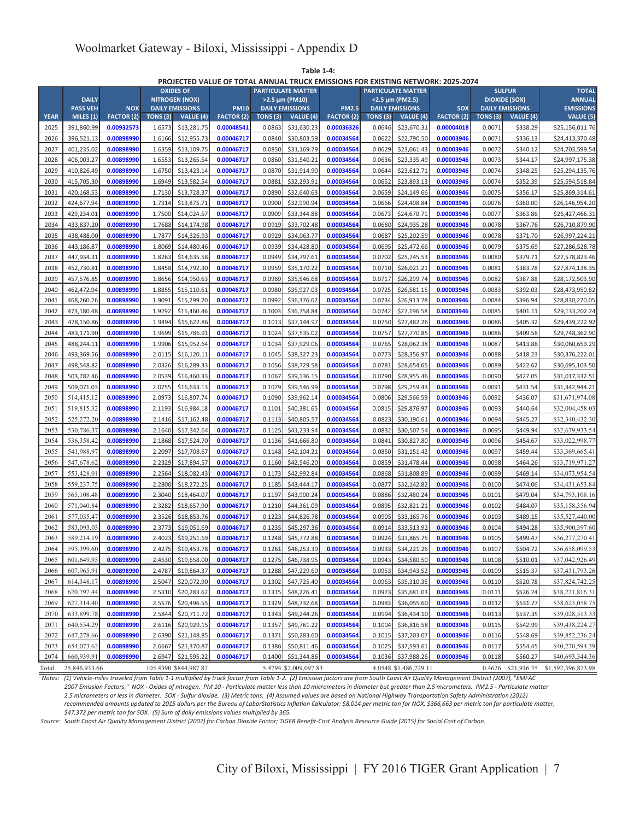**Table 1-4:**

#### **PROJECTED VALUE OF TOTAL ANNUAL TRUCK EMISSIONS FOR EXISTING NETWORK: 2025-2074**

|             |                 |                   |         | <b>OXIDES OF</b>       |                   |                 | <b>PARTICULATE MATTER</b> |                   |         | <b>SULFUR</b><br><b>PARTICULATE MATTER</b> |                   |                 | <b>TOTAL</b>           |                                       |
|-------------|-----------------|-------------------|---------|------------------------|-------------------|-----------------|---------------------------|-------------------|---------|--------------------------------------------|-------------------|-----------------|------------------------|---------------------------------------|
|             | <b>DAILY</b>    |                   |         | <b>NITROGEN (NOX)</b>  |                   |                 | >2.5 µm (PM10)            |                   |         | $\leq$ 2.5 µm (PM2.5)                      |                   |                 | <b>DIOXIDE (SOX)</b>   | <b>ANNUAL</b>                         |
|             | <b>PASS VEH</b> | <b>NOX</b>        |         | <b>DAILY EMISSIONS</b> | <b>PM10</b>       |                 | <b>DAILY EMISSIONS</b>    | <b>PM2.5</b>      |         | <b>DAILY EMISSIONS</b>                     | SOX               |                 | <b>DAILY EMISSIONS</b> | <b>EMISSIONS</b>                      |
| <b>YEAR</b> | MILES (1)       | <b>FACTOR (2)</b> | TONS(3) | VALUE (4)              | <b>FACTOR (2)</b> | <b>TONS (3)</b> | VALUE (4)                 | <b>FACTOR (2)</b> | TONS(3) | VALUE (4)                                  | <b>FACTOR (2)</b> | <b>TONS (3)</b> | <b>VALUE</b> $(4)$     | VALU E (5)                            |
| 2025        | 391,860.99      | 0.00932573        | 1.6573  | \$13,281.75            | 0.00048541        | 0.0863          | \$31,630.23               | 0.00036326        | 0.0646  | \$23,670.31                                | 0.00004018        | 0.0071          | \$338.29               | \$25,156,011.76                       |
| 2026        | 396,521.13      | 0.00898990        | 1.6166  | \$12,955.73            | 0.00046717        | 0.0840          | \$30,803.59               | 0.00034564        | 0.0622  | \$22,790.50                                | 0.00003946        | 0.0071          | \$336.13               | \$24.413.370.48                       |
| 2027        | 401,235.02      | 0.00898990        | 1.6359  | \$13,109.75            | 0.00046717        | 0.0850          | \$31,169.79               | 0.00034564        | 0.0629  | \$23,061.43                                | 0.00003946        | 0.0072          | \$340.12               | \$24,703,599.54                       |
| 2028        | 406,003.27      | 0.00898990        | 1.6553  | \$13,265.54            | 0.00046717        | 0.0860          | \$31,540.21               | 0.00034564        | 0.0636  | \$23,335.49                                | 0.00003946        | 0.0073          | \$344.17               | \$24,997,175.38                       |
| 2029        | 410,826.49      | 0.00898990        | 1.6750  | \$13,423.14            | 0.00046717        | 0.0870          | \$31,914.90               | 0.00034564        | 0.0644  | \$23,612.71                                | 0.00003946        | 0.0074          | \$348.25               | \$25,294,135.76                       |
| 2030        | 415,705.30      | 0.00898990        | 1.6949  | \$13,582.54            | 0.00046717        | 0.0881          | \$32,293.91               | 0.00034564        | 0.0652  | \$23,893.13                                | 0.00003946        | 0.0074          | \$352.39               | \$25,594,518.84                       |
| 2031        | 420,168.53      | 0.00898990        | 1.7130  | \$13,728.37            | 0.00046717        | 0.0890          | \$32,640.63               | 0.00034564        | 0.0659  | \$24.149.66                                | 0.00003946        | 0.0075          | \$356.17               | \$25,869,314.61                       |
| 2032        | 424,677.94      | 0.00898990        | 1.7314  | \$13,875.71            | 0.00046717        | 0.0900          | \$32,990.94               | 0.00034564        | 0.0666  | \$24,408.84                                | 0.00003946        | 0.0076          | \$360.00               | \$26,146,954.20                       |
| 2033        | 429,234.01      | 0.00898990        | 1.7500  | \$14,024.57            | 0.00046717        | 0.0909          | \$33,344.88               | 0.00034564        | 0.0673  | \$24,670.71                                | 0.00003946        | 0.0077          | \$363.86               | \$26,427,466.31                       |
| 2034        | 433,837.20      | 0.00898990        | 1.7688  | \$14,174.98            | 0.00046717        | 0.0919          | \$33,702.48               | 0.00034564        | 0.0680  | \$24,935.28                                | 0.00003946        | 0.0078          | \$367.76               | \$26,710,879.90                       |
| 2035        | 438,488.00      | 0.00898990        | 1.7877  | \$14,326.93            | 0.00046717        | 0.0929          | \$34,063.77               | 0.00034564        | 0.0687  | \$25,202.59                                | 0.00003946        | 0.0078          | \$371.70               | \$26,997,224.21                       |
| 2036        | 443,186.87      | 0.00898990        | 1.8069  | \$14,480.46            | 0.00046717        | 0.0939          | \$34,428.80               | 0.00034564        | 0.0695  | \$25,472.66                                | 0.00003946        | 0.0079          | \$375.69               | \$27,286,528.78                       |
| 2037        | 447,934.31      | 0.00898990        | 1.8263  | \$14,635.58            | 0.00046717        | 0.0949          | \$34,797.61               | 0.00034564        | 0.0702  | \$25,745.53                                | 0.00003946        | 0.0080          | \$379.71               | \$27,578,823.46                       |
| 2038        | 452,730.81      | 0.00898990        | 1.8458  | \$14,792.30            | 0.00046717        | 0.0959          | \$35,170.22               | 0.00034564        | 0.0710  | \$26,021.21                                | 0.00003946        | 0.0081          | \$383.78               | \$27,874,138.35                       |
| 2039        | 457,576.85      | 0.00898990        | 1.8656  | \$14,950.63            | 0.00046717        | 0.0969          | \$35,546.68               | 0.00034564        | 0.0717  | \$26,299.74                                | 0.00003946        | 0.0082          | \$387.88               | \$28,172,503.90                       |
| 2040        | 462,472.94      | 0.00898990        | 1.8855  | \$15,110.61            | 0.00046717        | 0.0980          | \$35,927.03               | 0.00034564        | 0.0725  | \$26,581.15                                | 0.00003946        | 0.0083          | \$392.03               | \$28,473,950.82                       |
| 2041        | 468,260.26      | 0.00898990        | 1.9091  | \$15,299.70            | 0.00046717        | 0.0992          | \$36,376.62               | 0.00034564        | 0.0734  | \$26,913.78                                | 0.00003946        | 0.0084          | \$396.94               | \$28,830,270.05                       |
| 2042        | 473,180.48      | 0.00898990        | 1.9292  | \$15,460.46            | 0.00046717        | 0.1003          | \$36,758.84               | 0.00034564        | 0.0742  | \$27,196.58                                | 0.00003946        | 0.0085          | \$401.11               | \$29,133,202.24                       |
| 2043        | 478,150.86      | 0.00898990        | 1.9494  | \$15,622.86            | 0.00046717        | 0.1013          | \$37,144.97               | 0.00034564        | 0.0750  | \$27,482.26                                | 0.00003946        | 0.0086          | \$405.32               | \$29,439,222.92                       |
| 2044        | 483,171.90      | 0.00898990        | 1.9699  | \$15,786.91            | 0.00046717        | 0.1024          | \$37,535.02               | 0.00034564        | 0.0757  | \$27,770.85                                | 0.00003946        | 0.0086          | \$409.58               | \$29,748,362.90                       |
| 2045        | 488,244.11      | 0.00898990        | 1.9906  | \$15,952.64            | 0.00046717        | 0.1034          | \$37,929.06               | 0.00034564        | 0.0765  | \$28,062.38                                | 0.00003946        | 0.0087          | \$413.88               | \$30,060,653.29                       |
| 2046        | 493,369.56      | 0.00898990        | 2.0115  | \$16,120.11            | 0.00046717        | 0.1045          | \$38,327.23               | 0.00034564        | 0.0773  | \$28,356.97                                | 0.00003946        | 0.0088          | \$418.23               | \$30,376,222.01                       |
| 2047        | 498,548.82      | 0.00898990        | 2.0326  | \$16,289.33            | 0.00046717        | 0.1056          | \$38,729.58               | 0.00034564        | 0.0781  | \$28,654.65                                | 0.00003946        | 0.0089          | \$422.62               | \$30,695,103.50                       |
| 2048        | 503,782.46      | 0.00898990        | 2.0539  | \$16,460.33            | 0.00046717        | 0.1067          | \$39,136.15               | 0.00034564        | 0.0790  | \$28,955.46                                | 0.00003946        | 0.0090          | \$427.05               | \$31,017,332.51                       |
| 2049        | 509,071.03      | 0.00898990        | 2.0755  | \$16,633.13            | 0.00046717        | 0.1079          | \$39,546.99               | 0.00034564        | 0.0798  | \$29,259.43                                | 0.00003946        | 0.0091          | \$431.54               | \$31,342,944.21                       |
| 2050        | 514,415.12      | 0.00898990        | 2.0973  | \$16,807.74            | 0.00046717        | 0.1090          | \$39,962.14               | 0.00034564        | 0.0806  | \$29,566.59                                | 0.00003946        | 0.0092          | \$436.07               | \$31,671,974.08                       |
| 2051        | 519,815.32      | 0.00898990        | 2.1193  | \$16,984.18            | 0.00046717        | 0.1101          | \$40,381.65               | 0.00034564        | 0.0815  | \$29,876.97                                | 0.00003946        | 0.0093          | \$440.64               | \$32,004,458.03                       |
| 2052        | 525,272.20      | 0.00898990        | 2.1416  | \$17,162.48            | 0.00046717        | 0.1113          | \$40,805.57               | 0.00034564        | 0.0823  | \$30,190.61                                | 0.00003946        | 0.0094          | \$445.27               | \$32,340,432.30                       |
| 2053        | 530,786.37      | 0.00898990        | 2.1640  | \$17,342.64            | 0.00046717        | 0.1125          | \$41,233.94               | 0.00034564        | 0.0832  | \$30,507.54                                | 0.00003946        | 0.0095          | \$449.94               | \$32,679,933.54                       |
| 2054        | 536,358.42      | 0.00898990        | 2.1868  | \$17,524.70            | 0.00046717        | 0.1136          | \$41,666.80               | 0.00034564        | 0.0841  | \$30,827.80                                | 0.00003946        | 0.0096          | \$454.67               | \$33,022,998.77                       |
| 2055        | 541,988.97      | 0.00898990        | 2.2097  | \$17,708.67            | 0.00046717        | 0.1148          | \$42,104.21               | 0.00034564        | 0.0850  | \$31,151.42                                | 0.00003946        | 0.0097          | \$459.44               | \$33,369,665.41                       |
| 2056        | 547,678.62      | 0.00898990        | 2.2329  | \$17,894.57            | 0.00046717        | 0.1160          | \$42,546.20               | 0.00034564        | 0.0859  | \$31,478.44                                | 0.00003946        | 0.0098          | \$464.26               | \$33,719,971.27                       |
| 2057        | 553,428.01      | 0.00898990        | 2.2564  | \$18,082.43            | 0.00046717        | 0.1173          | \$42,992.84               | 0.00034564        | 0.0868  | \$31,808.89                                | 0.00003946        | 0.0099          | \$469.14               | \$34,073,954.54                       |
| 2058        | 559,237.75      | 0.00898990        | 2.2800  | \$18,272.25            | 0.00046717        | 0.1185          | \$43,444.17               | 0.00034564        | 0.0877  | \$32,142.82                                | 0.00003946        | 0.0100          | \$474.06               | \$34,431,653.84                       |
| 2059        | 565,108.48      | 0.00898990        | 2.3040  | \$18,464.07            | 0.00046717        | 0.1197          | \$43,900.24               | 0.00034564        | 0.0886  | \$32,480.24                                | 0.00003946        | 0.0101          | \$479.04               | \$34,793,108.16                       |
| 2060        | 571,040.84      | 0.00898990        | 2.3282  | \$18,657.90            | 0.00046717        | 0.1210          | \$44,361.09               | 0.00034564        | 0.0895  | \$32,821.21                                | 0.00003946        | 0.0102          | \$484.07               | \$35,158,356.94                       |
| 2061        | 577,035.47      | 0.00898990        | 2.3526  | \$18,853.76            | 0.00046717        | 0.1223          | \$44,826.78               | 0.00034564        | 0.0905  | \$33,165.76                                | 0.00003946        | 0.0103          | \$489.15               | \$35,527,440.00                       |
| 2062        | 583,093.03      | 0.00898990        | 2.3773  | \$19,051.69            | 0.00046717        | 0.1235          | \$45,297.36               | 0.00034564        | 0.0914  | \$33,513.92                                | 0.00003946        | 0.0104          | \$494.28               | \$35,900,397.60                       |
| 2063        | 589,214.19      | 0.00898990        | 2.4023  | \$19,251.69            | 0.00046717        | 0.1248          | \$45,772.88               | 0.00034564        | 0.0924  | \$33,865.75                                | 0.00003946        | 0.0105          | \$499.47               | \$36,277,270.41                       |
| 2064        | 595,399.60      | 0.00898990        |         | 2.4275 \$19,453.78     | 0.00046717        | 0.1261          | \$46,253.39               | 0.00034564        | 0.0933  | \$34,221.26                                | 0.00003946        | 0.0107          | \$504.72               | \$36,658,099.53                       |
| 2065        | 601,649.95      | 0.00898990        | 2.4530  | \$19,658.00            | 0.00046717        | 0.1275          | \$46,738.95               | 0.00034564        | 0.0943  | \$34,580.50                                | 0.00003946        | 0.0108          | \$510.01               | \$37,042,926.49                       |
| 2066        | 607,965.91      | 0.00898990        | 2.4787  | \$19,864.37            | 0.00046717        | 0.1288          | \$47,229.60               | 0.00034564        | 0.0953  | \$34,943.52                                | 0.00003946        | 0.0109          | \$515.37               | \$37,431,793.26                       |
| 2067        | 614,348.17      | 0.00898990        | 2.5047  | \$20,072.90            | 0.00046717        | 0.1302          | \$47,725.40               | 0.00034564        | 0.0963  | \$35,310.35                                | 0.00003946        | 0.0110          | \$520.78               | \$37,824,742.25                       |
| 2068        | 620,797.44      | 0.00898990        | 2.5310  | \$20,283.62            | 0.00046717        | 0.1315          | \$48,226.41               | 0.00034564        | 0.0973  | \$35,681.03                                | 0.00003946        | 0.0111          | \$526.24               | \$38,221,816.31                       |
| 2069        | 627,314.40      | 0.00898990        | 2.5576  | \$20,496.55            | 0.00046717        | 0.1329          | \$48,732.68               | 0.00034564        | 0.0983  | \$36,055.60                                | 0.00003946        | 0.0112          | \$531.77               | \$38,623,058.75                       |
| 2070        | 633,899.78      | 0.00898990        | 2.5844  | \$20,711.72            | 0.00046717        | 0.1343          | \$49,244.26               | 0.00034564        | 0.0994  | \$36,434.10                                | 0.00003946        | 0.0113          | \$537.35               | \$39,028,513.33                       |
| 2071        | 640,554.29      | 0.00898990        | 2.6116  | \$20,929.15            | 0.00046717        | 0.1357          | \$49,761.22               | 0.00034564        | 0.1004  | \$36,816.58                                | 0.00003946        | 0.0115          | \$542.99               | \$39,438,224.27                       |
| 2072        | 647,278.66      | 0.00898990        | 2.6390  | \$21,148.85            | 0.00046717        | 0.1371          | \$50,283.60               | 0.00034564        | 0.1015  | \$37,203.07                                | 0.00003946        | 0.0116          | \$548.69               | \$39,852,236.24                       |
| 2073        | 654,073.62      | 0.00898990        | 2.6667  | \$21,370.87            | 0.00046717        | 0.1386          | \$50,811.46               | 0.00034564        | 0.1025  | \$37,593.61                                | 0.00003946        | 0.0117          | \$554.45               | \$40,270,594.39                       |
| 2074        | 660,939.91      | 0.00898990        | 2.6947  | \$21,595.22            | 0.00046717        | 0.1400          | \$51,344.86               | 0.00034564        | 0.1036  | \$37,988.26                                | 0.00003946        | 0.0118          | \$560.27               | \$40,693,344.36                       |
| Total       | 25,846,933.66   |                   |         | 105.4390 \$844,987.87  |                   |                 | 5.4794 \$2,009,097.83     |                   |         | 4.0548 \$1,486,729.11                      |                   |                 |                        | 0.4626 \$21,916.35 \$1,592,396,873.98 |

*Notes: (1) Vehicle-miles traveled from Table 1-1 multiplied by truck factor from Table 1-2. (2) Emission factors are from South Coast Air Quality Management District (2007), "EMFAC 2007 Emission Factors." NOX - Oxides of nitrogen. PM 10 - Particulate matter less than 10 micrometers in diameter but greater than 2.5 micrometers. PM2.5 - Particulate matter*

*2.5 micrometers or less in diameter. SOX - Sulfur dioxide. (3) Metric tons. (4) Assumed values are based on National Highway Transportation Safety Administration (2012) recommended amounts updated to 2015 dollars per the Bureau of LaborStatistics Inflation Calculator: \$8,014 per metric ton for NOX, \$366,663 per metric ton for particulate matter,*

*\$47,372 per metric ton for SOX. (5) Sum of daily emissions values multiplied by 365.*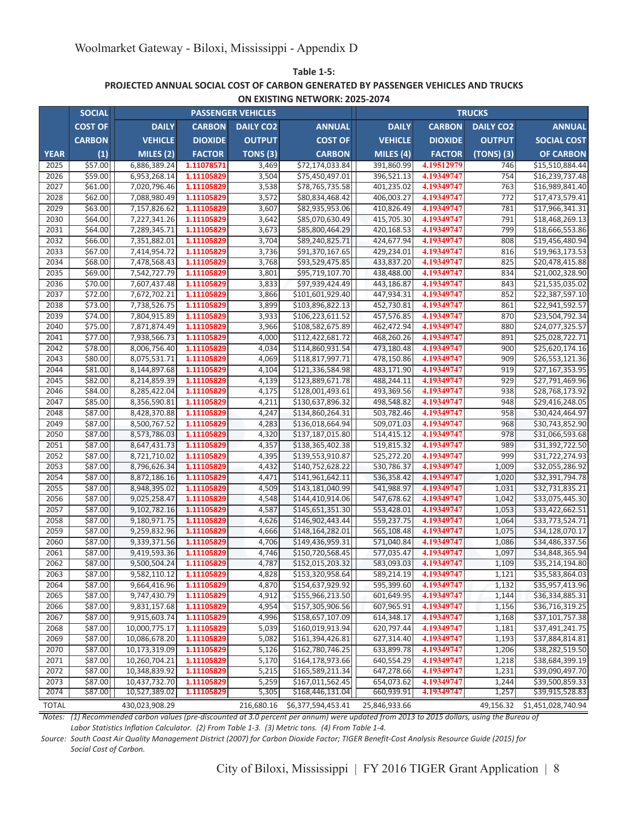**Table 1-5: ON EXISTING NETWORK: 2025-2074 PROJECTED ANNUAL SOCIAL COST OF CARBON GENERATED BY PASSENGER VEHICLES AND TRUCKS**

| <b>COST OF</b><br><b>DAILY</b><br><b>CARBON</b><br><b>DAILY CO2</b><br><b>ANNUAL</b><br><b>CARBON</b><br><b>DAILY CO2</b><br><b>DAILY</b><br><b>ANNUAL</b><br><b>CARBON</b><br><b>COST OF</b><br><b>VEHICLE</b><br><b>DIOXIDE</b><br><b>OUTPUT</b><br><b>VEHICLE</b><br><b>DIOXIDE</b><br><b>OUTPUT</b><br><b>SOCIAL COST</b><br>(1)<br>MILES (2)<br><b>FACTOR</b><br>TONS <sub>(3)</sub><br><b>CARBON</b><br>MILES (4)<br><b>FACTOR</b><br>(TONS) (3)<br><b>OF CARBON</b><br><b>YEAR</b><br>4.19512979<br>2025<br>\$57.00<br>1.11078571<br>391,860.99<br>6,886,389.24<br>3,469<br>\$72,174,033.84<br>746<br>\$15,510,884.44<br>2026<br>\$59.00<br>3,504<br>\$75,450,497.01<br>396,521.13<br>4.19349747<br>754<br>6,953,268.14<br>1.11105829<br>\$16,239,737.48<br>3,538<br>4.19349747<br>2027<br>\$61.00<br>1.11105829<br>\$78,765,735.58<br>401,235.02<br>763<br>\$16,989,841.40<br>7,020,796.46<br>\$62.00<br>7,088,980.49<br>1.11105829<br>\$80,834,468.42<br>406,003.27<br>4.19349747<br>772<br>2028<br>3,572<br>\$17,473,579.41<br>2029<br>\$63.00<br>\$82,935,953.06<br>410,826.49<br>4.19349747<br>781<br>7,157,826.62<br>1.11105829<br>3,607<br>\$17,966,341.31<br>\$64.00<br>4.19349747<br>791<br>2030<br>7,227,341.26<br>1.11105829<br>3,642<br>\$85,070,630.49<br>415,705.30<br>\$18,468,269.13<br>4.19349747<br>799<br>2031<br>\$64.00<br>7,289,345.71<br>1.11105829<br>3,673<br>\$85,800,464.29<br>420,168.53<br>\$18,666,553.86<br>2032<br>\$66.00<br>1.11105829<br>4.19349747<br>808<br>7,351,882.01<br>3,704<br>\$89,240,825.71<br>424,677.94<br>\$19,456,480.94<br>\$67.00<br>2033<br>7,414,954.72<br>1.11105829<br>3,736<br>\$91,370,167.65<br>429,234.01<br>4.19349747<br>816<br>\$19,963,173.53<br>2034<br>\$68.00<br>1.11105829<br>3,768<br>\$93,529,475.85<br>433,837.20<br>4.19349747<br>825<br>\$20,478,415.88<br>7,478,568.43<br>4.19349747<br>2035<br>\$69.00<br>7,542,727.79<br>1.11105829<br>3,801<br>\$95,719,107.70<br>438,488.00<br>834<br>\$21,002,328.90<br>2036<br>\$70.00<br>1.11105829<br>\$97,939,424.49<br>443,186.87<br>4.19349747<br>\$21,535,035.02<br>7,607,437.48<br>3,833<br>843<br>\$72.00<br>2037<br>7,672,702.21<br>3,866<br>\$101,601,929.40<br>447,934.31<br>4.19349747<br>852<br>\$22,387,597.10<br>1.11105829<br>3,899<br>4.19349747<br>2038<br>\$73.00<br>7,738,526.75<br>1.11105829<br>\$103,896,822.13<br>452,730.81<br>861<br>\$22,941,592.57<br>\$74.00<br>4.19349747<br>2039<br>7,804,915.89<br>1.11105829<br>3,933<br>\$106,223,611.52<br>457,576.85<br>870<br>\$23,504,792.34<br>4.19349747<br>2040<br>\$75.00<br>7,871,874.49<br>1.11105829<br>3,966<br>\$108,582,675.89<br>462,472.94<br>\$24,077,325.57<br>880<br>\$77.00<br>1.11105829<br>4,000<br>\$112,422,681.72<br>468,260.26<br>4.19349747<br>891<br>\$25,028,722.71<br>2041<br>7,938,566.73<br>4,034<br>2042<br>\$78.00<br>8,006,756.40<br>1.11105829<br>\$114,860,931.54<br>473,180.48<br>4.19349747<br>900<br>\$25,620,174.16<br>2043<br>\$80.00<br>8,075,531.71<br>4,069<br>\$118,817,997.71<br>478,150.86<br>4.19349747<br>\$26,553,121.36<br>1.11105829<br>909<br>\$81.00<br>4.19349747<br>2044<br>8,144,897.68<br>4,104<br>\$121,336,584.98<br>483,171.90<br>919<br>\$27,167,353.95<br>1.11105829<br>2045<br>\$82.00<br>1.11105829<br>4,139<br>\$123,889,671.78<br>488,244.11<br>4.19349747<br>929<br>\$27,791,469.96<br>8,214,859.39<br>4.19349747<br>2046<br>\$84.00<br>8,285,422.04<br>1.11105829<br>4,175<br>\$128,001,493.61<br>493,369.56<br>938<br>\$28,768,173.92<br>2047<br>\$85.00<br>8,356,590.81<br>1.11105829<br>4,211<br>\$130,637,896.32<br>498,548.82<br>4.19349747<br>948<br>\$29,416,248.05<br>\$87.00<br>2048<br>1.11105829<br>4,247<br>\$134,860,264.31<br>503,782.46<br>4.19349747<br>958<br>\$30,424,464.97<br>8,428,370.88<br>2049<br>\$87.00<br>4,283<br>\$136,018,664.94<br>509,071.03<br>4.19349747<br>968<br>\$30,743,852.90<br>8,500,767.52<br>1.11105829<br>\$137,187,015.80<br>4.19349747<br>2050<br>\$87.00<br>8,573,786.03<br>1.11105829<br>4,320<br>514,415.12<br>978<br>\$31,066,593.68<br>4.19349747<br>2051<br>\$87.00<br>8,647,431.73<br>1.11105829<br>4,357<br>\$138,365,402.38<br>519,815.32<br>989<br>\$31,392,722.50<br>2052<br>\$87.00<br>8,721,710.02<br>1.11105829<br>4,395<br>\$139,553,910.87<br>525,272.20<br>4.19349747<br>999<br>\$31,722,274.93<br>2053<br>\$87.00<br>8,796,626.34<br>1.11105829<br>4,432<br>\$140,752,628.22<br>530,786.37<br>4.19349747<br>1,009<br>\$32,055,286.92<br>4.19349747<br>2054<br>\$87.00<br>8,872,186.16<br>1.11105829<br>4,471<br>\$141,961,642.11<br>536,358.42<br>1,020<br>\$32,391,794.78<br>2055<br>\$87.00<br>4,509<br>\$143,181,040.99<br>541,988.97<br>4.19349747<br>\$32,731,835.21<br>8,948,395.02<br>1.11105829<br>1,031<br>2056<br>\$87.00<br>1.11105829<br>4,548<br>547,678.62<br>4.19349747<br>1,042<br>9,025,258.47<br>\$144,410,914.06<br>\$33,075,445.30<br>4.19349747<br>2057<br>\$87.00<br>9,102,782.16<br>1.11105829<br>4,587<br>\$145,651,351.30<br>553,428.01<br>1,053<br>\$33,422,662.51<br>4.19349747<br>2058<br>\$87.00<br>9,180,971.75<br>1.11105829<br>\$146,902,443.44<br>559,237.75<br>\$33,773,524.71<br>4,626<br>1,064<br>2059<br>\$87.00<br>9,259,832.96<br>1.11105829<br>4,666<br>\$148,164,282.01<br>565,108.48<br>4.19349747<br>1,075<br>\$34,128,070.17<br>2060<br>\$87.00<br>9,339,371.56<br>1.11105829<br>4,706<br>\$149,436,959.31<br>571,040.84<br>4.19349747<br>1,086<br>\$34,486,337.56<br>\$87.00<br>4,746<br>\$150,720,568.45<br>577,035.47<br>4.19349747<br>1,097<br>2061<br>9,419,593.36<br>1.11105829<br>\$34,848,365.94<br>2062<br>\$87.00<br>9,500,504.24<br>4,787<br>\$152,015,203.32<br>583,093.03<br>4.19349747<br>1,109<br>1.11105829<br>\$35,214,194.80<br>\$87.00<br>9,582,110.12<br>4,828<br>\$153,320,958.64<br>589,214.19<br>4.19349747<br>1,121<br>2063<br>1.11105829<br>\$35,583,864.03<br>4,870<br>\$154,637,929.92<br>595,399.60<br>4.19349747<br>2064<br>\$87.00<br>9,664,416.96<br>1.11105829<br>1,132<br>\$35,957,413.96<br>\$155,966,213.50<br>2065<br>\$87.00<br>9,747,430.79<br>1.11105829<br>4,912<br>601,649.95<br>4.19349747<br>1,144<br>\$36,334,885.31<br>2066<br>4.19349747<br>\$87.00<br>9,831,157.68<br>1.11105829<br>4,954<br>\$157,305,906.56<br>607,965.91<br>1,156<br>\$36,716,319.25<br>2067<br>\$87.00<br>4,996<br>614,348.17<br>4.19349747<br>1,168<br>9,915,603.74<br>1.11105829<br>\$158,657,107.09<br>\$37,101,757.38<br>2068<br>\$87.00<br>10,000,775.17<br>1.11105829<br>5,039<br>\$160,019,913.94<br>620,797.44<br>4.19349747<br>1,181<br>\$37,491,241.75<br>1.11105829<br>4.19349747<br>2069<br>\$87.00<br>10,086,678.20<br>5,082<br>\$161,394,426.81<br>627,314.40<br>1,193<br>\$37,884,814.81<br>2070<br>\$162,780,746.25<br>4.19349747<br>\$87.00<br>10,173,319.09<br>1.11105829<br>5,126<br>633,899.78<br>1,206<br>\$38,282,519.50<br>2071<br>\$87.00<br>1.11105829<br>\$164,178,973.66<br>640,554.29<br>4.19349747<br>1,218<br>10,260,704.21<br>5,170<br>\$38,684,399.19<br>4.19349747<br>2072<br>\$87.00<br>10,348,839.92<br>1.11105829<br>5,215<br>\$165,589,211.34<br>647,278.66<br>1,231<br>\$39,090,497.70<br>2073<br>4.19349747<br>\$87.00<br>10,437,732.70<br>1.11105829<br>5,259<br>\$167,011,562.45<br>654,073.62<br>1,244<br>\$39,500,859.33<br>2074<br>1,257<br>\$87.00<br>10,527,389.02<br>5,305<br>\$168,446,131.04<br>660,939.91<br>4.19349747<br>1.11105829<br>\$39,915,528.83 | <b>SOCIAL</b> |  | <b>PASSENGER VEHICLES</b> |                    |  | <b>TRUCKS</b> |  |
|----------------------------------------------------------------------------------------------------------------------------------------------------------------------------------------------------------------------------------------------------------------------------------------------------------------------------------------------------------------------------------------------------------------------------------------------------------------------------------------------------------------------------------------------------------------------------------------------------------------------------------------------------------------------------------------------------------------------------------------------------------------------------------------------------------------------------------------------------------------------------------------------------------------------------------------------------------------------------------------------------------------------------------------------------------------------------------------------------------------------------------------------------------------------------------------------------------------------------------------------------------------------------------------------------------------------------------------------------------------------------------------------------------------------------------------------------------------------------------------------------------------------------------------------------------------------------------------------------------------------------------------------------------------------------------------------------------------------------------------------------------------------------------------------------------------------------------------------------------------------------------------------------------------------------------------------------------------------------------------------------------------------------------------------------------------------------------------------------------------------------------------------------------------------------------------------------------------------------------------------------------------------------------------------------------------------------------------------------------------------------------------------------------------------------------------------------------------------------------------------------------------------------------------------------------------------------------------------------------------------------------------------------------------------------------------------------------------------------------------------------------------------------------------------------------------------------------------------------------------------------------------------------------------------------------------------------------------------------------------------------------------------------------------------------------------------------------------------------------------------------------------------------------------------------------------------------------------------------------------------------------------------------------------------------------------------------------------------------------------------------------------------------------------------------------------------------------------------------------------------------------------------------------------------------------------------------------------------------------------------------------------------------------------------------------------------------------------------------------------------------------------------------------------------------------------------------------------------------------------------------------------------------------------------------------------------------------------------------------------------------------------------------------------------------------------------------------------------------------------------------------------------------------------------------------------------------------------------------------------------------------------------------------------------------------------------------------------------------------------------------------------------------------------------------------------------------------------------------------------------------------------------------------------------------------------------------------------------------------------------------------------------------------------------------------------------------------------------------------------------------------------------------------------------------------------------------------------------------------------------------------------------------------------------------------------------------------------------------------------------------------------------------------------------------------------------------------------------------------------------------------------------------------------------------------------------------------------------------------------------------------------------------------------------------------------------------------------------------------------------------------------------------------------------------------------------------------------------------------------------------------------------------------------------------------------------------------------------------------------------------------------------------------------------------------------------------------------------------------------------------------------------------------------------------------------------------------------------------------------------------------------------------------------------------------------------------------------------------------------------------------------------------------------------------------------------------------------------------------------------------------------------------------------------------------------------------------------------------------------------------------------------------------------------------------------------------------------------------------------------------------------------------------------------------------------------------------------------------------------------------------------------------------------------------------------------------------------------------------------------------------------------------------------------------------------------------------------------------------------------------------------------------------------------------------------------------------------------------------------------------------------------------------------------------------------------------------------------------------------------------------------------------------------------------------------------------------------------------------------------------------------------------------------------------------------------------------------------------------------------------------------------------------------------------------------------------------------------------------------------------------------------------------|---------------|--|---------------------------|--------------------|--|---------------|--|
|                                                                                                                                                                                                                                                                                                                                                                                                                                                                                                                                                                                                                                                                                                                                                                                                                                                                                                                                                                                                                                                                                                                                                                                                                                                                                                                                                                                                                                                                                                                                                                                                                                                                                                                                                                                                                                                                                                                                                                                                                                                                                                                                                                                                                                                                                                                                                                                                                                                                                                                                                                                                                                                                                                                                                                                                                                                                                                                                                                                                                                                                                                                                                                                                                                                                                                                                                                                                                                                                                                                                                                                                                                                                                                                                                                                                                                                                                                                                                                                                                                                                                                                                                                                                                                                                                                                                                                                                                                                                                                                                                                                                                                                                                                                                                                                                                                                                                                                                                                                                                                                                                                                                                                                                                                                                                                                                                                                                                                                                                                                                                                                                                                                                                                                                                                                                                                                                                                                                                                                                                                                                                                                                                                                                                                                                                                                                                                                                                                                                                                                                                                                                                                                                                                                                                                                                                                                                                                                                                                                                                                                                                                                                                                                                                                                                                                                                                                                                          |               |  |                           |                    |  |               |  |
|                                                                                                                                                                                                                                                                                                                                                                                                                                                                                                                                                                                                                                                                                                                                                                                                                                                                                                                                                                                                                                                                                                                                                                                                                                                                                                                                                                                                                                                                                                                                                                                                                                                                                                                                                                                                                                                                                                                                                                                                                                                                                                                                                                                                                                                                                                                                                                                                                                                                                                                                                                                                                                                                                                                                                                                                                                                                                                                                                                                                                                                                                                                                                                                                                                                                                                                                                                                                                                                                                                                                                                                                                                                                                                                                                                                                                                                                                                                                                                                                                                                                                                                                                                                                                                                                                                                                                                                                                                                                                                                                                                                                                                                                                                                                                                                                                                                                                                                                                                                                                                                                                                                                                                                                                                                                                                                                                                                                                                                                                                                                                                                                                                                                                                                                                                                                                                                                                                                                                                                                                                                                                                                                                                                                                                                                                                                                                                                                                                                                                                                                                                                                                                                                                                                                                                                                                                                                                                                                                                                                                                                                                                                                                                                                                                                                                                                                                                                                          |               |  |                           |                    |  |               |  |
|                                                                                                                                                                                                                                                                                                                                                                                                                                                                                                                                                                                                                                                                                                                                                                                                                                                                                                                                                                                                                                                                                                                                                                                                                                                                                                                                                                                                                                                                                                                                                                                                                                                                                                                                                                                                                                                                                                                                                                                                                                                                                                                                                                                                                                                                                                                                                                                                                                                                                                                                                                                                                                                                                                                                                                                                                                                                                                                                                                                                                                                                                                                                                                                                                                                                                                                                                                                                                                                                                                                                                                                                                                                                                                                                                                                                                                                                                                                                                                                                                                                                                                                                                                                                                                                                                                                                                                                                                                                                                                                                                                                                                                                                                                                                                                                                                                                                                                                                                                                                                                                                                                                                                                                                                                                                                                                                                                                                                                                                                                                                                                                                                                                                                                                                                                                                                                                                                                                                                                                                                                                                                                                                                                                                                                                                                                                                                                                                                                                                                                                                                                                                                                                                                                                                                                                                                                                                                                                                                                                                                                                                                                                                                                                                                                                                                                                                                                                                          |               |  |                           |                    |  |               |  |
|                                                                                                                                                                                                                                                                                                                                                                                                                                                                                                                                                                                                                                                                                                                                                                                                                                                                                                                                                                                                                                                                                                                                                                                                                                                                                                                                                                                                                                                                                                                                                                                                                                                                                                                                                                                                                                                                                                                                                                                                                                                                                                                                                                                                                                                                                                                                                                                                                                                                                                                                                                                                                                                                                                                                                                                                                                                                                                                                                                                                                                                                                                                                                                                                                                                                                                                                                                                                                                                                                                                                                                                                                                                                                                                                                                                                                                                                                                                                                                                                                                                                                                                                                                                                                                                                                                                                                                                                                                                                                                                                                                                                                                                                                                                                                                                                                                                                                                                                                                                                                                                                                                                                                                                                                                                                                                                                                                                                                                                                                                                                                                                                                                                                                                                                                                                                                                                                                                                                                                                                                                                                                                                                                                                                                                                                                                                                                                                                                                                                                                                                                                                                                                                                                                                                                                                                                                                                                                                                                                                                                                                                                                                                                                                                                                                                                                                                                                                                          |               |  |                           |                    |  |               |  |
|                                                                                                                                                                                                                                                                                                                                                                                                                                                                                                                                                                                                                                                                                                                                                                                                                                                                                                                                                                                                                                                                                                                                                                                                                                                                                                                                                                                                                                                                                                                                                                                                                                                                                                                                                                                                                                                                                                                                                                                                                                                                                                                                                                                                                                                                                                                                                                                                                                                                                                                                                                                                                                                                                                                                                                                                                                                                                                                                                                                                                                                                                                                                                                                                                                                                                                                                                                                                                                                                                                                                                                                                                                                                                                                                                                                                                                                                                                                                                                                                                                                                                                                                                                                                                                                                                                                                                                                                                                                                                                                                                                                                                                                                                                                                                                                                                                                                                                                                                                                                                                                                                                                                                                                                                                                                                                                                                                                                                                                                                                                                                                                                                                                                                                                                                                                                                                                                                                                                                                                                                                                                                                                                                                                                                                                                                                                                                                                                                                                                                                                                                                                                                                                                                                                                                                                                                                                                                                                                                                                                                                                                                                                                                                                                                                                                                                                                                                                                          |               |  |                           |                    |  |               |  |
|                                                                                                                                                                                                                                                                                                                                                                                                                                                                                                                                                                                                                                                                                                                                                                                                                                                                                                                                                                                                                                                                                                                                                                                                                                                                                                                                                                                                                                                                                                                                                                                                                                                                                                                                                                                                                                                                                                                                                                                                                                                                                                                                                                                                                                                                                                                                                                                                                                                                                                                                                                                                                                                                                                                                                                                                                                                                                                                                                                                                                                                                                                                                                                                                                                                                                                                                                                                                                                                                                                                                                                                                                                                                                                                                                                                                                                                                                                                                                                                                                                                                                                                                                                                                                                                                                                                                                                                                                                                                                                                                                                                                                                                                                                                                                                                                                                                                                                                                                                                                                                                                                                                                                                                                                                                                                                                                                                                                                                                                                                                                                                                                                                                                                                                                                                                                                                                                                                                                                                                                                                                                                                                                                                                                                                                                                                                                                                                                                                                                                                                                                                                                                                                                                                                                                                                                                                                                                                                                                                                                                                                                                                                                                                                                                                                                                                                                                                                                          |               |  |                           |                    |  |               |  |
|                                                                                                                                                                                                                                                                                                                                                                                                                                                                                                                                                                                                                                                                                                                                                                                                                                                                                                                                                                                                                                                                                                                                                                                                                                                                                                                                                                                                                                                                                                                                                                                                                                                                                                                                                                                                                                                                                                                                                                                                                                                                                                                                                                                                                                                                                                                                                                                                                                                                                                                                                                                                                                                                                                                                                                                                                                                                                                                                                                                                                                                                                                                                                                                                                                                                                                                                                                                                                                                                                                                                                                                                                                                                                                                                                                                                                                                                                                                                                                                                                                                                                                                                                                                                                                                                                                                                                                                                                                                                                                                                                                                                                                                                                                                                                                                                                                                                                                                                                                                                                                                                                                                                                                                                                                                                                                                                                                                                                                                                                                                                                                                                                                                                                                                                                                                                                                                                                                                                                                                                                                                                                                                                                                                                                                                                                                                                                                                                                                                                                                                                                                                                                                                                                                                                                                                                                                                                                                                                                                                                                                                                                                                                                                                                                                                                                                                                                                                                          |               |  |                           |                    |  |               |  |
|                                                                                                                                                                                                                                                                                                                                                                                                                                                                                                                                                                                                                                                                                                                                                                                                                                                                                                                                                                                                                                                                                                                                                                                                                                                                                                                                                                                                                                                                                                                                                                                                                                                                                                                                                                                                                                                                                                                                                                                                                                                                                                                                                                                                                                                                                                                                                                                                                                                                                                                                                                                                                                                                                                                                                                                                                                                                                                                                                                                                                                                                                                                                                                                                                                                                                                                                                                                                                                                                                                                                                                                                                                                                                                                                                                                                                                                                                                                                                                                                                                                                                                                                                                                                                                                                                                                                                                                                                                                                                                                                                                                                                                                                                                                                                                                                                                                                                                                                                                                                                                                                                                                                                                                                                                                                                                                                                                                                                                                                                                                                                                                                                                                                                                                                                                                                                                                                                                                                                                                                                                                                                                                                                                                                                                                                                                                                                                                                                                                                                                                                                                                                                                                                                                                                                                                                                                                                                                                                                                                                                                                                                                                                                                                                                                                                                                                                                                                                          |               |  |                           |                    |  |               |  |
|                                                                                                                                                                                                                                                                                                                                                                                                                                                                                                                                                                                                                                                                                                                                                                                                                                                                                                                                                                                                                                                                                                                                                                                                                                                                                                                                                                                                                                                                                                                                                                                                                                                                                                                                                                                                                                                                                                                                                                                                                                                                                                                                                                                                                                                                                                                                                                                                                                                                                                                                                                                                                                                                                                                                                                                                                                                                                                                                                                                                                                                                                                                                                                                                                                                                                                                                                                                                                                                                                                                                                                                                                                                                                                                                                                                                                                                                                                                                                                                                                                                                                                                                                                                                                                                                                                                                                                                                                                                                                                                                                                                                                                                                                                                                                                                                                                                                                                                                                                                                                                                                                                                                                                                                                                                                                                                                                                                                                                                                                                                                                                                                                                                                                                                                                                                                                                                                                                                                                                                                                                                                                                                                                                                                                                                                                                                                                                                                                                                                                                                                                                                                                                                                                                                                                                                                                                                                                                                                                                                                                                                                                                                                                                                                                                                                                                                                                                                                          |               |  |                           |                    |  |               |  |
|                                                                                                                                                                                                                                                                                                                                                                                                                                                                                                                                                                                                                                                                                                                                                                                                                                                                                                                                                                                                                                                                                                                                                                                                                                                                                                                                                                                                                                                                                                                                                                                                                                                                                                                                                                                                                                                                                                                                                                                                                                                                                                                                                                                                                                                                                                                                                                                                                                                                                                                                                                                                                                                                                                                                                                                                                                                                                                                                                                                                                                                                                                                                                                                                                                                                                                                                                                                                                                                                                                                                                                                                                                                                                                                                                                                                                                                                                                                                                                                                                                                                                                                                                                                                                                                                                                                                                                                                                                                                                                                                                                                                                                                                                                                                                                                                                                                                                                                                                                                                                                                                                                                                                                                                                                                                                                                                                                                                                                                                                                                                                                                                                                                                                                                                                                                                                                                                                                                                                                                                                                                                                                                                                                                                                                                                                                                                                                                                                                                                                                                                                                                                                                                                                                                                                                                                                                                                                                                                                                                                                                                                                                                                                                                                                                                                                                                                                                                                          |               |  |                           |                    |  |               |  |
|                                                                                                                                                                                                                                                                                                                                                                                                                                                                                                                                                                                                                                                                                                                                                                                                                                                                                                                                                                                                                                                                                                                                                                                                                                                                                                                                                                                                                                                                                                                                                                                                                                                                                                                                                                                                                                                                                                                                                                                                                                                                                                                                                                                                                                                                                                                                                                                                                                                                                                                                                                                                                                                                                                                                                                                                                                                                                                                                                                                                                                                                                                                                                                                                                                                                                                                                                                                                                                                                                                                                                                                                                                                                                                                                                                                                                                                                                                                                                                                                                                                                                                                                                                                                                                                                                                                                                                                                                                                                                                                                                                                                                                                                                                                                                                                                                                                                                                                                                                                                                                                                                                                                                                                                                                                                                                                                                                                                                                                                                                                                                                                                                                                                                                                                                                                                                                                                                                                                                                                                                                                                                                                                                                                                                                                                                                                                                                                                                                                                                                                                                                                                                                                                                                                                                                                                                                                                                                                                                                                                                                                                                                                                                                                                                                                                                                                                                                                                          |               |  |                           |                    |  |               |  |
|                                                                                                                                                                                                                                                                                                                                                                                                                                                                                                                                                                                                                                                                                                                                                                                                                                                                                                                                                                                                                                                                                                                                                                                                                                                                                                                                                                                                                                                                                                                                                                                                                                                                                                                                                                                                                                                                                                                                                                                                                                                                                                                                                                                                                                                                                                                                                                                                                                                                                                                                                                                                                                                                                                                                                                                                                                                                                                                                                                                                                                                                                                                                                                                                                                                                                                                                                                                                                                                                                                                                                                                                                                                                                                                                                                                                                                                                                                                                                                                                                                                                                                                                                                                                                                                                                                                                                                                                                                                                                                                                                                                                                                                                                                                                                                                                                                                                                                                                                                                                                                                                                                                                                                                                                                                                                                                                                                                                                                                                                                                                                                                                                                                                                                                                                                                                                                                                                                                                                                                                                                                                                                                                                                                                                                                                                                                                                                                                                                                                                                                                                                                                                                                                                                                                                                                                                                                                                                                                                                                                                                                                                                                                                                                                                                                                                                                                                                                                          |               |  |                           |                    |  |               |  |
|                                                                                                                                                                                                                                                                                                                                                                                                                                                                                                                                                                                                                                                                                                                                                                                                                                                                                                                                                                                                                                                                                                                                                                                                                                                                                                                                                                                                                                                                                                                                                                                                                                                                                                                                                                                                                                                                                                                                                                                                                                                                                                                                                                                                                                                                                                                                                                                                                                                                                                                                                                                                                                                                                                                                                                                                                                                                                                                                                                                                                                                                                                                                                                                                                                                                                                                                                                                                                                                                                                                                                                                                                                                                                                                                                                                                                                                                                                                                                                                                                                                                                                                                                                                                                                                                                                                                                                                                                                                                                                                                                                                                                                                                                                                                                                                                                                                                                                                                                                                                                                                                                                                                                                                                                                                                                                                                                                                                                                                                                                                                                                                                                                                                                                                                                                                                                                                                                                                                                                                                                                                                                                                                                                                                                                                                                                                                                                                                                                                                                                                                                                                                                                                                                                                                                                                                                                                                                                                                                                                                                                                                                                                                                                                                                                                                                                                                                                                                          |               |  |                           |                    |  |               |  |
|                                                                                                                                                                                                                                                                                                                                                                                                                                                                                                                                                                                                                                                                                                                                                                                                                                                                                                                                                                                                                                                                                                                                                                                                                                                                                                                                                                                                                                                                                                                                                                                                                                                                                                                                                                                                                                                                                                                                                                                                                                                                                                                                                                                                                                                                                                                                                                                                                                                                                                                                                                                                                                                                                                                                                                                                                                                                                                                                                                                                                                                                                                                                                                                                                                                                                                                                                                                                                                                                                                                                                                                                                                                                                                                                                                                                                                                                                                                                                                                                                                                                                                                                                                                                                                                                                                                                                                                                                                                                                                                                                                                                                                                                                                                                                                                                                                                                                                                                                                                                                                                                                                                                                                                                                                                                                                                                                                                                                                                                                                                                                                                                                                                                                                                                                                                                                                                                                                                                                                                                                                                                                                                                                                                                                                                                                                                                                                                                                                                                                                                                                                                                                                                                                                                                                                                                                                                                                                                                                                                                                                                                                                                                                                                                                                                                                                                                                                                                          |               |  |                           |                    |  |               |  |
|                                                                                                                                                                                                                                                                                                                                                                                                                                                                                                                                                                                                                                                                                                                                                                                                                                                                                                                                                                                                                                                                                                                                                                                                                                                                                                                                                                                                                                                                                                                                                                                                                                                                                                                                                                                                                                                                                                                                                                                                                                                                                                                                                                                                                                                                                                                                                                                                                                                                                                                                                                                                                                                                                                                                                                                                                                                                                                                                                                                                                                                                                                                                                                                                                                                                                                                                                                                                                                                                                                                                                                                                                                                                                                                                                                                                                                                                                                                                                                                                                                                                                                                                                                                                                                                                                                                                                                                                                                                                                                                                                                                                                                                                                                                                                                                                                                                                                                                                                                                                                                                                                                                                                                                                                                                                                                                                                                                                                                                                                                                                                                                                                                                                                                                                                                                                                                                                                                                                                                                                                                                                                                                                                                                                                                                                                                                                                                                                                                                                                                                                                                                                                                                                                                                                                                                                                                                                                                                                                                                                                                                                                                                                                                                                                                                                                                                                                                                                          |               |  |                           |                    |  |               |  |
|                                                                                                                                                                                                                                                                                                                                                                                                                                                                                                                                                                                                                                                                                                                                                                                                                                                                                                                                                                                                                                                                                                                                                                                                                                                                                                                                                                                                                                                                                                                                                                                                                                                                                                                                                                                                                                                                                                                                                                                                                                                                                                                                                                                                                                                                                                                                                                                                                                                                                                                                                                                                                                                                                                                                                                                                                                                                                                                                                                                                                                                                                                                                                                                                                                                                                                                                                                                                                                                                                                                                                                                                                                                                                                                                                                                                                                                                                                                                                                                                                                                                                                                                                                                                                                                                                                                                                                                                                                                                                                                                                                                                                                                                                                                                                                                                                                                                                                                                                                                                                                                                                                                                                                                                                                                                                                                                                                                                                                                                                                                                                                                                                                                                                                                                                                                                                                                                                                                                                                                                                                                                                                                                                                                                                                                                                                                                                                                                                                                                                                                                                                                                                                                                                                                                                                                                                                                                                                                                                                                                                                                                                                                                                                                                                                                                                                                                                                                                          |               |  |                           |                    |  |               |  |
|                                                                                                                                                                                                                                                                                                                                                                                                                                                                                                                                                                                                                                                                                                                                                                                                                                                                                                                                                                                                                                                                                                                                                                                                                                                                                                                                                                                                                                                                                                                                                                                                                                                                                                                                                                                                                                                                                                                                                                                                                                                                                                                                                                                                                                                                                                                                                                                                                                                                                                                                                                                                                                                                                                                                                                                                                                                                                                                                                                                                                                                                                                                                                                                                                                                                                                                                                                                                                                                                                                                                                                                                                                                                                                                                                                                                                                                                                                                                                                                                                                                                                                                                                                                                                                                                                                                                                                                                                                                                                                                                                                                                                                                                                                                                                                                                                                                                                                                                                                                                                                                                                                                                                                                                                                                                                                                                                                                                                                                                                                                                                                                                                                                                                                                                                                                                                                                                                                                                                                                                                                                                                                                                                                                                                                                                                                                                                                                                                                                                                                                                                                                                                                                                                                                                                                                                                                                                                                                                                                                                                                                                                                                                                                                                                                                                                                                                                                                                          |               |  |                           |                    |  |               |  |
|                                                                                                                                                                                                                                                                                                                                                                                                                                                                                                                                                                                                                                                                                                                                                                                                                                                                                                                                                                                                                                                                                                                                                                                                                                                                                                                                                                                                                                                                                                                                                                                                                                                                                                                                                                                                                                                                                                                                                                                                                                                                                                                                                                                                                                                                                                                                                                                                                                                                                                                                                                                                                                                                                                                                                                                                                                                                                                                                                                                                                                                                                                                                                                                                                                                                                                                                                                                                                                                                                                                                                                                                                                                                                                                                                                                                                                                                                                                                                                                                                                                                                                                                                                                                                                                                                                                                                                                                                                                                                                                                                                                                                                                                                                                                                                                                                                                                                                                                                                                                                                                                                                                                                                                                                                                                                                                                                                                                                                                                                                                                                                                                                                                                                                                                                                                                                                                                                                                                                                                                                                                                                                                                                                                                                                                                                                                                                                                                                                                                                                                                                                                                                                                                                                                                                                                                                                                                                                                                                                                                                                                                                                                                                                                                                                                                                                                                                                                                          |               |  |                           |                    |  |               |  |
|                                                                                                                                                                                                                                                                                                                                                                                                                                                                                                                                                                                                                                                                                                                                                                                                                                                                                                                                                                                                                                                                                                                                                                                                                                                                                                                                                                                                                                                                                                                                                                                                                                                                                                                                                                                                                                                                                                                                                                                                                                                                                                                                                                                                                                                                                                                                                                                                                                                                                                                                                                                                                                                                                                                                                                                                                                                                                                                                                                                                                                                                                                                                                                                                                                                                                                                                                                                                                                                                                                                                                                                                                                                                                                                                                                                                                                                                                                                                                                                                                                                                                                                                                                                                                                                                                                                                                                                                                                                                                                                                                                                                                                                                                                                                                                                                                                                                                                                                                                                                                                                                                                                                                                                                                                                                                                                                                                                                                                                                                                                                                                                                                                                                                                                                                                                                                                                                                                                                                                                                                                                                                                                                                                                                                                                                                                                                                                                                                                                                                                                                                                                                                                                                                                                                                                                                                                                                                                                                                                                                                                                                                                                                                                                                                                                                                                                                                                                                          |               |  |                           |                    |  |               |  |
|                                                                                                                                                                                                                                                                                                                                                                                                                                                                                                                                                                                                                                                                                                                                                                                                                                                                                                                                                                                                                                                                                                                                                                                                                                                                                                                                                                                                                                                                                                                                                                                                                                                                                                                                                                                                                                                                                                                                                                                                                                                                                                                                                                                                                                                                                                                                                                                                                                                                                                                                                                                                                                                                                                                                                                                                                                                                                                                                                                                                                                                                                                                                                                                                                                                                                                                                                                                                                                                                                                                                                                                                                                                                                                                                                                                                                                                                                                                                                                                                                                                                                                                                                                                                                                                                                                                                                                                                                                                                                                                                                                                                                                                                                                                                                                                                                                                                                                                                                                                                                                                                                                                                                                                                                                                                                                                                                                                                                                                                                                                                                                                                                                                                                                                                                                                                                                                                                                                                                                                                                                                                                                                                                                                                                                                                                                                                                                                                                                                                                                                                                                                                                                                                                                                                                                                                                                                                                                                                                                                                                                                                                                                                                                                                                                                                                                                                                                                                          |               |  |                           |                    |  |               |  |
|                                                                                                                                                                                                                                                                                                                                                                                                                                                                                                                                                                                                                                                                                                                                                                                                                                                                                                                                                                                                                                                                                                                                                                                                                                                                                                                                                                                                                                                                                                                                                                                                                                                                                                                                                                                                                                                                                                                                                                                                                                                                                                                                                                                                                                                                                                                                                                                                                                                                                                                                                                                                                                                                                                                                                                                                                                                                                                                                                                                                                                                                                                                                                                                                                                                                                                                                                                                                                                                                                                                                                                                                                                                                                                                                                                                                                                                                                                                                                                                                                                                                                                                                                                                                                                                                                                                                                                                                                                                                                                                                                                                                                                                                                                                                                                                                                                                                                                                                                                                                                                                                                                                                                                                                                                                                                                                                                                                                                                                                                                                                                                                                                                                                                                                                                                                                                                                                                                                                                                                                                                                                                                                                                                                                                                                                                                                                                                                                                                                                                                                                                                                                                                                                                                                                                                                                                                                                                                                                                                                                                                                                                                                                                                                                                                                                                                                                                                                                          |               |  |                           |                    |  |               |  |
|                                                                                                                                                                                                                                                                                                                                                                                                                                                                                                                                                                                                                                                                                                                                                                                                                                                                                                                                                                                                                                                                                                                                                                                                                                                                                                                                                                                                                                                                                                                                                                                                                                                                                                                                                                                                                                                                                                                                                                                                                                                                                                                                                                                                                                                                                                                                                                                                                                                                                                                                                                                                                                                                                                                                                                                                                                                                                                                                                                                                                                                                                                                                                                                                                                                                                                                                                                                                                                                                                                                                                                                                                                                                                                                                                                                                                                                                                                                                                                                                                                                                                                                                                                                                                                                                                                                                                                                                                                                                                                                                                                                                                                                                                                                                                                                                                                                                                                                                                                                                                                                                                                                                                                                                                                                                                                                                                                                                                                                                                                                                                                                                                                                                                                                                                                                                                                                                                                                                                                                                                                                                                                                                                                                                                                                                                                                                                                                                                                                                                                                                                                                                                                                                                                                                                                                                                                                                                                                                                                                                                                                                                                                                                                                                                                                                                                                                                                                                          |               |  |                           |                    |  |               |  |
|                                                                                                                                                                                                                                                                                                                                                                                                                                                                                                                                                                                                                                                                                                                                                                                                                                                                                                                                                                                                                                                                                                                                                                                                                                                                                                                                                                                                                                                                                                                                                                                                                                                                                                                                                                                                                                                                                                                                                                                                                                                                                                                                                                                                                                                                                                                                                                                                                                                                                                                                                                                                                                                                                                                                                                                                                                                                                                                                                                                                                                                                                                                                                                                                                                                                                                                                                                                                                                                                                                                                                                                                                                                                                                                                                                                                                                                                                                                                                                                                                                                                                                                                                                                                                                                                                                                                                                                                                                                                                                                                                                                                                                                                                                                                                                                                                                                                                                                                                                                                                                                                                                                                                                                                                                                                                                                                                                                                                                                                                                                                                                                                                                                                                                                                                                                                                                                                                                                                                                                                                                                                                                                                                                                                                                                                                                                                                                                                                                                                                                                                                                                                                                                                                                                                                                                                                                                                                                                                                                                                                                                                                                                                                                                                                                                                                                                                                                                                          |               |  |                           |                    |  |               |  |
|                                                                                                                                                                                                                                                                                                                                                                                                                                                                                                                                                                                                                                                                                                                                                                                                                                                                                                                                                                                                                                                                                                                                                                                                                                                                                                                                                                                                                                                                                                                                                                                                                                                                                                                                                                                                                                                                                                                                                                                                                                                                                                                                                                                                                                                                                                                                                                                                                                                                                                                                                                                                                                                                                                                                                                                                                                                                                                                                                                                                                                                                                                                                                                                                                                                                                                                                                                                                                                                                                                                                                                                                                                                                                                                                                                                                                                                                                                                                                                                                                                                                                                                                                                                                                                                                                                                                                                                                                                                                                                                                                                                                                                                                                                                                                                                                                                                                                                                                                                                                                                                                                                                                                                                                                                                                                                                                                                                                                                                                                                                                                                                                                                                                                                                                                                                                                                                                                                                                                                                                                                                                                                                                                                                                                                                                                                                                                                                                                                                                                                                                                                                                                                                                                                                                                                                                                                                                                                                                                                                                                                                                                                                                                                                                                                                                                                                                                                                                          |               |  |                           |                    |  |               |  |
|                                                                                                                                                                                                                                                                                                                                                                                                                                                                                                                                                                                                                                                                                                                                                                                                                                                                                                                                                                                                                                                                                                                                                                                                                                                                                                                                                                                                                                                                                                                                                                                                                                                                                                                                                                                                                                                                                                                                                                                                                                                                                                                                                                                                                                                                                                                                                                                                                                                                                                                                                                                                                                                                                                                                                                                                                                                                                                                                                                                                                                                                                                                                                                                                                                                                                                                                                                                                                                                                                                                                                                                                                                                                                                                                                                                                                                                                                                                                                                                                                                                                                                                                                                                                                                                                                                                                                                                                                                                                                                                                                                                                                                                                                                                                                                                                                                                                                                                                                                                                                                                                                                                                                                                                                                                                                                                                                                                                                                                                                                                                                                                                                                                                                                                                                                                                                                                                                                                                                                                                                                                                                                                                                                                                                                                                                                                                                                                                                                                                                                                                                                                                                                                                                                                                                                                                                                                                                                                                                                                                                                                                                                                                                                                                                                                                                                                                                                                                          |               |  |                           |                    |  |               |  |
|                                                                                                                                                                                                                                                                                                                                                                                                                                                                                                                                                                                                                                                                                                                                                                                                                                                                                                                                                                                                                                                                                                                                                                                                                                                                                                                                                                                                                                                                                                                                                                                                                                                                                                                                                                                                                                                                                                                                                                                                                                                                                                                                                                                                                                                                                                                                                                                                                                                                                                                                                                                                                                                                                                                                                                                                                                                                                                                                                                                                                                                                                                                                                                                                                                                                                                                                                                                                                                                                                                                                                                                                                                                                                                                                                                                                                                                                                                                                                                                                                                                                                                                                                                                                                                                                                                                                                                                                                                                                                                                                                                                                                                                                                                                                                                                                                                                                                                                                                                                                                                                                                                                                                                                                                                                                                                                                                                                                                                                                                                                                                                                                                                                                                                                                                                                                                                                                                                                                                                                                                                                                                                                                                                                                                                                                                                                                                                                                                                                                                                                                                                                                                                                                                                                                                                                                                                                                                                                                                                                                                                                                                                                                                                                                                                                                                                                                                                                                          |               |  |                           |                    |  |               |  |
|                                                                                                                                                                                                                                                                                                                                                                                                                                                                                                                                                                                                                                                                                                                                                                                                                                                                                                                                                                                                                                                                                                                                                                                                                                                                                                                                                                                                                                                                                                                                                                                                                                                                                                                                                                                                                                                                                                                                                                                                                                                                                                                                                                                                                                                                                                                                                                                                                                                                                                                                                                                                                                                                                                                                                                                                                                                                                                                                                                                                                                                                                                                                                                                                                                                                                                                                                                                                                                                                                                                                                                                                                                                                                                                                                                                                                                                                                                                                                                                                                                                                                                                                                                                                                                                                                                                                                                                                                                                                                                                                                                                                                                                                                                                                                                                                                                                                                                                                                                                                                                                                                                                                                                                                                                                                                                                                                                                                                                                                                                                                                                                                                                                                                                                                                                                                                                                                                                                                                                                                                                                                                                                                                                                                                                                                                                                                                                                                                                                                                                                                                                                                                                                                                                                                                                                                                                                                                                                                                                                                                                                                                                                                                                                                                                                                                                                                                                                                          |               |  |                           |                    |  |               |  |
|                                                                                                                                                                                                                                                                                                                                                                                                                                                                                                                                                                                                                                                                                                                                                                                                                                                                                                                                                                                                                                                                                                                                                                                                                                                                                                                                                                                                                                                                                                                                                                                                                                                                                                                                                                                                                                                                                                                                                                                                                                                                                                                                                                                                                                                                                                                                                                                                                                                                                                                                                                                                                                                                                                                                                                                                                                                                                                                                                                                                                                                                                                                                                                                                                                                                                                                                                                                                                                                                                                                                                                                                                                                                                                                                                                                                                                                                                                                                                                                                                                                                                                                                                                                                                                                                                                                                                                                                                                                                                                                                                                                                                                                                                                                                                                                                                                                                                                                                                                                                                                                                                                                                                                                                                                                                                                                                                                                                                                                                                                                                                                                                                                                                                                                                                                                                                                                                                                                                                                                                                                                                                                                                                                                                                                                                                                                                                                                                                                                                                                                                                                                                                                                                                                                                                                                                                                                                                                                                                                                                                                                                                                                                                                                                                                                                                                                                                                                                          |               |  |                           |                    |  |               |  |
|                                                                                                                                                                                                                                                                                                                                                                                                                                                                                                                                                                                                                                                                                                                                                                                                                                                                                                                                                                                                                                                                                                                                                                                                                                                                                                                                                                                                                                                                                                                                                                                                                                                                                                                                                                                                                                                                                                                                                                                                                                                                                                                                                                                                                                                                                                                                                                                                                                                                                                                                                                                                                                                                                                                                                                                                                                                                                                                                                                                                                                                                                                                                                                                                                                                                                                                                                                                                                                                                                                                                                                                                                                                                                                                                                                                                                                                                                                                                                                                                                                                                                                                                                                                                                                                                                                                                                                                                                                                                                                                                                                                                                                                                                                                                                                                                                                                                                                                                                                                                                                                                                                                                                                                                                                                                                                                                                                                                                                                                                                                                                                                                                                                                                                                                                                                                                                                                                                                                                                                                                                                                                                                                                                                                                                                                                                                                                                                                                                                                                                                                                                                                                                                                                                                                                                                                                                                                                                                                                                                                                                                                                                                                                                                                                                                                                                                                                                                                          |               |  |                           |                    |  |               |  |
|                                                                                                                                                                                                                                                                                                                                                                                                                                                                                                                                                                                                                                                                                                                                                                                                                                                                                                                                                                                                                                                                                                                                                                                                                                                                                                                                                                                                                                                                                                                                                                                                                                                                                                                                                                                                                                                                                                                                                                                                                                                                                                                                                                                                                                                                                                                                                                                                                                                                                                                                                                                                                                                                                                                                                                                                                                                                                                                                                                                                                                                                                                                                                                                                                                                                                                                                                                                                                                                                                                                                                                                                                                                                                                                                                                                                                                                                                                                                                                                                                                                                                                                                                                                                                                                                                                                                                                                                                                                                                                                                                                                                                                                                                                                                                                                                                                                                                                                                                                                                                                                                                                                                                                                                                                                                                                                                                                                                                                                                                                                                                                                                                                                                                                                                                                                                                                                                                                                                                                                                                                                                                                                                                                                                                                                                                                                                                                                                                                                                                                                                                                                                                                                                                                                                                                                                                                                                                                                                                                                                                                                                                                                                                                                                                                                                                                                                                                                                          |               |  |                           |                    |  |               |  |
|                                                                                                                                                                                                                                                                                                                                                                                                                                                                                                                                                                                                                                                                                                                                                                                                                                                                                                                                                                                                                                                                                                                                                                                                                                                                                                                                                                                                                                                                                                                                                                                                                                                                                                                                                                                                                                                                                                                                                                                                                                                                                                                                                                                                                                                                                                                                                                                                                                                                                                                                                                                                                                                                                                                                                                                                                                                                                                                                                                                                                                                                                                                                                                                                                                                                                                                                                                                                                                                                                                                                                                                                                                                                                                                                                                                                                                                                                                                                                                                                                                                                                                                                                                                                                                                                                                                                                                                                                                                                                                                                                                                                                                                                                                                                                                                                                                                                                                                                                                                                                                                                                                                                                                                                                                                                                                                                                                                                                                                                                                                                                                                                                                                                                                                                                                                                                                                                                                                                                                                                                                                                                                                                                                                                                                                                                                                                                                                                                                                                                                                                                                                                                                                                                                                                                                                                                                                                                                                                                                                                                                                                                                                                                                                                                                                                                                                                                                                                          |               |  |                           |                    |  |               |  |
|                                                                                                                                                                                                                                                                                                                                                                                                                                                                                                                                                                                                                                                                                                                                                                                                                                                                                                                                                                                                                                                                                                                                                                                                                                                                                                                                                                                                                                                                                                                                                                                                                                                                                                                                                                                                                                                                                                                                                                                                                                                                                                                                                                                                                                                                                                                                                                                                                                                                                                                                                                                                                                                                                                                                                                                                                                                                                                                                                                                                                                                                                                                                                                                                                                                                                                                                                                                                                                                                                                                                                                                                                                                                                                                                                                                                                                                                                                                                                                                                                                                                                                                                                                                                                                                                                                                                                                                                                                                                                                                                                                                                                                                                                                                                                                                                                                                                                                                                                                                                                                                                                                                                                                                                                                                                                                                                                                                                                                                                                                                                                                                                                                                                                                                                                                                                                                                                                                                                                                                                                                                                                                                                                                                                                                                                                                                                                                                                                                                                                                                                                                                                                                                                                                                                                                                                                                                                                                                                                                                                                                                                                                                                                                                                                                                                                                                                                                                                          |               |  |                           |                    |  |               |  |
|                                                                                                                                                                                                                                                                                                                                                                                                                                                                                                                                                                                                                                                                                                                                                                                                                                                                                                                                                                                                                                                                                                                                                                                                                                                                                                                                                                                                                                                                                                                                                                                                                                                                                                                                                                                                                                                                                                                                                                                                                                                                                                                                                                                                                                                                                                                                                                                                                                                                                                                                                                                                                                                                                                                                                                                                                                                                                                                                                                                                                                                                                                                                                                                                                                                                                                                                                                                                                                                                                                                                                                                                                                                                                                                                                                                                                                                                                                                                                                                                                                                                                                                                                                                                                                                                                                                                                                                                                                                                                                                                                                                                                                                                                                                                                                                                                                                                                                                                                                                                                                                                                                                                                                                                                                                                                                                                                                                                                                                                                                                                                                                                                                                                                                                                                                                                                                                                                                                                                                                                                                                                                                                                                                                                                                                                                                                                                                                                                                                                                                                                                                                                                                                                                                                                                                                                                                                                                                                                                                                                                                                                                                                                                                                                                                                                                                                                                                                                          |               |  |                           |                    |  |               |  |
|                                                                                                                                                                                                                                                                                                                                                                                                                                                                                                                                                                                                                                                                                                                                                                                                                                                                                                                                                                                                                                                                                                                                                                                                                                                                                                                                                                                                                                                                                                                                                                                                                                                                                                                                                                                                                                                                                                                                                                                                                                                                                                                                                                                                                                                                                                                                                                                                                                                                                                                                                                                                                                                                                                                                                                                                                                                                                                                                                                                                                                                                                                                                                                                                                                                                                                                                                                                                                                                                                                                                                                                                                                                                                                                                                                                                                                                                                                                                                                                                                                                                                                                                                                                                                                                                                                                                                                                                                                                                                                                                                                                                                                                                                                                                                                                                                                                                                                                                                                                                                                                                                                                                                                                                                                                                                                                                                                                                                                                                                                                                                                                                                                                                                                                                                                                                                                                                                                                                                                                                                                                                                                                                                                                                                                                                                                                                                                                                                                                                                                                                                                                                                                                                                                                                                                                                                                                                                                                                                                                                                                                                                                                                                                                                                                                                                                                                                                                                          |               |  |                           |                    |  |               |  |
|                                                                                                                                                                                                                                                                                                                                                                                                                                                                                                                                                                                                                                                                                                                                                                                                                                                                                                                                                                                                                                                                                                                                                                                                                                                                                                                                                                                                                                                                                                                                                                                                                                                                                                                                                                                                                                                                                                                                                                                                                                                                                                                                                                                                                                                                                                                                                                                                                                                                                                                                                                                                                                                                                                                                                                                                                                                                                                                                                                                                                                                                                                                                                                                                                                                                                                                                                                                                                                                                                                                                                                                                                                                                                                                                                                                                                                                                                                                                                                                                                                                                                                                                                                                                                                                                                                                                                                                                                                                                                                                                                                                                                                                                                                                                                                                                                                                                                                                                                                                                                                                                                                                                                                                                                                                                                                                                                                                                                                                                                                                                                                                                                                                                                                                                                                                                                                                                                                                                                                                                                                                                                                                                                                                                                                                                                                                                                                                                                                                                                                                                                                                                                                                                                                                                                                                                                                                                                                                                                                                                                                                                                                                                                                                                                                                                                                                                                                                                          |               |  |                           |                    |  |               |  |
|                                                                                                                                                                                                                                                                                                                                                                                                                                                                                                                                                                                                                                                                                                                                                                                                                                                                                                                                                                                                                                                                                                                                                                                                                                                                                                                                                                                                                                                                                                                                                                                                                                                                                                                                                                                                                                                                                                                                                                                                                                                                                                                                                                                                                                                                                                                                                                                                                                                                                                                                                                                                                                                                                                                                                                                                                                                                                                                                                                                                                                                                                                                                                                                                                                                                                                                                                                                                                                                                                                                                                                                                                                                                                                                                                                                                                                                                                                                                                                                                                                                                                                                                                                                                                                                                                                                                                                                                                                                                                                                                                                                                                                                                                                                                                                                                                                                                                                                                                                                                                                                                                                                                                                                                                                                                                                                                                                                                                                                                                                                                                                                                                                                                                                                                                                                                                                                                                                                                                                                                                                                                                                                                                                                                                                                                                                                                                                                                                                                                                                                                                                                                                                                                                                                                                                                                                                                                                                                                                                                                                                                                                                                                                                                                                                                                                                                                                                                                          |               |  |                           |                    |  |               |  |
|                                                                                                                                                                                                                                                                                                                                                                                                                                                                                                                                                                                                                                                                                                                                                                                                                                                                                                                                                                                                                                                                                                                                                                                                                                                                                                                                                                                                                                                                                                                                                                                                                                                                                                                                                                                                                                                                                                                                                                                                                                                                                                                                                                                                                                                                                                                                                                                                                                                                                                                                                                                                                                                                                                                                                                                                                                                                                                                                                                                                                                                                                                                                                                                                                                                                                                                                                                                                                                                                                                                                                                                                                                                                                                                                                                                                                                                                                                                                                                                                                                                                                                                                                                                                                                                                                                                                                                                                                                                                                                                                                                                                                                                                                                                                                                                                                                                                                                                                                                                                                                                                                                                                                                                                                                                                                                                                                                                                                                                                                                                                                                                                                                                                                                                                                                                                                                                                                                                                                                                                                                                                                                                                                                                                                                                                                                                                                                                                                                                                                                                                                                                                                                                                                                                                                                                                                                                                                                                                                                                                                                                                                                                                                                                                                                                                                                                                                                                                          |               |  |                           |                    |  |               |  |
|                                                                                                                                                                                                                                                                                                                                                                                                                                                                                                                                                                                                                                                                                                                                                                                                                                                                                                                                                                                                                                                                                                                                                                                                                                                                                                                                                                                                                                                                                                                                                                                                                                                                                                                                                                                                                                                                                                                                                                                                                                                                                                                                                                                                                                                                                                                                                                                                                                                                                                                                                                                                                                                                                                                                                                                                                                                                                                                                                                                                                                                                                                                                                                                                                                                                                                                                                                                                                                                                                                                                                                                                                                                                                                                                                                                                                                                                                                                                                                                                                                                                                                                                                                                                                                                                                                                                                                                                                                                                                                                                                                                                                                                                                                                                                                                                                                                                                                                                                                                                                                                                                                                                                                                                                                                                                                                                                                                                                                                                                                                                                                                                                                                                                                                                                                                                                                                                                                                                                                                                                                                                                                                                                                                                                                                                                                                                                                                                                                                                                                                                                                                                                                                                                                                                                                                                                                                                                                                                                                                                                                                                                                                                                                                                                                                                                                                                                                                                          |               |  |                           |                    |  |               |  |
|                                                                                                                                                                                                                                                                                                                                                                                                                                                                                                                                                                                                                                                                                                                                                                                                                                                                                                                                                                                                                                                                                                                                                                                                                                                                                                                                                                                                                                                                                                                                                                                                                                                                                                                                                                                                                                                                                                                                                                                                                                                                                                                                                                                                                                                                                                                                                                                                                                                                                                                                                                                                                                                                                                                                                                                                                                                                                                                                                                                                                                                                                                                                                                                                                                                                                                                                                                                                                                                                                                                                                                                                                                                                                                                                                                                                                                                                                                                                                                                                                                                                                                                                                                                                                                                                                                                                                                                                                                                                                                                                                                                                                                                                                                                                                                                                                                                                                                                                                                                                                                                                                                                                                                                                                                                                                                                                                                                                                                                                                                                                                                                                                                                                                                                                                                                                                                                                                                                                                                                                                                                                                                                                                                                                                                                                                                                                                                                                                                                                                                                                                                                                                                                                                                                                                                                                                                                                                                                                                                                                                                                                                                                                                                                                                                                                                                                                                                                                          |               |  |                           |                    |  |               |  |
|                                                                                                                                                                                                                                                                                                                                                                                                                                                                                                                                                                                                                                                                                                                                                                                                                                                                                                                                                                                                                                                                                                                                                                                                                                                                                                                                                                                                                                                                                                                                                                                                                                                                                                                                                                                                                                                                                                                                                                                                                                                                                                                                                                                                                                                                                                                                                                                                                                                                                                                                                                                                                                                                                                                                                                                                                                                                                                                                                                                                                                                                                                                                                                                                                                                                                                                                                                                                                                                                                                                                                                                                                                                                                                                                                                                                                                                                                                                                                                                                                                                                                                                                                                                                                                                                                                                                                                                                                                                                                                                                                                                                                                                                                                                                                                                                                                                                                                                                                                                                                                                                                                                                                                                                                                                                                                                                                                                                                                                                                                                                                                                                                                                                                                                                                                                                                                                                                                                                                                                                                                                                                                                                                                                                                                                                                                                                                                                                                                                                                                                                                                                                                                                                                                                                                                                                                                                                                                                                                                                                                                                                                                                                                                                                                                                                                                                                                                                                          |               |  |                           |                    |  |               |  |
|                                                                                                                                                                                                                                                                                                                                                                                                                                                                                                                                                                                                                                                                                                                                                                                                                                                                                                                                                                                                                                                                                                                                                                                                                                                                                                                                                                                                                                                                                                                                                                                                                                                                                                                                                                                                                                                                                                                                                                                                                                                                                                                                                                                                                                                                                                                                                                                                                                                                                                                                                                                                                                                                                                                                                                                                                                                                                                                                                                                                                                                                                                                                                                                                                                                                                                                                                                                                                                                                                                                                                                                                                                                                                                                                                                                                                                                                                                                                                                                                                                                                                                                                                                                                                                                                                                                                                                                                                                                                                                                                                                                                                                                                                                                                                                                                                                                                                                                                                                                                                                                                                                                                                                                                                                                                                                                                                                                                                                                                                                                                                                                                                                                                                                                                                                                                                                                                                                                                                                                                                                                                                                                                                                                                                                                                                                                                                                                                                                                                                                                                                                                                                                                                                                                                                                                                                                                                                                                                                                                                                                                                                                                                                                                                                                                                                                                                                                                                          |               |  |                           |                    |  |               |  |
|                                                                                                                                                                                                                                                                                                                                                                                                                                                                                                                                                                                                                                                                                                                                                                                                                                                                                                                                                                                                                                                                                                                                                                                                                                                                                                                                                                                                                                                                                                                                                                                                                                                                                                                                                                                                                                                                                                                                                                                                                                                                                                                                                                                                                                                                                                                                                                                                                                                                                                                                                                                                                                                                                                                                                                                                                                                                                                                                                                                                                                                                                                                                                                                                                                                                                                                                                                                                                                                                                                                                                                                                                                                                                                                                                                                                                                                                                                                                                                                                                                                                                                                                                                                                                                                                                                                                                                                                                                                                                                                                                                                                                                                                                                                                                                                                                                                                                                                                                                                                                                                                                                                                                                                                                                                                                                                                                                                                                                                                                                                                                                                                                                                                                                                                                                                                                                                                                                                                                                                                                                                                                                                                                                                                                                                                                                                                                                                                                                                                                                                                                                                                                                                                                                                                                                                                                                                                                                                                                                                                                                                                                                                                                                                                                                                                                                                                                                                                          |               |  |                           |                    |  |               |  |
|                                                                                                                                                                                                                                                                                                                                                                                                                                                                                                                                                                                                                                                                                                                                                                                                                                                                                                                                                                                                                                                                                                                                                                                                                                                                                                                                                                                                                                                                                                                                                                                                                                                                                                                                                                                                                                                                                                                                                                                                                                                                                                                                                                                                                                                                                                                                                                                                                                                                                                                                                                                                                                                                                                                                                                                                                                                                                                                                                                                                                                                                                                                                                                                                                                                                                                                                                                                                                                                                                                                                                                                                                                                                                                                                                                                                                                                                                                                                                                                                                                                                                                                                                                                                                                                                                                                                                                                                                                                                                                                                                                                                                                                                                                                                                                                                                                                                                                                                                                                                                                                                                                                                                                                                                                                                                                                                                                                                                                                                                                                                                                                                                                                                                                                                                                                                                                                                                                                                                                                                                                                                                                                                                                                                                                                                                                                                                                                                                                                                                                                                                                                                                                                                                                                                                                                                                                                                                                                                                                                                                                                                                                                                                                                                                                                                                                                                                                                                          |               |  |                           |                    |  |               |  |
|                                                                                                                                                                                                                                                                                                                                                                                                                                                                                                                                                                                                                                                                                                                                                                                                                                                                                                                                                                                                                                                                                                                                                                                                                                                                                                                                                                                                                                                                                                                                                                                                                                                                                                                                                                                                                                                                                                                                                                                                                                                                                                                                                                                                                                                                                                                                                                                                                                                                                                                                                                                                                                                                                                                                                                                                                                                                                                                                                                                                                                                                                                                                                                                                                                                                                                                                                                                                                                                                                                                                                                                                                                                                                                                                                                                                                                                                                                                                                                                                                                                                                                                                                                                                                                                                                                                                                                                                                                                                                                                                                                                                                                                                                                                                                                                                                                                                                                                                                                                                                                                                                                                                                                                                                                                                                                                                                                                                                                                                                                                                                                                                                                                                                                                                                                                                                                                                                                                                                                                                                                                                                                                                                                                                                                                                                                                                                                                                                                                                                                                                                                                                                                                                                                                                                                                                                                                                                                                                                                                                                                                                                                                                                                                                                                                                                                                                                                                                          |               |  |                           |                    |  |               |  |
|                                                                                                                                                                                                                                                                                                                                                                                                                                                                                                                                                                                                                                                                                                                                                                                                                                                                                                                                                                                                                                                                                                                                                                                                                                                                                                                                                                                                                                                                                                                                                                                                                                                                                                                                                                                                                                                                                                                                                                                                                                                                                                                                                                                                                                                                                                                                                                                                                                                                                                                                                                                                                                                                                                                                                                                                                                                                                                                                                                                                                                                                                                                                                                                                                                                                                                                                                                                                                                                                                                                                                                                                                                                                                                                                                                                                                                                                                                                                                                                                                                                                                                                                                                                                                                                                                                                                                                                                                                                                                                                                                                                                                                                                                                                                                                                                                                                                                                                                                                                                                                                                                                                                                                                                                                                                                                                                                                                                                                                                                                                                                                                                                                                                                                                                                                                                                                                                                                                                                                                                                                                                                                                                                                                                                                                                                                                                                                                                                                                                                                                                                                                                                                                                                                                                                                                                                                                                                                                                                                                                                                                                                                                                                                                                                                                                                                                                                                                                          |               |  |                           |                    |  |               |  |
|                                                                                                                                                                                                                                                                                                                                                                                                                                                                                                                                                                                                                                                                                                                                                                                                                                                                                                                                                                                                                                                                                                                                                                                                                                                                                                                                                                                                                                                                                                                                                                                                                                                                                                                                                                                                                                                                                                                                                                                                                                                                                                                                                                                                                                                                                                                                                                                                                                                                                                                                                                                                                                                                                                                                                                                                                                                                                                                                                                                                                                                                                                                                                                                                                                                                                                                                                                                                                                                                                                                                                                                                                                                                                                                                                                                                                                                                                                                                                                                                                                                                                                                                                                                                                                                                                                                                                                                                                                                                                                                                                                                                                                                                                                                                                                                                                                                                                                                                                                                                                                                                                                                                                                                                                                                                                                                                                                                                                                                                                                                                                                                                                                                                                                                                                                                                                                                                                                                                                                                                                                                                                                                                                                                                                                                                                                                                                                                                                                                                                                                                                                                                                                                                                                                                                                                                                                                                                                                                                                                                                                                                                                                                                                                                                                                                                                                                                                                                          |               |  |                           |                    |  |               |  |
|                                                                                                                                                                                                                                                                                                                                                                                                                                                                                                                                                                                                                                                                                                                                                                                                                                                                                                                                                                                                                                                                                                                                                                                                                                                                                                                                                                                                                                                                                                                                                                                                                                                                                                                                                                                                                                                                                                                                                                                                                                                                                                                                                                                                                                                                                                                                                                                                                                                                                                                                                                                                                                                                                                                                                                                                                                                                                                                                                                                                                                                                                                                                                                                                                                                                                                                                                                                                                                                                                                                                                                                                                                                                                                                                                                                                                                                                                                                                                                                                                                                                                                                                                                                                                                                                                                                                                                                                                                                                                                                                                                                                                                                                                                                                                                                                                                                                                                                                                                                                                                                                                                                                                                                                                                                                                                                                                                                                                                                                                                                                                                                                                                                                                                                                                                                                                                                                                                                                                                                                                                                                                                                                                                                                                                                                                                                                                                                                                                                                                                                                                                                                                                                                                                                                                                                                                                                                                                                                                                                                                                                                                                                                                                                                                                                                                                                                                                                                          |               |  |                           |                    |  |               |  |
|                                                                                                                                                                                                                                                                                                                                                                                                                                                                                                                                                                                                                                                                                                                                                                                                                                                                                                                                                                                                                                                                                                                                                                                                                                                                                                                                                                                                                                                                                                                                                                                                                                                                                                                                                                                                                                                                                                                                                                                                                                                                                                                                                                                                                                                                                                                                                                                                                                                                                                                                                                                                                                                                                                                                                                                                                                                                                                                                                                                                                                                                                                                                                                                                                                                                                                                                                                                                                                                                                                                                                                                                                                                                                                                                                                                                                                                                                                                                                                                                                                                                                                                                                                                                                                                                                                                                                                                                                                                                                                                                                                                                                                                                                                                                                                                                                                                                                                                                                                                                                                                                                                                                                                                                                                                                                                                                                                                                                                                                                                                                                                                                                                                                                                                                                                                                                                                                                                                                                                                                                                                                                                                                                                                                                                                                                                                                                                                                                                                                                                                                                                                                                                                                                                                                                                                                                                                                                                                                                                                                                                                                                                                                                                                                                                                                                                                                                                                                          |               |  |                           |                    |  |               |  |
|                                                                                                                                                                                                                                                                                                                                                                                                                                                                                                                                                                                                                                                                                                                                                                                                                                                                                                                                                                                                                                                                                                                                                                                                                                                                                                                                                                                                                                                                                                                                                                                                                                                                                                                                                                                                                                                                                                                                                                                                                                                                                                                                                                                                                                                                                                                                                                                                                                                                                                                                                                                                                                                                                                                                                                                                                                                                                                                                                                                                                                                                                                                                                                                                                                                                                                                                                                                                                                                                                                                                                                                                                                                                                                                                                                                                                                                                                                                                                                                                                                                                                                                                                                                                                                                                                                                                                                                                                                                                                                                                                                                                                                                                                                                                                                                                                                                                                                                                                                                                                                                                                                                                                                                                                                                                                                                                                                                                                                                                                                                                                                                                                                                                                                                                                                                                                                                                                                                                                                                                                                                                                                                                                                                                                                                                                                                                                                                                                                                                                                                                                                                                                                                                                                                                                                                                                                                                                                                                                                                                                                                                                                                                                                                                                                                                                                                                                                                                          |               |  |                           |                    |  |               |  |
|                                                                                                                                                                                                                                                                                                                                                                                                                                                                                                                                                                                                                                                                                                                                                                                                                                                                                                                                                                                                                                                                                                                                                                                                                                                                                                                                                                                                                                                                                                                                                                                                                                                                                                                                                                                                                                                                                                                                                                                                                                                                                                                                                                                                                                                                                                                                                                                                                                                                                                                                                                                                                                                                                                                                                                                                                                                                                                                                                                                                                                                                                                                                                                                                                                                                                                                                                                                                                                                                                                                                                                                                                                                                                                                                                                                                                                                                                                                                                                                                                                                                                                                                                                                                                                                                                                                                                                                                                                                                                                                                                                                                                                                                                                                                                                                                                                                                                                                                                                                                                                                                                                                                                                                                                                                                                                                                                                                                                                                                                                                                                                                                                                                                                                                                                                                                                                                                                                                                                                                                                                                                                                                                                                                                                                                                                                                                                                                                                                                                                                                                                                                                                                                                                                                                                                                                                                                                                                                                                                                                                                                                                                                                                                                                                                                                                                                                                                                                          |               |  |                           |                    |  |               |  |
|                                                                                                                                                                                                                                                                                                                                                                                                                                                                                                                                                                                                                                                                                                                                                                                                                                                                                                                                                                                                                                                                                                                                                                                                                                                                                                                                                                                                                                                                                                                                                                                                                                                                                                                                                                                                                                                                                                                                                                                                                                                                                                                                                                                                                                                                                                                                                                                                                                                                                                                                                                                                                                                                                                                                                                                                                                                                                                                                                                                                                                                                                                                                                                                                                                                                                                                                                                                                                                                                                                                                                                                                                                                                                                                                                                                                                                                                                                                                                                                                                                                                                                                                                                                                                                                                                                                                                                                                                                                                                                                                                                                                                                                                                                                                                                                                                                                                                                                                                                                                                                                                                                                                                                                                                                                                                                                                                                                                                                                                                                                                                                                                                                                                                                                                                                                                                                                                                                                                                                                                                                                                                                                                                                                                                                                                                                                                                                                                                                                                                                                                                                                                                                                                                                                                                                                                                                                                                                                                                                                                                                                                                                                                                                                                                                                                                                                                                                                                          |               |  |                           |                    |  |               |  |
|                                                                                                                                                                                                                                                                                                                                                                                                                                                                                                                                                                                                                                                                                                                                                                                                                                                                                                                                                                                                                                                                                                                                                                                                                                                                                                                                                                                                                                                                                                                                                                                                                                                                                                                                                                                                                                                                                                                                                                                                                                                                                                                                                                                                                                                                                                                                                                                                                                                                                                                                                                                                                                                                                                                                                                                                                                                                                                                                                                                                                                                                                                                                                                                                                                                                                                                                                                                                                                                                                                                                                                                                                                                                                                                                                                                                                                                                                                                                                                                                                                                                                                                                                                                                                                                                                                                                                                                                                                                                                                                                                                                                                                                                                                                                                                                                                                                                                                                                                                                                                                                                                                                                                                                                                                                                                                                                                                                                                                                                                                                                                                                                                                                                                                                                                                                                                                                                                                                                                                                                                                                                                                                                                                                                                                                                                                                                                                                                                                                                                                                                                                                                                                                                                                                                                                                                                                                                                                                                                                                                                                                                                                                                                                                                                                                                                                                                                                                                          |               |  |                           |                    |  |               |  |
| 216,680.16<br>49,156.32 \$1,451,028,740.94<br><b>TOTAL</b><br>430,023,908.29<br>25,846,933.66                                                                                                                                                                                                                                                                                                                                                                                                                                                                                                                                                                                                                                                                                                                                                                                                                                                                                                                                                                                                                                                                                                                                                                                                                                                                                                                                                                                                                                                                                                                                                                                                                                                                                                                                                                                                                                                                                                                                                                                                                                                                                                                                                                                                                                                                                                                                                                                                                                                                                                                                                                                                                                                                                                                                                                                                                                                                                                                                                                                                                                                                                                                                                                                                                                                                                                                                                                                                                                                                                                                                                                                                                                                                                                                                                                                                                                                                                                                                                                                                                                                                                                                                                                                                                                                                                                                                                                                                                                                                                                                                                                                                                                                                                                                                                                                                                                                                                                                                                                                                                                                                                                                                                                                                                                                                                                                                                                                                                                                                                                                                                                                                                                                                                                                                                                                                                                                                                                                                                                                                                                                                                                                                                                                                                                                                                                                                                                                                                                                                                                                                                                                                                                                                                                                                                                                                                                                                                                                                                                                                                                                                                                                                                                                                                                                                                                            |               |  |                           | \$6,377,594,453.41 |  |               |  |

*Notes: (1) Recommended carbon values (pre-discounted at 3.0 percent per annum) were updated from 2013 to 2015 dollars, using the Bureau of Labor Statistics Inflation Calculator. (2) From Table 1-3. (3) Metric tons. (4) From Table 1-4.*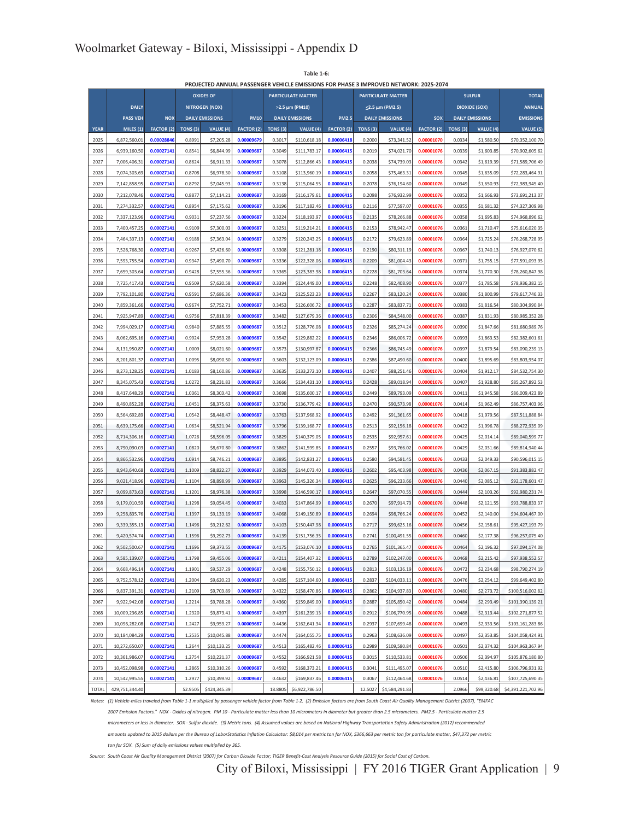**Table 1-6:**

|              |                 |                   |                  |                          |                   |                  |                              |                   |                     | PROJECTED ANNUAL PASSENGER VEHICLE EMISSIONS FOR PHASE 3 IMPROVED NETWORK: 2025-2074 |                          |          |                          |                                      |
|--------------|-----------------|-------------------|------------------|--------------------------|-------------------|------------------|------------------------------|-------------------|---------------------|--------------------------------------------------------------------------------------|--------------------------|----------|--------------------------|--------------------------------------|
|              |                 |                   |                  | <b>OXIDES OF</b>         |                   |                  | <b>PARTICULATE MATTER</b>    |                   |                     | <b>PARTICULATE MATTER</b>                                                            |                          |          | <b>SULFUR</b>            | <b>TOTAL</b>                         |
|              | <b>DAILY</b>    |                   |                  | <b>NITROGEN (NOX)</b>    |                   |                  | >2.5 μm (PM10)               |                   |                     | <2.5 μm (PM2.5)                                                                      |                          |          | <b>DIOXIDE (SOX)</b>     | <b>ANNUAL</b>                        |
|              | <b>PASS VEH</b> | <b>NOX</b>        |                  | <b>DAILY EMISSIONS</b>   | <b>PM10</b>       |                  | <b>DAILY EMISSIONS</b>       | <b>PM2.5</b>      |                     | <b>DAILY EMISSIONS</b>                                                               | <b>SOX</b>               |          | <b>DAILY EMISSIONS</b>   | <b>EMISSIONS</b>                     |
| <b>YEAR</b>  | MILES (1)       | <b>FACTOR (2)</b> | TONS (3)         | VALUE (4)                | <b>FACTOR (2)</b> | TONS (3)         | VALUE (4)                    | <b>FACTOR (2)</b> | TONS <sub>(3)</sub> | VALUE (4)                                                                            | <b>FACTOR (2)</b>        | TONS (3) | VALUE (4)                | VALUE (5)                            |
| 2025         | 6,872,560.01    | 0.00028846        | 0.8991           | \$7,205.28               | 0.00009679        | 0.3017           | \$110,618.18                 | 0.00006418        | 0.2000              | \$73,341.52                                                                          | 0.00001070               | 0.0334   | \$1,580.50               | \$70,352,100.70                      |
| 2026         | 6,939,160.50    | 0.00027141        | 0.8541           | \$6,844.99               | 0.00009687        | 0.3049           | \$111,783.17                 | 0.00006415        | 0.2019              | \$74,021.70                                                                          | 0.00001076               | 0.0339   | \$1,603.85               | \$70,902,605.62                      |
| 2027         | 7,006,406.31    | 0.00027141        | 0.8624           | \$6,911.33               | 0.00009687        | 0.3078           | \$112,866.43                 | 0.00006415        | 0.2038              | \$74,739.03                                                                          | 0.0000107                | 0.0342   | \$1,619.39               | \$71,589,706.49                      |
| 2028         | 7,074,303.69    | 0.00027141        | 0.8708           | \$6,978.30               | 0.00009687        | 0.3108           | \$113,960.19                 | 0.00006415        | 0.2058              | \$75,463.31                                                                          | 0.0000107                | 0.0345   | \$1,635.09               | \$72,283,464.91                      |
| 2029         | 7,142,858.95    | 0.00027141        | 0.8792           | \$7,045.93               | 0.00009687        | 0.3138           | \$115,064.55                 | 0.00006415        | 0.2078              | \$76,194.60                                                                          | 0.00001076               | 0.0349   | \$1,650.93               | \$72,983,945.40                      |
| 2030         | 7,212,078.46    | 0.00027141        | 0.8877           | \$7,114.21               | 0.00009687        | 0.3169           | \$116,179.61                 | 0.00006415        | 0.2098              | \$76,932.99                                                                          | 0.0000107                | 0.0352   | \$1,666.93               | \$73,691,213.07                      |
| 2031         | 7,274,332.57    | 0.00027141        | 0.8954           | \$7,175.62               | 0.00009687        | 0.3196           | \$117,182.46                 | 0.00006415        | 0.2116              | \$77,597.07                                                                          | 0.00001076               | 0.0355   | \$1,681.32               | \$74,327,309.98                      |
| 2032         | 7,337,123.96    | 0.00027141        | 0.9031           | \$7,237.56               | 0.00009687        | 0.3224           | \$118,193.97                 | 0.00006415        | 0.2135              | \$78,266.88                                                                          | 0.00001076               | 0.0358   | \$1,695.83               | \$74,968,896.62                      |
| 2033         | 7,400,457.2     | 0.00027141        | 0.9109           | \$7,300.03               | 0.00009687        | 0.3251           | \$119,214.21                 | 0.00006415        | 0.2153              | \$78,942.47                                                                          | 0.00001076               | 0.0361   | \$1,710.47               | \$75,616,020.35                      |
| 2034         | 7,464,337.13    | 0.00027141        | 0.9188           | \$7,363.04               | 0.00009687        | 0.3279           | \$120,243.25                 | 0.00006415        | 0.2172              | \$79,623.89                                                                          | 0.00001076               | 0.0364   | \$1,725.24               | \$76,268,728.95                      |
| 2035         | 7,528,768.30    | 0.00027141        | 0.9267           | \$7,426.60               | 0.00009687        | 0.3308           | \$121,281.18                 | 0.00006415        | 0.2190              | \$80,311.19                                                                          | 0.00001076               | 0.0367   | \$1,740.13               | \$76,927,070.62                      |
| 2036         | 7,593,755.54    | 0.00027141        | 0.9347           | \$7,490.70               | 0.00009687        | 0.3336           | \$122,328.06                 | 0.00006415        | 0.2209              | \$81,004.43                                                                          | 0.00001076               | 0.0371   | \$1,755.15               | \$77,591,093.95                      |
| 2037         | 7,659,303.64    | 0.00027141        | 0.9428           | \$7,555.36               | 0.00009687        | 0.3365           | \$123,383.98                 | 0.00006415        | 0.2228              | \$81,703.64                                                                          | 0.00001076               | 0.0374   | \$1,770.30               | \$78,260,847.98                      |
| 2038         | 7,725,417.43    | 0.00027141        | 0.9509           | \$7,620.58               | 0.00009687        | 0.3394           | \$124,449.00                 | 0.00006415        | 0.2248              | \$82,408.90                                                                          | 0.0000107                | 0.0377   | \$1,785.58               | \$78,936,382.15                      |
| 2039         | 7,792,101.80    | 0.00027141        | 0.9591           | \$7,686.36               | 0.00009687        | 0.3423           | \$125,523.23                 | 0.00006415        | 0.2267              | \$83,120.24                                                                          | 0.0000107                | 0.0380   | \$1,800.99               | \$79,617,746.33                      |
| 2040         | 7,859,361.66    | 0.00027141        | 0.9674           | \$7,752.71               | 0.00009687        | 0.3453           | \$126,606.72                 | 0.00006415        | 0.2287              | \$83,837.71                                                                          | 0.00001076               | 0.0383   | \$1,816.54               | \$80,304,990.84                      |
| 2041         | 7,925,947.89    | 0.00027141        | 0.9756           | \$7,818.39               | 0.00009687        | 0.3482           | \$127,679.36                 | 0.00006415        | 0.2306              | \$84,548.00                                                                          | 0.0000107                | 0.0387   | \$1,831.93               | \$80,985,352.28                      |
| 2042         | 7,994,029.17    | 0.00027141        | 0.9840           | \$7,885.55               | 0.00009687        | 0.3512           | \$128,776.08                 | 0.00006415        | 0.2326              | \$85,274.24                                                                          | 0.00001076               | 0.0390   | \$1,847.66               | \$81,680,989.76                      |
| 2043         | 8,062,695.16    | 0.00027141        | 0.9924           | \$7,953.28               | 0.00009687        | 0.3542           | \$129,882.22                 | 0.00006415        | 0.2346              | \$86,006.72                                                                          | 0.0000107                | 0.0393   | \$1,863.53               | \$82,382,601.61                      |
| 2044         | 8,131,950.87    | 0.00027141        | 1.0009           | \$8,021.60               | 0.00009687        | 0.3573           | \$130,997.87                 | 0.00006415        | 0.2366              | \$86,745.49                                                                          | 0.00001076               | 0.0397   | \$1,879.54               | \$83,090,239.13                      |
| 2045         | 8,201,801.37    | 0.00027141        | 1.0095           | \$8,090.50               | 0.00009687        | 0.3603           | \$132,123.09                 | 0.00006415        | 0.2386              | \$87,490.60                                                                          | 0.0000107                | 0.0400   | \$1,895.69               | \$83,803,954.07                      |
| 2046         | 8,273,128.25    | 0.00027141        | 1.0183           | \$8,160.86               | 0.00009687        | 0.3635           | \$133,272.10                 | 0.00006415        | 0.2407              | \$88,251.46                                                                          | 0.0000107                | 0.0404   | \$1,912.17               | \$84,532,754.30                      |
| 2047         | 8,345,075.43    | 0.00027141        | 1.0272           | \$8,231.83               | 0.00009687        | 0.3666           | \$134,431.10                 | 0.00006415        | 0.2428              | \$89,018.94                                                                          | 0.00001076               | 0.0407   | \$1,928.80               | \$85,267,892.53                      |
| 2048         | 8,417,648.29    | 0.00027141        | 1.0361           | \$8,303.42               | 0.00009687        | 0.3698           | \$135,600.17                 | 0.00006415        | 0.2449              | \$89,793.09                                                                          | 0.00001076               | 0.0411   | \$1,945.58               | \$86,009,423.89                      |
| 2049         | 8,490,852.28    | 0.00027141        | 1.0451           | \$8,375.63               | 0.00009687        | 0.3730           | \$136,779.42                 | 0.00006415        | 0.2470              | \$90,573.98                                                                          | 0.00001076               | 0.0414   | \$1,962.49               | \$86,757,403.96                      |
| 2050         | 8,564,692.89    | 0.00027141        | 1.0542           | \$8,448.47               | 0.00009687        | 0.3763           | \$137,968.92                 | 0.00006415        | 0.2492              | \$91,361.65                                                                          | 0.0000107                | 0.0418   | \$1,979.56               | \$87,511,888.84                      |
| 2051         | 8,639,175.66    | 0.00027141        | 1.0634           | \$8,521.94               | 0.00009687        | 0.3796           | \$139,168.77                 | 0.00006415        | 0.2513              | \$92,156.18                                                                          | 0.00001076               | 0.0422   | \$1,996.78               | \$88,272,935.09                      |
| 2052         | 8,714,306.16    | 0.00027141        | 1.0726           | \$8,596.05               | 0.00009687        | 0.3829           | \$140,379.05                 | 0.00006415        | 0.2535              | \$92,957.61                                                                          | 0.0000107                | 0.0425   | \$2,014.14               | \$89,040,599.77                      |
| 2053         | 8,790,090.03    | 0.00027141        | 1.0820           | \$8,670.80               | 0.00009687        | 0.3862           | \$141,599.85                 | 0.00006415        | 0.2557              | \$93,766.02                                                                          | 0.00001076               | 0.0429   | \$2,031.66               | \$89,814,940.44                      |
| 2054         | 8,866,532.96    | 0.00027141        | 1.0914           | \$8,746.21               | 0.00009687        | 0.3895           | \$142,831.27                 | 0.00006415        | 0.2580              | \$94,581.45                                                                          | 0.0000107                | 0.0433   | \$2,049.33               | \$90,596,015.15                      |
| 2055         | 8,943,640.68    | 0.00027141        | 1.1009           | \$8,822.27               | 0.00009687        | 0.3929           | \$144,073.40                 | 0.00006415        | 0.2602              | \$95,403.98                                                                          | 0.00001076               | 0.0436   | \$2,067.15               | \$91,383,882.47                      |
| 2056         | 9,021,418.96    | 0.00027141        | 1.1104           | \$8,898.99               | 0.00009687        | 0.3963           | \$145,326.34                 | 0.00006415        | 0.2625              | \$96,233.66                                                                          | 0.0000107                | 0.0440   | \$2,085.12               | \$92,178,601.47                      |
| 2057         | 9,099,873.63    | 0.00027141        | 1.1201           | \$8,976.38               | 0.00009687        | 0.3998           | \$146,590.17                 | 0.00006415        | 0.2647              | \$97,070.55                                                                          | 0.0000107                | 0.0444   | \$2,103.26               | \$92,980,231.74                      |
| 2058         | 9,179,010.59    | 0.00027141        | 1.1298           | \$9,054.45               | 0.00009687        | 0.4033           | \$147,864.99                 | 0.00006415        | 0.2670              | \$97,914.73                                                                          | 0.0000107                | 0.0448   | \$2,121.55               | \$93,788,833.37                      |
| 2059         | 9,258,835.76    | 0.00027141        | 1.1397           | \$9,133.19               | 0.00009687        | 0.4068           | \$149,150.89                 | 0.00006415        | 0.2694              | \$98,766.24                                                                          | 0.00001076               | 0.0452   | \$2,140.00               | \$94,604,467.00                      |
| 2060         | 9,339,355.13    | 0.00027141        | 1.1496           | \$9,212.62               | 0.00009687        | 0.4103           | \$150,447.98                 | 0.00006415        | 0.2717              | \$99,625.16                                                                          | 0.0000107                | 0.0456   | \$2,158.61               | \$95,427,193.79                      |
| 2061         | 9.420.574.74    | 0.00027141        | 1.1596           | \$9,292.73               | 0.00009687        | 0.4139           | \$151,756.35                 | 0.00006415        | 0.2741              | \$100,491.55                                                                         | 0.00001076               | 0.0460   | \$2,177.38               | \$96,257,075.40                      |
| 2062         | 9,502,500.67    | 0.00027141        | 1.1696           | \$9,373.55               | 0.00009687        | 0.4175           | \$153,076.10                 | 0.00006415        | 0.2765              | \$101,365.47                                                                         | 0.00001076               | 0.0464   | \$2,196.32               | \$97,094,174.08                      |
| 2063         | 9,585,139.07    | 0.00027141        | 1.1798           | \$9,455.06               | 0.00009687        | 0.4211           | \$154,407.32                 | 0.00006415        | 0.2789              | \$102,247.00                                                                         | 0.00001076               | 0.0468   | \$2,215.42               | \$97,938,552.57                      |
| 2064         | 9,668,496.14    | 0.00027141        | 1.1901           | \$9,537.29               | 0.00009687        | 0.4248           | \$155,750.12                 | 0.00006415        | 0.2813              | \$103,136.19                                                                         | 0.00001076               | 0.0472   | \$2,234.68               | \$98,790,274.19                      |
| 2065         | 9,752,578.12    | 0.00027141        | 1.2004           | \$9,620.23               | 0.00009687        | 0.4285           | \$157,104.60                 | 0.00006415        | 0.2837              | \$104,033.11                                                                         | 0.00001076               | 0.0476   | \$2,254.12               | \$99,649,402.80                      |
| 2066         | 9,837,391.31    | 0.00027141        | 1.2109           | \$9,703.89               | 0.00009687        | 0.4322           | \$158,470.86                 | 0.00006415        | 0.2862              | \$104,937.83                                                                         | 0.00001076               | 0.0480   | \$2,273.72               | \$100,516,002.82                     |
|              | 9,922,942.08    | 0.00027141        |                  |                          | 0.00009687        |                  |                              | 0.00006415        |                     |                                                                                      |                          | 0.0484   |                          |                                      |
| 2067<br>2068 | 10,009,236.85   | 0.00027141        | 1.2214<br>1.2320 | \$9,788.28<br>\$9,873.41 | 0.00009687        | 0.4360<br>0.4397 | \$159,849.00<br>\$161,239.13 | 0.00006415        | 0.2887<br>0.2912    | \$105,850.42<br>\$106,770.95                                                         | 0.00001076<br>0.00001076 | 0.0488   | \$2,293.49<br>\$2,313.44 | \$101,390,139.21<br>\$102,271,877.52 |
| 2069         | 10,096,282.08   | 0.00027141        | 1.2427           | \$9,959.27               | 0.00009687        | 0.4436           | \$162,641.34                 | 0.00006415        | 0.2937              | \$107,699.48                                                                         | 0.00001076               | 0.0493   | \$2,333.56               | \$103,161,283.86                     |
| 2070         | 10,184,084.29   | 0.00027141        | 1.2535           | \$10,045.88              | 0.00009687        | 0.4474           | \$164,055.75                 | 0.00006415        | 0.2963              | \$108,636.09                                                                         | 0.00001076               | 0.0497   | \$2,353.85               | \$104,058,424.91                     |
|              |                 |                   |                  |                          |                   |                  |                              |                   |                     |                                                                                      |                          |          |                          |                                      |
| 2071         | 10,272,650.07   | 0.00027141        | 1.2644           | \$10,133.25              | 0.00009687        | 0.4513           | \$165,482.46                 | 0.00006415        | 0.2989              | \$109,580.84                                                                         | 0.00001076               | 0.0501   | \$2,374.32               | \$104,963,367.94                     |
| 2072         | 10,361,986.07   | 0.00027141        | 1.2754           | \$10,221.37              | 0.00009687        | 0.4552           | \$166,921.58                 | 0.00006415        | 0.3015              | \$110,533.81                                                                         | 0.00001076               | 0.0506   | \$2,394.97               | \$105,876,180.80                     |
| 2073         | 10,452,098.98   | 0.00027141        | 1.2865           | \$10,310.26              | 0.00009687        | 0.4592           | \$168,373.21                 | 0.00006415        | 0.3041              | \$111,495.07                                                                         | 0.00001076               | 0.0510   | \$2,415.80               | \$106,796,931.92                     |
| 2074         | 10,542,995.55   | 0.00027141        | 1.2977           | \$10,399.92              | 0.00009687        | 0.4632           | \$169,837.46                 | 0.00006415        | 0.3067              | \$112,464.68                                                                         | 0.00001076               | 0.0514   | \$2,436.81               | \$107,725,690.35                     |
| <b>TOTAL</b> | 429,751,344.40  |                   | 52.9505          | \$424,345.39             |                   | 18.8805          | \$6,922,786.50               |                   | 12.5027             | \$4,584,291.83                                                                       |                          | 2.0966   | \$99,320.68              | \$4,391,221,702.96                   |

*Notes: (1) Vehicle-miles traveled from Table 1-1 multiplied by passenger vehicle factor from Table 1-2. (2) Emission factors are from South Coast Air Quality Management District (2007), "EMFAC*

*2007 Emission Factors." NOX - Oxides of nitrogen. PM 10 - Particulate matter less than 10 micrometers in diameter but greater than 2.5 micrometers. PM2.5 - Particulate matter 2.5*

*micrometers or less in diameter. SOX - Sulfur dioxide. (3) Metric tons. (4) Assumed values are based on National Highway Transportation Safety Administration (2012) recommended*

*amounts updated to 2015 dollars per the Bureau of LaborStatistics Inflation Calculator: \$8,014 per metric ton for NOX, \$366,663 per metric ton for particulate matter, \$47,372 per metric*

*ton for SOX. (5) Sum of daily emissions values multiplied by 365.*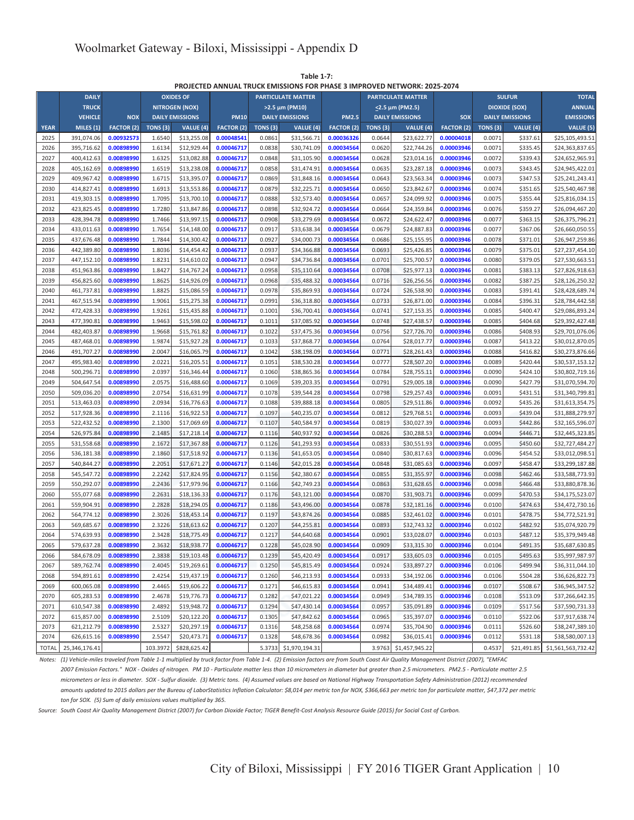|              |                |                   |                     |                        |                   |         |                           |                   |                 | PROJECTED ANNUAL TRUCK EMISSIONS FOR PHASE 3 IMPROVED NETWORK: 2025-2074 |                   |                     |                        |                    |
|--------------|----------------|-------------------|---------------------|------------------------|-------------------|---------|---------------------------|-------------------|-----------------|--------------------------------------------------------------------------|-------------------|---------------------|------------------------|--------------------|
|              | <b>DAILY</b>   |                   |                     | <b>OXIDES OF</b>       |                   |         | <b>PARTICULATE MATTER</b> |                   |                 | <b>PARTICULATE MATTER</b>                                                |                   |                     | <b>SULFUR</b>          | <b>TOTAL</b>       |
|              | <b>TRUCK</b>   |                   |                     | <b>NITROGEN (NOX)</b>  |                   |         | >2.5 µm (PM10)            |                   |                 | $\leq$ 2.5 μm (PM2.5)                                                    |                   |                     | <b>DIOXIDE (SOX)</b>   | <b>ANNUAL</b>      |
|              | <b>VEHICLE</b> | <b>NOX</b>        |                     | <b>DAILY EMISSIONS</b> | <b>PM10</b>       |         | <b>DAILY EMISSIONS</b>    | <b>PM2.5</b>      |                 | <b>DAILY EMISSIONS</b>                                                   | <b>SOX</b>        |                     | <b>DAILY EMISSIONS</b> | <b>EMISSIONS</b>   |
| <b>YEAR</b>  | MILES (1)      | <b>FACTOR (2)</b> | TONS <sub>(3)</sub> | VALUE (4)              | <b>FACTOR</b> (2) | TONS(3) | VALUE (4)                 | <b>FACTOR (2)</b> | <b>TONS (3)</b> | VALUE (4)                                                                | <b>FACTOR (2)</b> | TONS <sub>(3)</sub> | VALUE (4)              | VALUE (5)          |
| 2025         | 391,074.06     | 0.00932573        | 1.6540              | \$13,255.08            | 0.00048541        | 0.0861  | \$31,566.71               | 0.00036326        | 0.0644          | \$23,622.77                                                              | 0.00004018        | 0.0071              | \$337.61               | \$25,105,493.51    |
| 2026         | 395,716.62     | 0.00898990        | 1.6134              | \$12,929.44            | 0.00046717        | 0.0838  | \$30,741.09               | 0.00034564        | 0.0620          | \$22,744.26                                                              | 0.00003946        | 0.0071              | \$335.45               | \$24,363,837.65    |
| 2027         | 400,412.63     | 0.00898990        | 1.6325              | \$13,082.88            | 0.00046717        | 0.0848  | \$31,105.90               | 0.00034564        | 0.0628          | \$23,014.16                                                              | 0.00003946        | 0.0072              | \$339.43               | \$24,652,965.91    |
| 2028         | 405,162.69     | 0.00898990        | 1.6519              | \$13,238.08            | 0.00046717        | 0.0858  | \$31,474.91               | 0.00034564        | 0.0635          | \$23,287.18                                                              | 0.00003946        | 0.0073              | \$343.45               | \$24,945,422.01    |
| 2029         | 409,967.42     | 0.00898990        | 1.6715              | \$13,395.07            | 0.00046717        | 0.0869  | \$31,848.16               | 0.00034564        | 0.0643          | \$23,563.34                                                              | 0.00003946        | 0.0073              | \$347.53               | \$25,241,243.41    |
| 2030         | 414,827.41     | 0.00898990        | 1.6913              | \$13,553.86            | 0.00046717        | 0.0879  | \$32,225.71               | 0.00034564        | 0.0650          | \$23,842.67                                                              | 0.00003946        | 0.0074              | \$351.65               | \$25,540,467.98    |
| 2031         | 419,303.15     | 0.00898990        | 1.7095              | \$13,700.10            | 0.00046717        | 0.0888  | \$32,573.40               | 0.00034564        | 0.0657          | \$24,099.92                                                              | 0.00003946        | 0.0075              | \$355.44               | \$25,816,034.15    |
| 2032         | 423,825.45     | 0.00898990        | 1.7280              | \$13,847.86            | 0.00046717        | 0.0898  | \$32,924.72               | 0.00034564        | 0.0664          | \$24,359.84                                                              | 0.00003946        | 0.0076              | \$359.27               | \$26,094,467.20    |
| 2033         | 428,394.78     | 0.00898990        | 1.7466              | \$13,997.15            | 0.00046717        | 0.0908  | \$33,279.69               | 0.00034564        | 0.0672          | \$24,622.47                                                              | 0.00003946        | 0.0077              | \$363.15               | \$26,375,796.21    |
| 2034         | 433,011.63     | 0.00898990        | 1.7654              | \$14,148.00            | 0.00046717        | 0.0917  | \$33,638.34               | 0.00034564        | 0.0679          | \$24,887.83                                                              | 0.00003946        | 0.0077              | \$367.06               | \$26,660,050.55    |
| 2035         | 437,676.48     | 0.00898990        | 1.7844              | \$14,300.42            | 0.00046717        | 0.0927  | \$34,000.73               | 0.00034564        | 0.0686          | \$25,155.95                                                              | 0.00003946        | 0.0078              | \$371.01               | \$26,947,259.86    |
| 2036         | 442,389.80     | 0.00898990        | 1.8036              | \$14,454.42            | 0.00046717        | 0.0937  | \$34,366.88               | 0.00034564        | 0.0693          | \$25,426.85                                                              | 0.00003946        | 0.0079              | \$375.01               | \$27,237,454.10    |
| 2037         | 447,152.10     | 0.00898990        | 1.8231              | \$14,610.02            | 0.00046717        | 0.0947  | \$34,736.84               | 0.00034564        | 0.0701          | \$25,700.57                                                              | 0.00003946        | 0.0080              | \$379.05               | \$27,530,663.51    |
| 2038         | 451,963.86     | 0.00898990        | 1.8427              | \$14,767.24            | 0.00046717        | 0.0958  | \$35,110.64               | 0.00034564        | 0.0708          | \$25,977.13                                                              | 0.00003946        | 0.0081              | \$383.13               | \$27,826,918.63    |
| 2039         | 456,825.60     | 0.00898990        | 1.8625              | \$14,926.09            | 0.00046717        | 0.0968  | \$35,488.32               | 0.00034564        | 0.0716          | \$26,256.56                                                              | 0.00003946        | 0.0082              | \$387.25               | \$28,126,250.32    |
| 2040         | 461,737.81     | 0.00898990        | 1.8825              | \$15,086.59            | 0.00046717        | 0.0978  | \$35,869.93               | 0.00034564        | 0.0724          | \$26,538.90                                                              | 0.00003946        | 0.0083              | \$391.41               | \$28,428,689.74    |
| 2041         | 467,515.94     | 0.00898990        | 1.9061              | \$15,275.38            | 0.00046717        | 0.0991  | \$36,318.80               | 0.00034564        | 0.0733          | \$26,871.00                                                              | 0.00003946        | 0.0084              | \$396.31               | \$28,784,442.58    |
| 2042         | 472,428.33     | 0.00898990        | 1.9261              | \$15,435.88            | 0.00046717        | 0.1001  | \$36,700.41               | 0.00034564        | 0.0741          | \$27,153.35                                                              | 0.00003946        | 0.0085              | \$400.47               | \$29,086,893.24    |
| 2043         | 477,390.81     | 0.00898990        | 1.9463              | \$15,598.02            | 0.00046717        | 0.1011  | \$37,085.92               | 0.00034564        | 0.0748          | \$27,438.57                                                              | 0.00003946        | 0.0085              | \$404.68               | \$29,392,427.48    |
| 2044         | 482,403.87     | 0.00898990        | 1.9668              | \$15,761.82            | 0.00046717        | 0.1022  | \$37,475.36               | 0.00034564        | 0.0756          | \$27,726.70                                                              | 0.00003946        | 0.0086              | \$408.93               | \$29,701,076.06    |
| 2045         | 487,468.01     | 0.00898990        | 1.9874              | \$15,927.28            | 0.00046717        | 0.1033  | \$37,868.77               | 0.00034564        | 0.0764          | \$28,017.77                                                              | 0.00003946        | 0.0087              | \$413.22               | \$30,012,870.05    |
| 2046         | 491,707.27     | 0.00898990        | 2.0047              | \$16,065.79            | 0.00046717        | 0.1042  | \$38,198.09               | 0.00034564        | 0.0771          | \$28,261.43                                                              | 0.00003946        | 0.0088              | \$416.82               | \$30,273,876.66    |
| 2047         | 495,983.40     | 0.00898990        | 2.0221              | \$16,205.51            | 0.00046717        | 0.1051  | \$38,530.28               | 0.00034564        | 0.0777          | \$28,507.20                                                              | 0.00003946        | 0.0089              | \$420.44               | \$30,537,153.12    |
| 2048         | 500,296.71     | 0.00898990        | 2.0397              | \$16,346.44            | 0.00046717        | 0.1060  | \$38,865.36               | 0.00034564        | 0.0784          | \$28,755.11                                                              | 0.00003946        | 0.0090              | \$424.10               | \$30.802.719.16    |
| 2049         | 504,647.54     | 0.00898990        | 2.0575              | \$16,488.60            | 0.00046717        | 0.1069  | \$39,203.35               | 0.00034564        | 0.0791          | \$29,005.18                                                              | 0.00003946        | 0.0090              | \$427.79               | \$31,070,594.70    |
| 2050         | 509,036.20     | 0.00898990        | 2.0754              | \$16,631.99            | 0.00046717        | 0.1078  | \$39,544.28               | 0.00034564        | 0.0798          | \$29,257.43                                                              | 0.00003946        | 0.0091              | \$431.51               | \$31,340,799.81    |
| 2051         | 513,463.03     | 0.00898990        | 2.0934              | \$16,776.63            | 0.00046717        | 0.1088  | \$39,888.18               | 0.00034564        | 0.0805          | \$29,511.86                                                              | 0.00003946        | 0.0092              | \$435.26               | \$31,613,354.75    |
| 2052         | 517,928.36     | 0.00898990        | 2.1116              | \$16,922.53            | 0.00046717        | 0.1097  | \$40,235.07               | 0.00034564        | 0.0812          | \$29,768.51                                                              | 0.00003946        | 0.0093              | \$439.04               | \$31,888,279.97    |
| 2053         | 522,432.52     | 0.00898990        | 2.1300              | \$17,069.69            | 0.00046717        | 0.1107  | \$40,584.97               | 0.00034564        | 0.0819          | \$30,027.39                                                              | 0.00003946        | 0.0093              | \$442.86               | \$32,165,596.07    |
| 2054         | 526,975.84     | 0.00898990        | 2.1485              | \$17,218.14            | 0.00046717        | 0.1116  | \$40,937.92               | 0.00034564        | 0.0826          | \$30,288.53                                                              | 0.00003946        | 0.0094              | \$446.71               | \$32,445,323.85    |
| 2055         | 531,558.68     | 0.00898990        | 2.1672              | \$17,367.88            | 0.00046717        | 0.1126  | \$41,293.93               | 0.00034564        | 0.0833          | \$30,551.93                                                              | 0.00003946        | 0.0095              | \$450.60               | \$32,727,484.27    |
| 2056         | 536,181.38     | 0.00898990        | 2.1860              | \$17,518.92            | 0.00046717        | 0.1136  | \$41,653.05               | 0.00034564        | 0.0840          | \$30,817.63                                                              | 0.00003946        | 0.0096              | \$454.52               | \$33,012,098.51    |
| 2057         | 540,844.27     | 0.00898990        | 2.2051              | \$17,671.27            | 0.00046717        | 0.1146  | \$42,015.28               | 0.00034564        | 0.0848          | \$31,085.63                                                              | 0.00003946        | 0.0097              | \$458.47               | \$33,299,187.88    |
| 2058         | 545,547.72     | 0.00898990        | 2.2242              | \$17,824.95            | 0.00046717        | 0.1156  | \$42,380.67               | 0.00034564        | 0.0855          | \$31,355.97                                                              | 0.00003946        | 0.0098              | \$462.46               | \$33,588,773.93    |
| 2059         | 550,292.07     | 0.00898990        | 2.2436              | \$17,979.96            | 0.00046717        | 0.1166  | \$42,749.23               | 0.00034564        | 0.0863          | \$31,628.65                                                              | 0.00003946        | 0.0098              | \$466.48               | \$33,880,878.36    |
| 2060         | 555,077.68     | 0.00898990        | 2.2631              | \$18,136.33            | 0.00046717        | 0.1176  | \$43,121.00               | 0.00034564        | 0.0870          | \$31,903.71                                                              | 0.00003946        | 0.0099              | \$470.53               | \$34,175,523.07    |
| 2061         | 559,904.91     | 0.00898990        | 2.2828              | \$18,294.05            | 0.00046717        | 0.1186  | \$43,496.00               | 0.00034564        | 0.0878          | \$32,181.16                                                              | 0.00003946        | 0.0100              | \$474.63               | \$34,472,730.16    |
| 2062         | 564,774.12     | 0.00898990        | 2.3026              | \$18,453.14            | 0.00046717        | 0.1197  | \$43,874.26               | 0.00034564        | 0.0885          | \$32,461.02                                                              | 0.00003946        | 0.0101              | \$478.75               | \$34,772,521.91    |
| 2063         | 569,685.67     | 0.00898990        | 2.3226              | \$18,613.62            | 0.00046717        | 0.1207  | \$44,255.81               | 0.00034564        | 0.0893          | \$32,743.32                                                              | 0.00003946        | 0.0102              | \$482.92               | \$35,074,920.79    |
| 2064         | 574,639.93     | 0.00898990        | 2.3428              | \$18,775.49            | 0.00046717        | 0.1217  | \$44,640.68               | 0.00034564        | 0.0901          | \$33,028.07                                                              | 0.00003946        | 0.0103              | \$487.12               | \$35,379,949.48    |
| 2065         | 579,637.28     | 0.00898990        | 2.3632              | \$18,938.77            | 0.00046717        | 0.1228  | \$45,028.90               | 0.00034564        | 0.0909          | \$33,315.30                                                              | 0.00003946        | 0.0104              | \$491.35               | \$35,687,630.85    |
| 2066         | 584,678.09     | 0.00898990        | 2.3838              | \$19,103.48            | 0.00046717        | 0.1239  | \$45,420.49               | 0.00034564        | 0.0917          | \$33,605.03                                                              | 0.00003946        | 0.0105              | \$495.63               | \$35,997,987.97    |
| 2067         | 589,762.74     | 0.00898990        | 2.4045              | \$19,269.61            | 0.00046717        | 0.1250  | \$45,815.49               | 0.00034564        | 0.0924          | \$33,897.27                                                              | 0.00003946        | 0.0106              | \$499.94               | \$36,311,044.10    |
| 2068         | 594,891.61     | 0.00898990        | 2.4254              | \$19,437.19            | 0.00046717        | 0.1260  | \$46,213.93               | 0.00034564        | 0.0933          | \$34,192.06                                                              | 0.00003946        | 0.0106              | \$504.28               | \$36,626,822.73    |
| 2069         | 600,065.08     | 0.00898990        | 2.4465              | \$19,606.22            | 0.00046717        | 0.1271  | \$46,615.83               | 0.00034564        | 0.0941          | \$34,489.41                                                              | 0.00003946        | 0.0107              | \$508.67               | \$36,945,347.52    |
| 2070         | 605,283.53     | 0.00898990        | 2.4678              | \$19,776.73            | 0.00046717        | 0.1282  | \$47,021.22               | 0.00034564        | 0.0949          | \$34,789.35                                                              | 0.00003946        | 0.0108              | \$513.09               | \$37,266,642.35    |
| 2071         | 610,547.38     | 0.00898990        | 2.4892              | \$19,948.72            | 0.00046717        | 0.1294  | \$47,430.14               | 0.00034564        | 0.0957          | \$35,091.89                                                              | 0.00003946        | 0.0109              | \$517.56               | \$37,590,731.33    |
| 2072         | 615,857.00     | 0.00898990        | 2.5109              | \$20,122.20            | 0.00046717        | 0.1305  | \$47,842.62               | 0.00034564        | 0.0965          | \$35,397.07                                                              | 0.00003946        | 0.0110              | \$522.06               | \$37,917,638.74    |
| 2073         | 621,212.79     | 0.00898990        | 2.5327              | \$20,297.19            | 0.00046717        | 0.1316  | \$48,258.68               | 0.00034564        | 0.0974          | \$35,704.90                                                              | 0.00003946        | 0.0111              | \$526.60               | \$38,247,389.10    |
| 2074         | 626,615.16     | 0.00898990        | 2.5547              | \$20,473.71            | 0.00046717        | 0.1328  | \$48,678.36               | 0.00034564        | 0.0982          | \$36,015.41                                                              | 0.00003946        | 0.0112              | \$531.18               | \$38,580,007.13    |
| <b>TOTAL</b> | 25,346,176.41  |                   | 103.3972            | \$828,625.42           |                   | 5.3733  | \$1,970,194.31            |                   | 3.9763          | \$1,457,945.22                                                           |                   | 0.4537              | \$21,491.85            | \$1,561,563,732.42 |
|              |                |                   |                     |                        |                   |         |                           |                   |                 |                                                                          |                   |                     |                        |                    |

**Table 1-7:**

*Notes: (1) Vehicle-miles traveled from Table 1-1 multiplied by truck factor from Table 1-4. (2) Emission factors are from South Coast Air Quality Management District (2007), "EMFAC 2007 Emission Factors." NOX - Oxides of nitrogen. PM 10 - Particulate matter less than 10 micrometers in diameter but greater than 2.5 micrometers. PM2.5 - Particulate matter 2.5 micrometers or less in diameter. SOX - Sulfur dioxide. (3) Metric tons. (4) Assumed values are based on National Highway Transportation Safety Administration (2012) recommended amounts updated to 2015 dollars per the Bureau of LaborStatistics Inflation Calculator: \$8,014 per metric ton for NOX, \$366,663 per metric ton for particulate matter, \$47,372 per metric ton for SOX. (5) Sum of daily emissions values multiplied by 365.*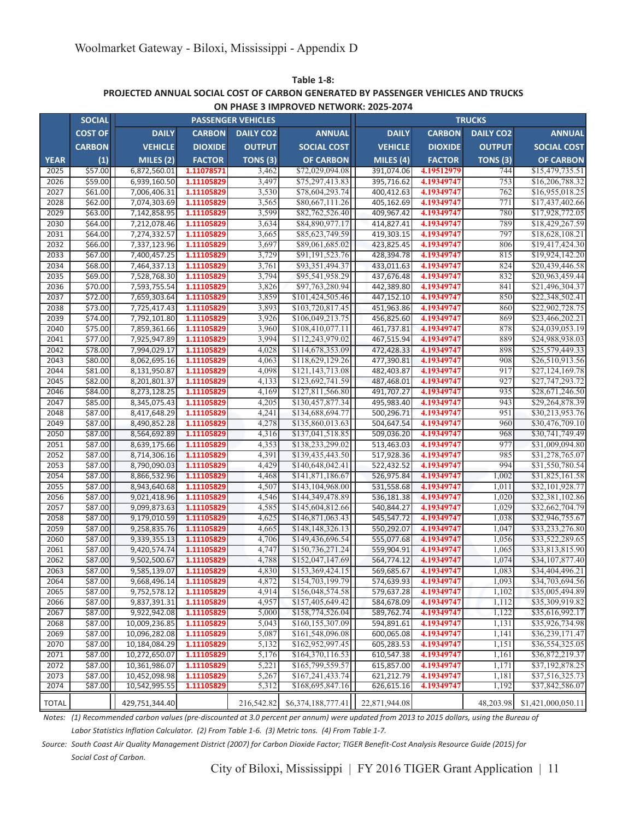**PROJECTED ANNUAL SOCIAL COST OF CARBON GENERATED BY PASSENGER VEHICLES AND TRUCKS Table 1-8: ON PHASE 3 IMPROVED NETWORK: 2025-2074**

|              | <b>SOCIAL</b>  |                |                | <b>PASSENGER VEHICLES</b> |                    |                |                | <b>TRUCKS</b>       |                    |
|--------------|----------------|----------------|----------------|---------------------------|--------------------|----------------|----------------|---------------------|--------------------|
|              | <b>COST OF</b> | <b>DAILY</b>   | <b>CARBON</b>  | <b>DAILY CO2</b>          | <b>ANNUAL</b>      | <b>DAILY</b>   | <b>CARBON</b>  | <b>DAILY CO2</b>    | <b>ANNUAL</b>      |
|              | <b>CARBON</b>  | <b>VEHICLE</b> | <b>DIOXIDE</b> | <b>OUTPUT</b>             | <b>SOCIAL COST</b> | <b>VEHICLE</b> | <b>DIOXIDE</b> | <b>OUTPUT</b>       | <b>SOCIAL COST</b> |
| <b>YEAR</b>  | (1)            | MILES (2)      | <b>FACTOR</b>  | TONS <sub>(3)</sub>       | <b>OF CARBON</b>   | MILES (4)      | <b>FACTOR</b>  | TONS <sub>(3)</sub> | <b>OF CARBON</b>   |
| 2025         | \$57.00        | 6,872,560.01   | 1.11078571     | 3,462                     | \$72,029,094.08    | 391,074.06     | 4.19512979     | 744                 | \$15,479,735.51    |
| 2026         | \$59.00        | 6,939,160.50   | 1.11105829     | 3,497                     | \$75,297,413.83    | 395,716.62     | 4.19349747     | 753                 | \$16,206,788.32    |
| 2027         | \$61.00        | 7,006,406.31   | 1.11105829     | 3,530                     | \$78,604,293.74    | 400,412.63     | 4.19349747     | 762                 | \$16,955,018.25    |
| 2028         | \$62.00        | 7,074,303.69   | 1.11105829     | 3,565                     | \$80,667,111.26    | 405,162.69     | 4.19349747     | 771                 | \$17,437,402.66    |
| 2029         | \$63.00        | 7,142,858.95   | 1.11105829     | 3,599                     | \$82,762,526.40    | 409.967.42     | 4.19349747     | 780                 | \$17,928,772.05    |
| 2030         | \$64.00        | 7,212,078.46   | 1.11105829     | 3,634                     | \$84,890,977.17    | 414,827.41     | 4.19349747     | 789                 | \$18,429,267.59    |
| 2031         | \$64.00        | 7,274,332.57   | 1.11105829     | 3,665                     | \$85,623,749.59    | 419,303.15     | 4.19349747     | 797                 | \$18,628,108.21    |
| 2032         | \$66.00        | 7,337,123.96   | 1.11105829     | 3,697                     | \$89,061,685.02    | 423,825.45     | 4.19349747     | 806                 | \$19,417,424.30    |
| 2033         | \$67.00        | 7,400,457.25   | 1.11105829     | 3,729                     | \$91,191,523.76    | 428,394.78     | 4.19349747     | 815                 | \$19,924,142.20    |
| 2034         | \$68.00        | 7,464,337.13   | 1.11105829     | 3,761                     | \$93,351,494.37    | 433,011.63     | 4.19349747     | 824                 | \$20,439,446.58    |
| 2035         | \$69.00        | 7,528,768.30   | 1.11105829     | 3,794                     | \$95,541,958.29    | 437,676.48     | 4.19349747     | 832                 | \$20,963,459.44    |
| 2036         | \$70.00        | 7,593,755.54   | 1.11105829     | 3,826                     | \$97,763,280.94    | 442,389.80     | 4.19349747     | 841                 | \$21,496,304.37    |
| 2037         | \$72.00        | 7,659,303.64   | 1.11105829     | 3,859                     | \$101,424,505.46   | 447,152.10     | 4.19349747     | 850                 | \$22,348,502.41    |
| 2038         | \$73.00        | 7,725,417.43   | 1.11105829     | 3,893                     | \$103,720,817.45   | 451,963.86     | 4.19349747     | 860                 | \$22,902,728.75    |
| 2039         | \$74.00        | 7,792,101.80   | 1.11105829     | 3,926                     | \$106,049,213.75   | 456,825.60     | 4.19349747     | 869                 | \$23,466,202.21    |
| 2040         | \$75.00        | 7,859,361.66   | 1.11105829     | 3,960                     | \$108,410,077.11   | 461,737.81     | 4.19349747     | 878                 | \$24,039,053.19    |
| 2041         | \$77.00        | 7,925,947.89   | 1.11105829     | 3,994                     | \$112,243,979.02   | 467,515.94     | 4.19349747     | 889                 | \$24,988,938.03    |
| 2042         | \$78.00        | 7,994,029.17   | 1.11105829     | 4,028                     | \$114,678,353.09   | 472,428.33     | 4.19349747     | 898                 | \$25,579,449.33    |
| 2043         | \$80.00        | 8,062,695.16   | 1.11105829     | 4,063                     | \$118,629,129.26   | 477,390.81     | 4.19349747     | 908                 | \$26,510,913.56    |
| 2044         | \$81.00        | 8,131,950.87   | 1.11105829     | 4,098                     | \$121, 143, 713.08 | 482,403.87     | 4.19349747     | 917                 | \$27,124,169.78    |
| 2045         | \$82.00        | 8,201,801.37   | 1.11105829     | 4,133                     | \$123,692,741.59   | 487,468.01     | 4.19349747     | 927                 | \$27,747,293.72    |
| 2046         | \$84.00        | 8,273,128.25   | 1.11105829     | 4,169                     | \$127,811,566.80   | 491,707.27     | 4.19349747     | 935                 | \$28,671,246.50    |
| 2047         | \$85.00        | 8,345,075.43   | 1.11105829     | 4,205                     | \$130,457,877.34   | 495,983.40     | 4.19349747     | 943                 | \$29,264,878.39    |
| 2048         | \$87.00        | 8,417,648.29   | 1.11105829     | 4,241                     | \$134,688,694.77   | 500,296.71     | 4.19349747     | 951                 | \$30,213,953.76    |
| 2049         | \$87.00        | 8,490,852.28   | 1.11105829     | 4,278                     | \$135,860,013.63   | 504,647.54     | 4.19349747     | 960                 | \$30,476,709.10    |
| 2050         | \$87.00        | 8,564,692.89   | 1.11105829     | 4,316                     | \$137,041,518.85   | 509,036.20     | 4.19349747     | 968                 | \$30,741,749.49    |
| 2051         | \$87.00        | 8,639,175.66   | 1.11105829     | 4,353                     | \$138,233,299.02   | 513,463.03     | 4.19349747     | 977                 | \$31,009,094.80    |
| 2052         | \$87.00        | 8,714,306.16   | 1.11105829     | 4,391                     | \$139,435,443.50   | 517,928.36     | 4.19349747     | 985                 | \$31,278,765.07    |
| 2053         | \$87.00        | 8,790,090.03   | 1.11105829     | 4,429                     | \$140,648,042.41   | 522,432.52     | 4.19349747     | 994                 | \$31,550,780.54    |
| 2054         | \$87.00        | 8,866,532.96   | 1.11105829     | 4,468                     | \$141,871,186.67   | 526,975.84     | 4.19349747     | 1,002               | \$31,825,161.58    |
| 2055         | \$87.00        | 8,943,640.68   | 1.11105829     | 4,507                     | \$143,104,968.00   | 531,558.68     | 4.19349747     | 1,011               | \$32,101,928.77    |
| 2056         | \$87.00        | 9,021,418.96   | 1.11105829     | 4,546                     | \$144,349,478.89   | 536,181.38     | 4.19349747     | 1,020               | \$32,381,102.86    |
| 2057         | \$87.00        | 9,099,873.63   | 1.11105829     | 4,585                     | \$145,604,812.66   | 540,844.27     | 4.19349747     | 1,029               | \$32,662,704.79    |
| 2058         | \$87.00        | 9,179,010.59   | 1.11105829     | 4,625                     | \$146,871,063.43   | 545,547.72     | 4.19349747     | 1,038               | \$32,946,755.67    |
| 2059         | \$87.00        | 9,258,835.76   | 1.11105829     | 4,665                     | \$148,148,326.13   | 550,292.07     | 4.19349747     | 1,047               | \$33,233,276.80    |
| 2060         | \$87.00        | 9,339,355.13   | 1.11105829     | 4,706                     | \$149,436,696.54   | 555,077.68     | 4.19349747     | 1,056               | \$33,522,289.65    |
| 2061         | \$87.00        | 9,420,574.74   | 1.11105829     | 4,747                     | \$150,736,271.24   | 559,904.91     | 4.19349747     | 1,065               | \$33,813,815.90    |
| 2062         | \$87.00        | 9,502,500.67   | 1.11105829     | 4,788                     | \$152,047,147.69   | 564,774.12     | 4.19349747     | 1,074               | \$34,107,877.40    |
| 2063         | \$87.00        | 9,585,139.07   | 1.11105829     | 4,830                     | \$153,369,424.15   | 569,685.67     | 4.19349747     | 1,083               | \$34,404,496.21    |
| 2064         | \$87.00        | 9,668,496.14   | 1.11105829     | 4,872                     | \$154,703,199.79   | 574,639.93     | 4.19349747     | 1,093               | \$34,703,694.56    |
| 2065         | \$87.00        | 9,752,578.12   | 1.11105829     | 4,914                     | \$156,048,574.58   | 579,637.28     | 4.19349747     | 1,102               | \$35,005,494.89    |
| 2066         | \$87.00        | 9,837,391.31   | 1.11105829     | 4,957                     | \$157,405,649.42   | 584,678.09     | 4.19349747     | 1,112               | \$35,309,919.82    |
| 2067         | \$87.00        | 9,922,942.08   | 1.11105829     | 5,000                     | \$158,774,526.04   | 589,762.74     | 4.19349747     | 1,122               | \$35,616,992.17    |
| 2068         | \$87.00        | 10,009,236.85  | 1.11105829     | 5,043                     | \$160,155,307.09   | 594,891.61     | 4.19349747     | 1,131               | \$35,926,734.98    |
| 2069         | \$87.00        | 10,096,282.08  | 1.11105829     | 5,087                     | \$161,548,096.08   | 600,065.08     | 4.19349747     | 1,141               | \$36,239,171.47    |
| 2070         | \$87.00        | 10,184,084.29  | 1.11105829     | 5,132                     | \$162,952,997.45   | 605,283.53     | 4.19349747     | 1,151               | \$36,554,325.05    |
| 2071         | \$87.00        | 10,272,650.07  | 1.11105829     | 5,176                     | \$164,370,116.53   | 610,547.38     | 4.19349747     | 1,161               | \$36,872,219.37    |
| 2072         | \$87.00        | 10,361,986.07  | 1.11105829     | 5,221                     | \$165,799,559.57   | 615,857.00     | 4.19349747     | 1,171               | \$37,192,878.25    |
| 2073         | \$87.00        | 10,452,098.98  | 1.11105829     | 5,267                     | \$167,241,433.74   | 621,212.79     | 4.19349747     | 1,181               | \$37,516,325.73    |
| 2074         | \$87.00        | 10,542,995.55  | 1.11105829     | 5,312                     | \$168,695,847.16   | 626,615.16     | 4.19349747     | 1,192               | \$37,842,586.07    |
|              |                |                |                |                           |                    |                |                |                     |                    |
| <b>TOTAL</b> |                | 429,751,344.40 |                | 216,542.82                | \$6,374,188,777.41 | 22,871,944.08  |                | 48,203.98           | \$1,421,000,050.11 |

*Notes: (1) Recommended carbon values (pre-discounted at 3.0 percent per annum) were updated from 2013 to 2015 dollars, using the Bureau of*

*Labor Statistics Inflation Calculator. (2) From Table 1-6. (3) Metric tons. (4) From Table 1-7.*

*Source: South Coast Air Quality Management District (2007) for Carbon Dioxide Factor; TIGER Benefit-Cost Analysis Resource Guide (2015) for*

*Social Cost of Carbon.*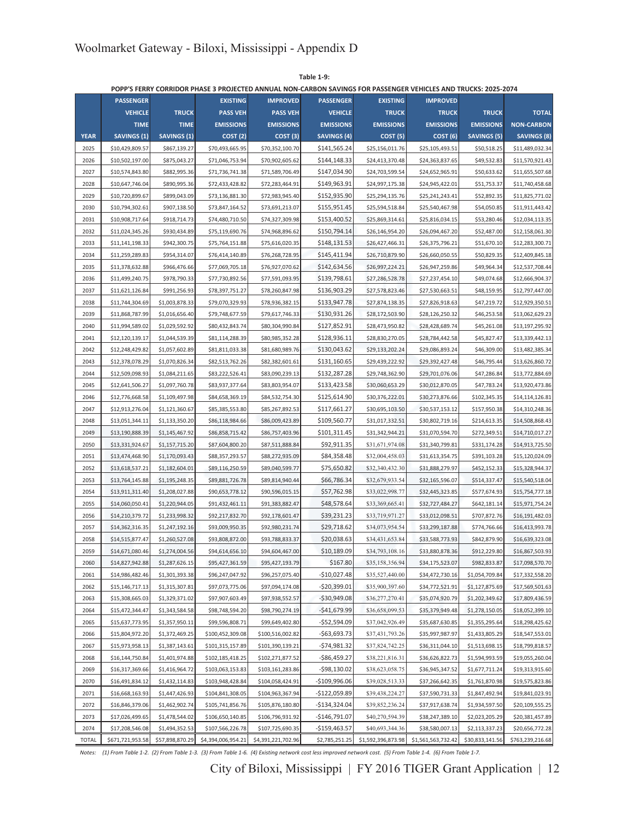|              |                    |                    |                    |                    | POPP'S FERRY CORRIDOR PHASE 3 PROJECTED ANNUAL NON-CARBON SAVINGS FOR PASSENGER VEHICLES AND TRUCKS: 2025-2074 |                     |                    |                    |                    |
|--------------|--------------------|--------------------|--------------------|--------------------|----------------------------------------------------------------------------------------------------------------|---------------------|--------------------|--------------------|--------------------|
|              | <b>PASSENGER</b>   |                    | <b>EXISTING</b>    | <b>IMPROVED</b>    | <b>PASSENGER</b>                                                                                               | <b>EXISTING</b>     | <b>IMPROVED</b>    |                    |                    |
|              | <b>VEHICLE</b>     | <b>TRUCK</b>       | <b>PASS VEH</b>    | <b>PASS VEH</b>    | <b>VEHICLE</b>                                                                                                 | <b>TRUCK</b>        | <b>TRUCK</b>       | <b>TRUCK</b>       | <b>TOTAL</b>       |
|              | <b>TIME</b>        | <b>TIME</b>        | <b>EMISSIONS</b>   | <b>EMISSIONS</b>   | <b>EMISSIONS</b>                                                                                               | <b>EMISSIONS</b>    | <b>EMISSIONS</b>   | <b>EMISSIONS</b>   | <b>NON-CARBON</b>  |
| <b>YEAR</b>  | <b>SAVINGS (1)</b> | <b>SAVINGS (1)</b> | COST(2)            | COST(3)            | <b>SAVINGS (4)</b>                                                                                             | COST <sub>(5)</sub> | COST(6)            | <b>SAVINGS (5)</b> | <b>SAVINGS (8)</b> |
| 2025         | \$10,429,809.57    | \$867,139.27       | \$70,493,665.95    | \$70,352,100.70    | \$141,565.24                                                                                                   | \$25,156,011.76     | \$25,105,493.51    | \$50,518.25        | \$11,489,032.34    |
| 2026         | \$10,502,197.00    | \$875,043.27       | \$71,046,753.94    | \$70,902,605.62    | \$144,148.33                                                                                                   | \$24,413,370.48     | \$24,363,837.65    | \$49,532.83        | \$11,570,921.43    |
| 2027         | \$10,574,843.80    | \$882,995.36       | \$71,736,741.38    | \$71,589,706.49    | \$147,034.90                                                                                                   | \$24,703,599.54     | \$24,652,965.91    | \$50,633.62        | \$11,655,507.68    |
| 2028         | \$10,647,746.04    | \$890,995.36       | \$72,433,428.82    | \$72,283,464.91    | \$149,963.91                                                                                                   | \$24,997,175.38     | \$24,945,422.01    | \$51,753.37        | \$11,740,458.68    |
| 2029         | \$10,720,899.67    | \$899,043.09       | \$73,136,881.30    | \$72,983,945.40    | \$152,935.90                                                                                                   | \$25,294,135.76     | \$25,241,243.41    | \$52,892.35        | \$11,825,771.02    |
| 2030         | \$10,794,302.61    | \$907,138.50       | \$73,847,164.52    | \$73,691,213.07    | \$155,951.45                                                                                                   | \$25,594,518.84     | \$25,540,467.98    | \$54,050.85        | \$11,911,443.42    |
| 2031         | \$10,908,717.64    | \$918,714.73       | \$74,480,710.50    | \$74,327,309.98    | \$153,400.52                                                                                                   | \$25,869,314.61     | \$25,816,034.15    | \$53,280.46        | \$12,034,113.35    |
| 2032         | \$11,024,345.26    | \$930,434.89       | \$75,119,690.76    | \$74,968,896.62    | \$150,794.14                                                                                                   | \$26,146,954.20     | \$26,094,467.20    | \$52,487.00        | \$12,158,061.30    |
| 2033         | \$11,141,198.33    | \$942,300.75       | \$75,764,151.88    | \$75,616,020.35    | \$148,131.53                                                                                                   | \$26,427,466.31     | \$26,375,796.21    | \$51,670.10        | \$12,283,300.71    |
| 2034         | \$11,259,289.83    | \$954,314.07       | \$76,414,140.89    | \$76,268,728.95    | \$145,411.94                                                                                                   | \$26,710,879.90     | \$26,660,050.55    | \$50,829.35        | \$12,409,845.18    |
| 2035         | \$11,378,632.88    | \$966,476.66       | \$77,069,705.18    | \$76,927,070.62    | \$142,634.56                                                                                                   | \$26,997,224.21     | \$26,947,259.86    | \$49,964.34        | \$12,537,708.44    |
| 2036         | \$11,499,240.75    | \$978,790.33       | \$77,730,892.56    | \$77,591,093.95    | \$139,798.61                                                                                                   | \$27,286,528.78     | \$27,237,454.10    | \$49,074.68        | \$12,666,904.37    |
| 2037         | \$11,621,126.84    | \$991,256.93       | \$78,397,751.27    | \$78,260,847.98    | \$136,903.29                                                                                                   | \$27,578,823.46     | \$27,530,663.51    | \$48,159.95        | \$12,797,447.00    |
| 2038         | \$11,744,304.69    | \$1,003,878.33     | \$79,070,329.93    | \$78,936,382.15    | \$133,947.78                                                                                                   | \$27,874,138.35     | \$27,826,918.63    | \$47,219.72        | \$12,929,350.51    |
| 2039         | \$11,868,787.99    | \$1,016,656.40     | \$79,748,677.59    | \$79,617,746.33    | \$130,931.26                                                                                                   | \$28,172,503.90     | \$28,126,250.32    | \$46,253.58        | \$13,062,629.23    |
| 2040         | \$11,994,589.02    | \$1,029,592.92     | \$80,432,843.74    | \$80,304,990.84    | \$127,852.91                                                                                                   | \$28,473,950.82     | \$28,428,689.74    | \$45,261.08        | \$13,197,295.92    |
| 2041         | \$12,120,139.17    | \$1,044,539.39     | \$81,114,288.39    | \$80,985,352.28    | \$128,936.11                                                                                                   | \$28,830,270.05     | \$28,784,442.58    | \$45,827.47        | \$13,339,442.13    |
| 2042         | \$12,248,429.82    | \$1,057,602.89     | \$81,811,033.38    | \$81,680,989.76    | \$130,043.62                                                                                                   | \$29,133,202.24     | \$29,086,893.24    | \$46,309.00        | \$13,482,385.34    |
| 2043         | \$12,378,078.29    | \$1,070,826.34     | \$82,513,762.26    | \$82,382,601.61    | \$131,160.65                                                                                                   | \$29,439,222.92     | \$29,392,427.48    | \$46,795.44        | \$13,626,860.72    |
|              |                    |                    |                    |                    | \$132,287.28                                                                                                   |                     | \$29,701,076.06    |                    |                    |
| 2044         | \$12,509,098.93    | \$1,084,211.65     | \$83,222,526.41    | \$83,090,239.13    | \$133,423.58                                                                                                   | \$29,748,362.90     |                    | \$47,286.84        | \$13,772,884.69    |
| 2045         | \$12,641,506.27    | \$1,097,760.78     | \$83,937,377.64    | \$83,803,954.07    |                                                                                                                | \$30,060,653.29     | \$30,012,870.05    | \$47,783.24        | \$13,920,473.86    |
| 2046         | \$12,776,668.58    | \$1,109,497.98     | \$84,658,369.19    | \$84,532,754.30    | \$125,614.90                                                                                                   | \$30,376,222.01     | \$30,273,876.66    | \$102,345.35       | \$14,114,126.81    |
| 2047         | \$12,913,276.04    | \$1,121,360.67     | \$85,385,553.80    | \$85,267,892.53    | \$117,661.27                                                                                                   | \$30,695,103.50     | \$30,537,153.12    | \$157,950.38       | \$14,310,248.36    |
| 2048         | \$13,051,344.11    | \$1,133,350.20     | \$86,118,984.66    | \$86,009,423.89    | \$109,560.77                                                                                                   | \$31,017,332.51     | \$30,802,719.16    | \$214,613.35       | \$14,508,868.43    |
| 2049         | \$13,190,888.39    | \$1,145,467.92     | \$86,858,715.42    | \$86,757,403.96    | \$101,311.45                                                                                                   | \$31,342,944.21     | \$31,070,594.70    | \$272,349.51       | \$14,710,017.27    |
| 2050         | \$13,331,924.67    | \$1,157,715.20     | \$87,604,800.20    | \$87,511,888.84    | \$92,911.35                                                                                                    | \$31,671,974.08     | \$31,340,799.81    | \$331,174.28       | \$14,913,725.50    |
| 2051         | \$13,474,468.90    | \$1,170,093.43     | \$88,357,293.57    | \$88,272,935.09    | \$84,358.48                                                                                                    | \$32,004,458.03     | \$31,613,354.75    | \$391,103.28       | \$15,120,024.09    |
| 2052         | \$13,618,537.21    | \$1,182,604.01     | \$89,116,250.59    | \$89,040,599.77    | \$75,650.82                                                                                                    | \$32,340,432.30     | \$31,888,279.97    | \$452,152.33       | \$15,328,944.37    |
| 2053         | \$13,764,145.88    | \$1,195,248.35     | \$89,881,726.78    | \$89,814,940.44    | \$66,786.34                                                                                                    | \$32,679,933.54     | \$32,165,596.07    | \$514,337.47       | \$15,540,518.04    |
| 2054         | \$13,911,311.40    | \$1,208,027.88     | \$90,653,778.12    | \$90,596,015.15    | \$57,762.98                                                                                                    | \$33,022,998.77     | \$32,445,323.85    | \$577,674.93       | \$15,754,777.18    |
| 2055         | \$14,060,050.41    | \$1,220,944.05     | \$91,432,461.11    | \$91,383,882.47    | \$48,578.64                                                                                                    | \$33,369,665.41     | \$32,727,484.27    | \$642,181.14       | \$15,971,754.24    |
| 2056         | \$14,210,379.72    | \$1,233,998.32     | \$92,217,832.70    | \$92,178,601.47    | \$39,231.23                                                                                                    | \$33,719,971.27     | \$33,012,098.51    | \$707,872.76       | \$16,191,482.03    |
| 2057         | \$14,362,316.35    | \$1,247,192.16     | \$93,009,950.35    | \$92,980,231.74    | \$29,718.62                                                                                                    | \$34,073,954.54     | \$33,299,187.88    | \$774,766.66       | \$16,413,993.78    |
| 2058         | \$14,515,877.47    | \$1,260,527.08     | \$93,808,872.00    | \$93,788,833.37    | \$20,038.63                                                                                                    | \$34,431,653.84     | \$33,588,773.93    | \$842,879.90       | \$16,639,323.08    |
| 2059         | \$14,671,080.46    | \$1,274,004.56     | \$94,614,656.10    | \$94,604,467.00    | \$10,189.09                                                                                                    | \$34,793,108.16     | \$33,880,878.36    | \$912,229.80       | \$16,867,503.93    |
| 2060         | \$14,827,942.88    | \$1,287,626.15     | \$95,427,361.59    | \$95,427,193.79    | \$167.80                                                                                                       | \$35,158,356.94     | \$34,175,523.07    | \$982,833.87       | \$17,098,570.70    |
| 2061         | \$14,986,482.46    | \$1,301,393.38     | \$96,247,047.92    | \$96,257,075.40    | $-$10,027.48$                                                                                                  | \$35,527,440.00     | \$34,472,730.16    | \$1,054,709.84     | \$17,332,558.20    |
| 2062         | \$15,146,717.13    | \$1,315,307.81     | \$97,073,775.06    | \$97,094,174.08    | $-$ \$20,399.01                                                                                                | \$35,900,397.60     | \$34,772,521.91    | \$1,127,875.69     | \$17,569,501.63    |
| 2063         | \$15,308,665.03    | \$1,329,371.02     | \$97,907,603.49    | \$97,938,552.57    | $-$ \$30,949.08                                                                                                | \$36,277,270.41     | \$35,074,920.79    | \$1,202,349.62     | \$17,809,436.59    |
| 2064         | \$15,472,344.47    | \$1,343,584.58     | \$98,748,594.20    | \$98,790,274.19    | $-$ \$41,679.99                                                                                                | \$36,658,099.53     | \$35,379,949.48    | \$1,278,150.05     | \$18,052,399.10    |
| 2065         | \$15,637,773.95    | \$1,357,950.11     | \$99,596,808.71    | \$99,649,402.80    | $-$52,594.09$                                                                                                  | \$37,042,926.49     | \$35,687,630.85    | \$1,355,295.64     | \$18,298,425.62    |
| 2066         | \$15,804,972.20    | \$1,372,469.25     | \$100,452,309.08   | \$100,516,002.82   | $-563,693.73$                                                                                                  | \$37,431,793.26     | \$35,997,987.97    | \$1,433,805.29     | \$18,547,553.01    |
| 2067         | \$15,973,958.13    | \$1,387,143.61     | \$101,315,157.89   | \$101,390,139.21   | -\$74,981.32                                                                                                   | \$37,824,742.25     | \$36,311,044.10    | \$1,513,698.15     | \$18,799,818.57    |
| 2068         | \$16,144,750.84    | \$1,401,974.88     | \$102,185,418.25   | \$102,271,877.52   | -\$86,459.27                                                                                                   | \$38,221,816.31     | \$36,626,822.73    | \$1,594,993.59     | \$19,055,260.04    |
| 2069         | \$16,317,369.66    | \$1,416,964.72     | \$103,063,153.83   | \$103,161,283.86   | -\$98,130.02                                                                                                   | \$38,623,058.75     | \$36,945,347.52    | \$1,677,711.24     | \$19,313,915.60    |
| 2070         | \$16,491,834.12    | \$1,432,114.83     | \$103,948,428.84   | \$104,058,424.91   | $-$109,996.06$                                                                                                 | \$39,028,513.33     | \$37,266,642.35    | \$1,761,870.98     | \$19,575,823.86    |
| 2071         | \$16,668,163.93    | \$1,447,426.93     | \$104,841,308.05   | \$104,963,367.94   | $-$122,059.89$                                                                                                 | \$39,438,224.27     | \$37,590,731.33    | \$1,847,492.94     | \$19,841,023.91    |
| 2072         | \$16,846,379.06    | \$1,462,902.74     | \$105,741,856.76   | \$105,876,180.80   | -\$134,324.04                                                                                                  | \$39,852,236.24     | \$37,917,638.74    | \$1,934,597.50     | \$20,109,555.25    |
| 2073         | \$17,026,499.65    | \$1,478,544.02     | \$106,650,140.85   | \$106,796,931.92   | $-$146,791.07$                                                                                                 | \$40,270,594.39     | \$38,247,389.10    | \$2,023,205.29     | \$20,381,457.89    |
| 2074         | \$17,208,546.08    | \$1,494,352.53     | \$107,566,226.78   | \$107,725,690.35   | $-$159,463.57$                                                                                                 | \$40,693,344.36     | \$38,580,007.13    | \$2,113,337.23     | \$20,656,772.28    |
| <b>TOTAL</b> | \$671,721,953.58   | \$57,898,870.29    | \$4,394,006,954.21 | \$4,391,221,702.96 | \$2,785,251.25                                                                                                 | \$1,592,396,873.98  | \$1,561,563,732.42 | \$30,833,141.56    | \$763,239,216.68   |

**Table 1-9:**

*Notes: (1) From Table 1-2. (2) From Table 1-3. (3) From Table 1-6. (4) Existing network cost less improved network cost. (5) From Table 1-4. (6) From Table 1-7.*

City of Biloxi, Mississippi | FY 2016 TIGER Grant Application | 12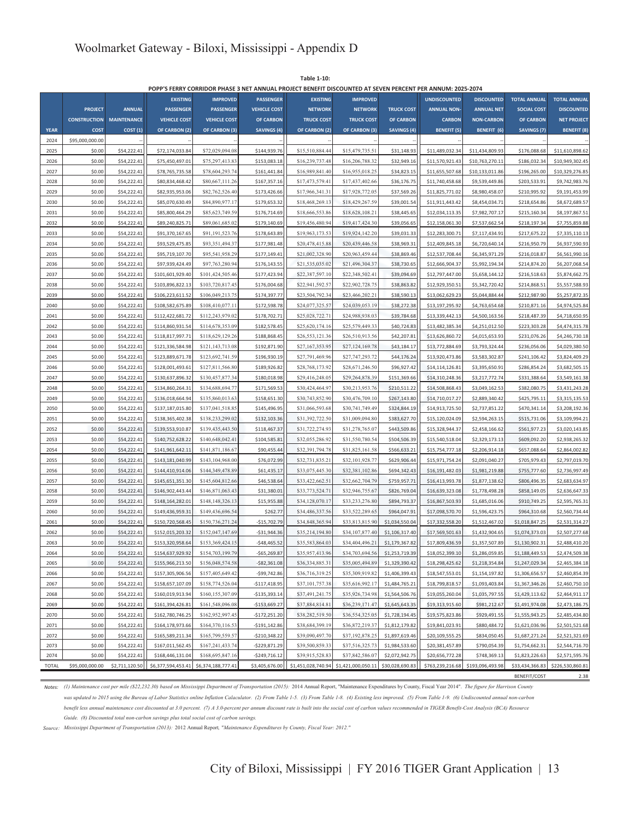|              |                     |                    |                     |                     |                     | POPP'S FERRY CORRIDOR PHASE 3 NET ANNUAL PROJECT BENEFIT DISCOUNTED AT SEVEN PERCENT PER ANNUM: 2025-2074 |                    |                    |                     |                   |                     |                     |
|--------------|---------------------|--------------------|---------------------|---------------------|---------------------|-----------------------------------------------------------------------------------------------------------|--------------------|--------------------|---------------------|-------------------|---------------------|---------------------|
|              |                     |                    | <b>EXISTING</b>     | <b>IMPROVED</b>     | <b>PASSENGER</b>    | <b>EXISTING</b>                                                                                           | <b>IMPROVED</b>    |                    | <b>UNDISCOUNTED</b> | <b>DISCOUNTED</b> | <b>TOTAL ANNUAL</b> | <b>TOTAL ANNUAL</b> |
|              | <b>PROJECT</b>      | <b>ANNUAL</b>      | <b>PASSENGER</b>    | <b>PASSENGER</b>    | <b>VEHICLE COST</b> | <b>NETWORK</b>                                                                                            | <b>NETWORK</b>     | <b>TRUCK COST</b>  | <b>ANNUAL NON-</b>  | <b>ANNUAL NET</b> | <b>SOCIAL COST</b>  | <b>DISCOUNTED</b>   |
|              | <b>CONSTRUCTION</b> | <b>MAINTENANCE</b> | <b>VEHICLE COST</b> | <b>VEHICLE COST</b> | <b>OF CARBON</b>    | <b>TRUCK COST</b>                                                                                         | <b>TRUCK COST</b>  | <b>OF CARBON</b>   | <b>CARBON</b>       | <b>NON-CARBON</b> | <b>OF CARBON</b>    | <b>NET PROJECT</b>  |
| <b>YEAR</b>  | <b>COST</b>         | COST(1)            | OF CARBON (2)       | OF CARBON (3)       | <b>SAVINGS (4)</b>  | OF CARBON (2)                                                                                             | OF CARBON (3)      | <b>SAVINGS (4)</b> | <b>BENEFIT</b> (5)  | BENEFIT (6)       | <b>SAVINGS (7)</b>  | <b>BENEFIT (8)</b>  |
| 2024         | \$95,000,000.00     |                    |                     |                     |                     |                                                                                                           |                    |                    |                     |                   |                     |                     |
| 2025         | \$0.00              | \$54,222.41        | \$72,174,033.84     | \$72,029,094.08     | \$144,939.76        | \$15,510,884.44                                                                                           | \$15,479,735.51    | \$31,148.93        | \$11,489,032.3      | \$11,434,809.93   | \$176,088.68        | \$11,610,898.62     |
| 2026         | \$0.00              | \$54,222.41        | \$75,450,497.01     | \$75,297,413.83     | \$153,083.18        | \$16,239,737.48                                                                                           | \$16,206,788.32    | \$32,949.16        | \$11,570,921.43     | \$10,763,270.11   | \$186,032.34        | \$10,949,302.45     |
| 2027         | \$0.00              | \$54,222.41        | \$78,765,735.58     | \$78,604,293.74     | \$161,441.84        | \$16,989,841.40                                                                                           | \$16,955,018.25    | \$34,823.15        | \$11,655,507.68     | \$10,133,011.86   | \$196,265.00        | \$10,329,276.85     |
| 2028         | \$0.00              | \$54,222.41        | \$80,834,468.42     | \$80,667,111.26     | \$167,357.16        | \$17,473,579.41                                                                                           | \$17,437,402.66    | \$36,176.75        | \$11,740,458.68     | \$9,539,449.86    | \$203,533.91        | \$9,742,983.76      |
| 2029         | \$0.00              | \$54,222.41        | \$82,935,953.06     | \$82,762,526.40     | \$173,426.66        | \$17,966,341.31                                                                                           | \$17,928,772.05    | \$37,569.26        | \$11,825,771.02     | \$8,980,458.07    | \$210,995.92        | \$9,191,453.99      |
| 2030         | \$0.00              | \$54,222.41        | \$85,070,630.49     | \$84,890,977.17     | \$179,653.32        | \$18,468,269.13                                                                                           | \$18,429,267.59    | \$39,001.54        | \$11,911,443.42     | \$8,454,034.71    | \$218,654.86        | \$8,672,689.57      |
| 2031         | \$0.00              | \$54,222.41        | \$85,800,464.29     | \$85,623,749.59     | \$176,714.69        | \$18,666,553.86                                                                                           | \$18,628,108.21    | \$38,445.65        | \$12,034,113.3      | \$7,982,707.17    | \$215,160.34        | \$8,197,867.51      |
| 2032         | \$0.00              | \$54,222.41        | \$89,240,825.71     | \$89,061,685.02     | \$179,140.69        | \$19,456,480.94                                                                                           | \$19,417,424.30    | \$39,056.65        | \$12,158,061.30     | \$7,537,662.54    | \$218,197.34        | \$7,755,859.88      |
| 2033         | \$0.00              | \$54,222.41        | \$91,370,167.65     | \$91,191,523.76     | \$178,643.89        | \$19,963,173.53                                                                                           | \$19,924,142.20    | \$39,031.33        | \$12,283,300.73     | \$7,117,434.91    | \$217,675.22        | \$7,335,110.13      |
| 2034         | \$0.00              | \$54,222.41        | \$93,529,475.85     | \$93,351,494.37     | \$177,981.48        | \$20,478,415.88                                                                                           | \$20,439,446.58    | \$38,969.31        | \$12,409,845.18     | \$6,720,640.14    | \$216,950.79        | \$6,937,590.93      |
| 2035         | \$0.00              | \$54,222.41        | \$95,719,107.70     | \$95,541,958.29     | \$177,149.41        | \$21,002,328.90                                                                                           | \$20,963,459.44    | \$38,869.46        | \$12,537,708.44     | \$6,345,971.29    | \$216,018.87        | \$6,561,990.16      |
| 2036         | \$0.00              | \$54,222.41        | \$97,939,424.49     | \$97,763,280.94     | \$176,143.55        | \$21,535,035.02                                                                                           | \$21,496,304.37    | \$38,730.65        | \$12,666,904.37     | \$5,992,194.34    | \$214,874.20        | \$6,207,068.54      |
| 2037         | \$0.00              | \$54,222.41        | \$101,601,929.40    | \$101,424,505.46    | \$177,423.94        | \$22,387,597.10                                                                                           | \$22,348,502.41    | \$39,094.69        | \$12,797,447.00     | \$5,658,144.12    | \$216,518.63        | \$5,874,662.75      |
| 2038         | \$0.00              | \$54,222.41        | \$103,896,822.13    | \$103,720,817.45    | \$176,004.68        | \$22,941,592.57                                                                                           | \$22,902,728.75    | \$38,863.82        | \$12,929,350.53     | \$5,342,720.42    | \$214,868.51        | \$5,557,588.93      |
| 2039         | \$0.00              | \$54,222.41        | \$106,223,611.52    | \$106,049,213.75    | \$174,397.77        | \$23,504,792.34                                                                                           | \$23,466,202.21    | \$38,590.13        | \$13,062,629.2      | \$5,044,884.44    | \$212,987.90        | \$5,257,872.35      |
| 2040         | \$0.00              | \$54,222.41        | \$108,582,675.89    | \$108,410,077.11    | \$172,598.78        | \$24,077,325.57                                                                                           | \$24,039,053.19    | \$38,272.38        | \$13,197,295.92     | \$4,763,654.68    | \$210,871.16        | \$4,974,525.84      |
| 2041         | \$0.00              | \$54,222.41        | \$112,422,681.72    | \$112,243,979.02    | \$178,702.71        | \$25,028,722.71                                                                                           | \$24,988,938.03    | \$39,784.68        | \$13,339,442.13     | \$4,500,163.56    | \$218,487.39        | \$4,718,650.95      |
| 2042         | \$0.00              | \$54,222.41        | \$114,860,931.54    | \$114,678,353.09    | \$182,578.45        | \$25,620,174.16                                                                                           | \$25,579,449.33    | \$40,724.83        | \$13,482,385.3      | \$4,251,012.50    | \$223,303.28        | \$4,474,315.78      |
| 2043         | \$0.00              | \$54,222.41        | \$118,817,997.7     | \$118,629,129.26    | \$188,868.45        | \$26,553,121.36                                                                                           | \$26,510,913.56    | \$42,207.81        | \$13,626,860.72     | \$4,015,653.93    | \$231,076.26        | \$4,246,730.18      |
| 2044         | \$0.00              | \$54,222.41        | \$121,336,584.98    | \$121,143,713.08    | \$192,871.90        | \$27,167,353.95                                                                                           | \$27,124,169.78    | \$43,184.17        | \$13,772,884.69     | \$3,793,324.44    | \$236,056.06        | \$4,029,380.50      |
| 2045         | \$0.00              | \$54,222.41        | \$123,889,671.78    | \$123,692,741.59    | \$196,930.19        | \$27,791,469.96                                                                                           | \$27,747,293.72    | \$44,176.24        | \$13,920,473.86     | \$3,583,302.87    | \$241,106.42        | \$3,824,409.29      |
| 2046         | \$0.00              | \$54,222.41        | \$128,001,493.61    | \$127,811,566.80    | \$189,926.82        | \$28,768,173.92                                                                                           | \$28,671,246.50    | \$96,927.42        | \$14,114,126.8      | \$3,395,650.91    | \$286,854.24        | \$3,682,505.15      |
| 2047         | \$0.00              | \$54,222.41        | \$130,637,896.32    | \$130,457,877.34    | \$180,018.98        | \$29,416,248.05                                                                                           | \$29,264,878.39    | \$151,369.66       | \$14,310,248.36     | \$3,217,772.74    | \$331,388.64        | \$3,549,161.38      |
| 2048         | \$0.00              | \$54,222.41        | \$134,860,264.31    | \$134,688,694.77    | \$171,569.53        | \$30,424,464.97                                                                                           | \$30,213,953.76    | \$210,511.22       | \$14,508,868.43     | \$3,049,162.53    | \$382,080.75        | \$3,431,243.28      |
| 2049         | \$0.00              |                    |                     | \$135,860,013.63    |                     | \$30,743,852.90                                                                                           |                    |                    |                     |                   |                     |                     |
|              |                     | \$54,222.41        | \$136,018,664.94    |                     | \$158,651.30        |                                                                                                           | \$30,476,709.10    | \$267,143.80       | \$14,710,017.27     | \$2,889,340.42    | \$425,795.11        | \$3,315,135.53      |
| 2050         | \$0.00              | \$54,222.41        | \$137,187,015.80    | \$137,041,518.85    | \$145,496.95        | \$31,066,593.68                                                                                           | \$30,741,749.49    | \$324,844.19       | \$14,913,725.50     | \$2,737,851.22    | \$470,341.14        | \$3,208,192.36      |
| 2051         | \$0.00              | \$54,222.41        | \$138,365,402.38    | \$138,233,299.02    | \$132,103.36        | \$31,392,722.50                                                                                           | \$31,009,094.80    | \$383,627.70       | \$15,120,024.09     | \$2,594,263.15    | \$515,731.06        | \$3,109,994.21      |
| 2052         | \$0.00              | \$54,222.41        | \$139,553,910.8     | \$139,435,443.50    | \$118,467.37        | \$31,722,274.93                                                                                           | \$31,278,765.07    | \$443,509.86       | \$15,328,944.37     | \$2,458,166.62    | \$561,977.23        | \$3,020,143.85      |
| 2053         | \$0.00              | \$54,222.41        | \$140,752,628.22    | \$140,648,042.41    | \$104,585.81        | \$32,055,286.92                                                                                           | \$31,550,780.54    | \$504,506.39       | \$15,540,518.0      | \$2,329,173.13    | \$609,092.20        | \$2,938,265.32      |
| 2054         | \$0.00              | \$54,222.41        | \$141,961,642.11    | \$141,871,186.67    | \$90,455.44         | \$32,391,794.78                                                                                           | \$31,825,161.58    | \$566,633.21       | \$15,754,777.18     | \$2,206,914.18    | \$657,088.64        | \$2,864,002.82      |
| 2055         | \$0.00              | \$54,222.41        | \$143,181,040.99    | \$143,104,968.00    | \$76,072.99         | \$32,731,835.21                                                                                           | \$32,101,928.77    | \$629,906.44       | \$15,971,754.24     | \$2,091,040.27    | \$705,979.43        | \$2,797,019.70      |
| 2056         | \$0.00              | \$54,222.41        | \$144,410,914.06    | \$144,349,478.89    | \$61,435.17         | \$33,075,445.30                                                                                           | \$32,381,102.86    | \$694,342.43       | \$16,191,482.0      | \$1,981,219.88    | \$755,777.60        | \$2,736,997.49      |
| 2057         | \$0.00              | \$54,222.41        | \$145,651,351.30    | \$145,604,812.66    | \$46,538.64         | \$33,422,662.51                                                                                           | \$32,662,704.79    | \$759,957.71       | \$16,413,993.78     | \$1,877,138.62    | \$806,496.35        | \$2,683,634.97      |
| 2058         | \$0.00              | \$54,222.41        | \$146,902,443.44    | \$146,871,063.43    | \$31,380.01         | \$33,773,524.71                                                                                           | \$32,946,755.67    | \$826,769.04       | \$16,639,323.08     | \$1,778,498.28    | \$858,149.05        | \$2,636,647.33      |
| 2059         | \$0.00              | \$54,222.41        | \$148,164,282.01    | \$148,148,326.13    | \$15,955.88         | \$34,128,070.17                                                                                           | \$33,233,276.80    | \$894,793.37       | \$16,867,503.93     | \$1,685,016.06    | \$910,749.25        | \$2,595,765.31      |
| 2060         | \$0.00              | \$54,222.41        | \$149,436,959.31    | \$149,436,696.54    | \$262.77            | \$34,486,337.56                                                                                           | \$33,522,289.65    | \$964,047.91       | \$17,098,570.70     | \$1,596,423.75    | \$964,310.68        | \$2,560,734.44      |
| 2061         | \$0.00              | \$54,222.41        | \$150,720,568.45    | \$150,736,271.24    | $-$15,702.79$       | \$34,848,365.94                                                                                           | \$33,813,815.90    | \$1,034,550.04     | \$17,332,558.20     | \$1,512,467.02    | \$1,018,847.25      | \$2,531,314.27      |
| 2062         | \$0.00              | \$54,222.41        | \$152,015,203.32    | \$152,047,147.69    | $-$31,944.36$       | \$35,214,194.80                                                                                           | \$34,107,877.40    | \$1,106,317.40     | \$17,569,501.63     | \$1,432,904.65    | \$1,074,373.03      | \$2,507,277.68      |
| 2063         | \$0.00              | \$54,222.41        | \$153,320,958.64    | \$153,369,424.15    | $-$48,465.52$       | \$35,583,864.03                                                                                           | \$34,404,496.21    | \$1,179,367.82     | \$17,809,436.59     | \$1,357,507.89    | \$1,130,902.31      | \$2,488,410.20      |
| 2064         | \$0.00              | \$54,222.41        | \$154,637,929.92    | \$154,703,199.79    | $-$65,269.87$       | \$35,957,413.96                                                                                           | \$34,703,694.56    | \$1,253,719.39     | \$18,052,399.10     | \$1,286,059.85    | \$1,188,449.53      | \$2,474,509.38      |
| 2065         | \$0.00              | \$54,222.41        | \$155,966,213.50    | \$156,048,574.58    | $-$82,361.08$       | \$36,334,885.31                                                                                           | \$35,005,494.89    | \$1,329,390.42     | \$18,298,425.62     | \$1,218,354.84    | \$1,247,029.34      | \$2,465,384.18      |
| 2066         | \$0.00              | \$54,222.41        | \$157,305,906.56    | \$157,405,649.42    | -\$99,742.86        | \$36,716,319.25                                                                                           | \$35,309,919.82    | \$1,406,399.43     | \$18,547,553.01     | \$1,154,197.82    | \$1,306,656.57      | \$2,460,854.39      |
| 2067         | \$0.00              | \$54,222.41        | \$158,657,107.09    | \$158,774,526.04    | $-$117,418.95$      | \$37,101,757.38                                                                                           | \$35,616,992.17    | \$1,484,765.21     | \$18,799,818.57     | \$1,093,403.84    | \$1,367,346.26      | \$2,460,750.10      |
| 2068         | \$0.00              | \$54,222.41        | \$160,019,913.94    | \$160,155,307.09    | $-$135,393.14$      | \$37,491,241.75                                                                                           | \$35,926,734.98    | \$1,564,506.76     | \$19,055,260.04     | \$1,035,797.55    | \$1,429,113.62      | \$2,464,911.17      |
| 2069         | \$0.00              | \$54,222.41        | \$161,394,426.81    | \$161,548,096.08    | $-$153,669.27$      | \$37,884,814.81                                                                                           | \$36,239,171.47    | \$1,645,643.35     | \$19,313,915.60     | \$981,212.67      | \$1,491,974.08      | \$2,473,186.75      |
| 2070         | \$0.00              | \$54,222.41        | \$162,780,746.25    | \$162,952,997.45    | $-$172,251.20$      | \$38,282,519.50                                                                                           | \$36,554,325.05    | \$1,728,194.45     | \$19,575,823.86     | \$929,491.55      | \$1,555,943.25      | \$2,485,434.80      |
| 2071         | \$0.00              | \$54,222.41        | \$164,178,973.66    | \$164,370,116.53    | $-$191,142.86$      | \$38,684,399.19                                                                                           | \$36,872,219.37    | \$1,812,179.82     | \$19,841,023.91     | \$880,484.72      | \$1,621,036.96      | \$2,501,521.68      |
| 2072         | \$0.00              | \$54,222.41        | \$165,589,211.34    | \$165,799,559.57    | $-$210,348.22$      | \$39,090,497.70                                                                                           | \$37,192,878.25    | \$1,897,619.46     | \$20,109,555.25     | \$834,050.45      | \$1,687,271.24      | \$2,521,321.69      |
| 2073         | \$0.00              | \$54,222.41        | \$167,011,562.45    | \$167,241,433.74    | -\$229,871.29       | \$39,500,859.33                                                                                           | \$37,516,325.73    | \$1,984,533.60     | \$20,381,457.89     | \$790,054.39      | \$1,754,662.31      | \$2,544,716.70      |
| 2074         | \$0.00              | \$54,222.41        | \$168,446,131.04    | \$168,695,847.16    | $-$249,716.12$      | \$39,915,528.83                                                                                           | \$37,842,586.07    | \$2,072,942.75     | \$20,656,772.28     | \$748,369.13      | \$1,823,226.63      | \$2,571,595.76      |
| <b>TOTAL</b> | \$95,000,000.00     | \$2,711,120.50     | \$6,377,594,453.41  | \$6,374,188,777.41  | \$3,405,676.00      | \$1,451,028,740.94                                                                                        | \$1,421,000,050.11 | \$30,028,690.83    | \$763,239,216.68    | \$193,096,493.98  | \$33,434,366.83     | \$226,530,860.81    |
|              |                     |                    |                     |                     |                     |                                                                                                           |                    |                    |                     |                   | BENEFIT/COST        | 2.38                |

**Table 1-10:**

Notes: (1) Maintenance cost per mile (\$22,232.30) based on Mississippi Department of Transportation (2015): 2014 Annual Report, "Maintenance Expenditures by County, Fiscal Year 2014". The figure for Harrison County was updated to 2015 using the Bureau of Labor Statistics online Inflation Calaculator. (2) From Table 1-5. (3) From Table 1-8. (4) Existing less improved. (5) From Table 1-9. (6) Undiscounted annual non-carbon *benefit less annual maintenance cost discounted at 3.0 percent. (7) A 3.0-percent per annum discount rate is built into the social cost of carbon values recommended in TIGER Benefit-Cost Analysis (BCA) Resource Guide. (8) Discounted total non-carbon savings plus total social cost of carbon savings.*

*Source: Mississippi Department of Transportation (2013):* 2012 Annual Report*, "Maintenance Expenditures by County, Fiscal Year: 2012."*